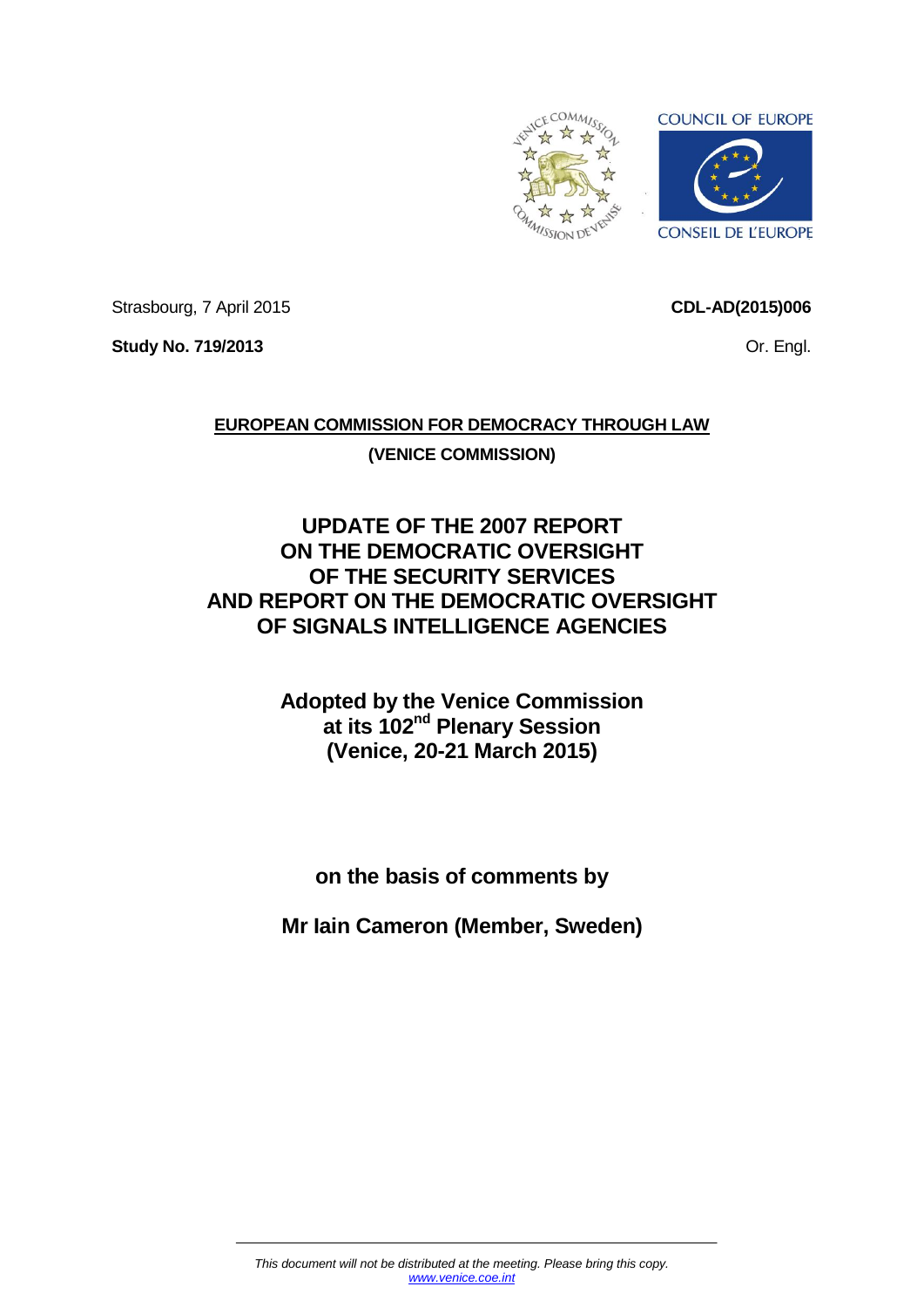

Strasbourg, 7 April 2015

**CDL-AD(2015)006**

Or. Engl.

**Study No. 719/2013**

**EUROPEAN COMMISSION FOR DEMOCRACY THROUGH LAW (VENICE COMMISSION)**

# **UPDATE OF THE 2007 REPORT ON THE DEMOCRATIC OVERSIGHT OF THE SECURITY SERVICES AND REPORT ON THE DEMOCRATIC OVERSIGHT OF SIGNALS INTELLIGENCE AGENCIES**

**Adopted by the Venice Commission at its 102nd Plenary Session (Venice, 20-21 March 2015)**

**on the basis of comments by**

**Mr Iain Cameron (Member, Sweden)**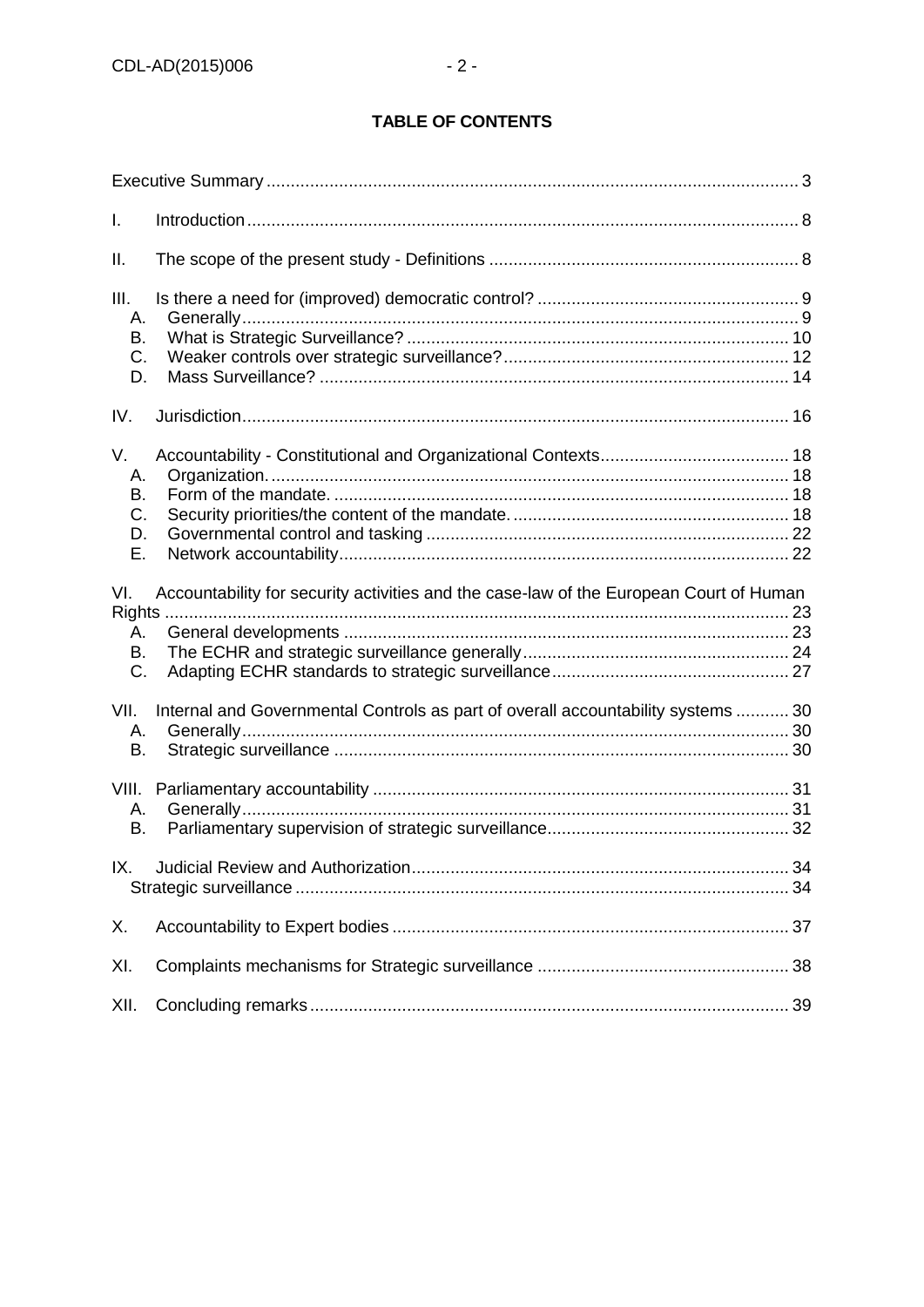# **TABLE OF CONTENTS**

| T.                               |                                                                                        |  |
|----------------------------------|----------------------------------------------------------------------------------------|--|
| Ш.                               |                                                                                        |  |
| III.<br>А.<br>В.<br>C.<br>D.     |                                                                                        |  |
| IV.                              |                                                                                        |  |
| V.<br>А.<br>В.<br>C.<br>D.<br>Ε. |                                                                                        |  |
| VI.                              | Accountability for security activities and the case-law of the European Court of Human |  |
| А.<br>В.<br>C.                   |                                                                                        |  |
| VII.<br>А.<br>B.                 | Internal and Governmental Controls as part of overall accountability systems  30       |  |
| VIII.<br>А.<br>В.                |                                                                                        |  |
| IX.                              |                                                                                        |  |
| Χ.                               |                                                                                        |  |
| XI.                              |                                                                                        |  |
| XII.                             |                                                                                        |  |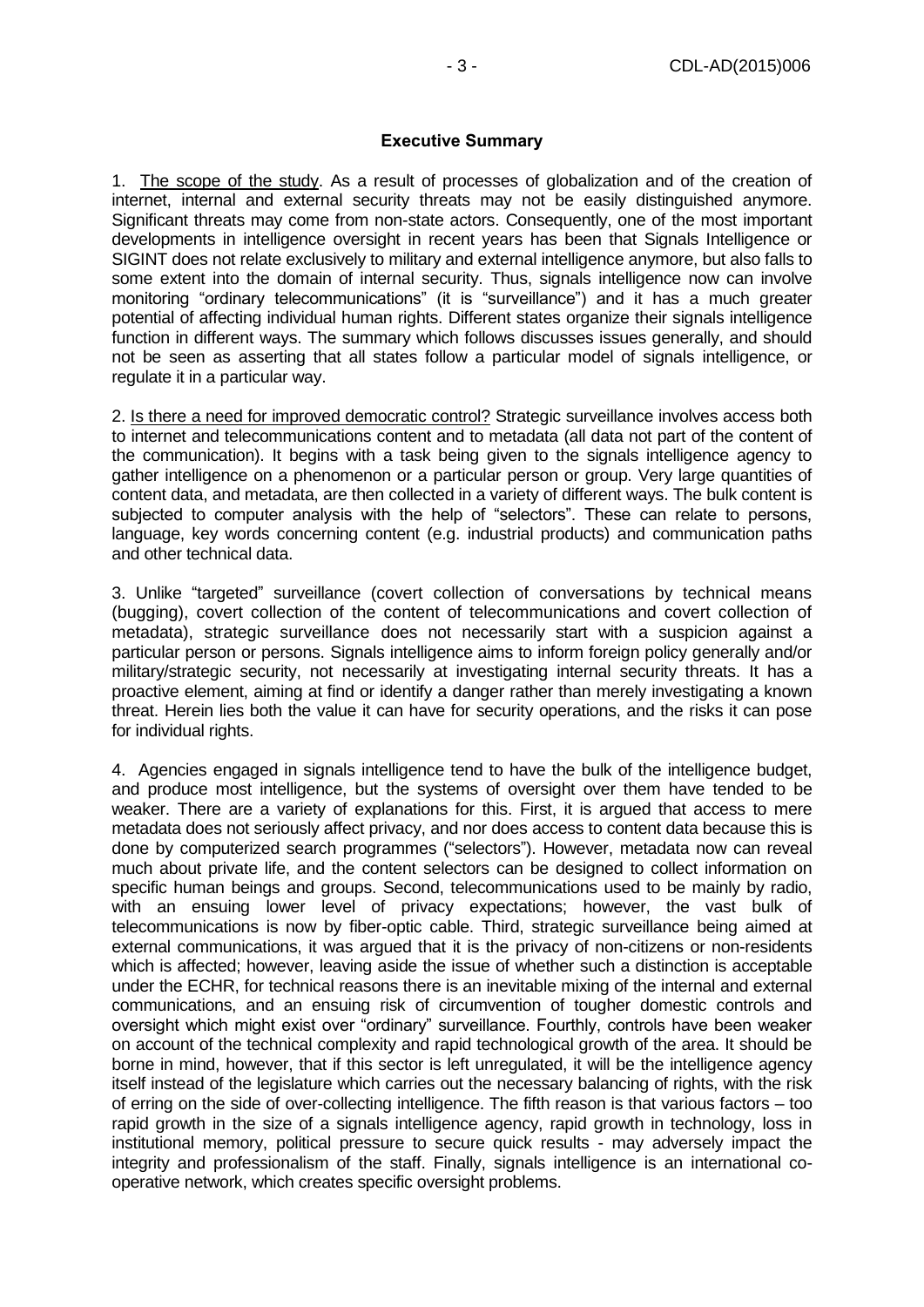#### **Executive Summary**

<span id="page-2-0"></span>1. The scope of the study. As a result of processes of globalization and of the creation of internet, internal and external security threats may not be easily distinguished anymore. Significant threats may come from non-state actors. Consequently, one of the most important developments in intelligence oversight in recent years has been that Signals Intelligence or SIGINT does not relate exclusively to military and external intelligence anymore, but also falls to some extent into the domain of internal security. Thus, signals intelligence now can involve monitoring "ordinary telecommunications" (it is "surveillance") and it has a much greater potential of affecting individual human rights. Different states organize their signals intelligence function in different ways. The summary which follows discusses issues generally, and should not be seen as asserting that all states follow a particular model of signals intelligence, or regulate it in a particular way.

2. Is there a need for improved democratic control? Strategic surveillance involves access both to internet and telecommunications content and to metadata (all data not part of the content of the communication). It begins with a task being given to the signals intelligence agency to gather intelligence on a phenomenon or a particular person or group. Very large quantities of content data, and metadata, are then collected in a variety of different ways. The bulk content is subjected to computer analysis with the help of "selectors". These can relate to persons, language, key words concerning content (e.g. industrial products) and communication paths and other technical data.

3. Unlike "targeted" surveillance (covert collection of conversations by technical means (bugging), covert collection of the content of telecommunications and covert collection of metadata), strategic surveillance does not necessarily start with a suspicion against a particular person or persons. Signals intelligence aims to inform foreign policy generally and/or military/strategic security, not necessarily at investigating internal security threats. It has a proactive element, aiming at find or identify a danger rather than merely investigating a known threat. Herein lies both the value it can have for security operations, and the risks it can pose for individual rights.

4. Agencies engaged in signals intelligence tend to have the bulk of the intelligence budget, and produce most intelligence, but the systems of oversight over them have tended to be weaker. There are a variety of explanations for this. First, it is argued that access to mere metadata does not seriously affect privacy, and nor does access to content data because this is done by computerized search programmes ("selectors"). However, metadata now can reveal much about private life, and the content selectors can be designed to collect information on specific human beings and groups. Second, telecommunications used to be mainly by radio, with an ensuing lower level of privacy expectations; however, the vast bulk of telecommunications is now by fiber-optic cable. Third, strategic surveillance being aimed at external communications, it was argued that it is the privacy of non-citizens or non-residents which is affected; however, leaving aside the issue of whether such a distinction is acceptable under the ECHR, for technical reasons there is an inevitable mixing of the internal and external communications, and an ensuing risk of circumvention of tougher domestic controls and oversight which might exist over "ordinary" surveillance. Fourthly, controls have been weaker on account of the technical complexity and rapid technological growth of the area. It should be borne in mind, however, that if this sector is left unregulated, it will be the intelligence agency itself instead of the legislature which carries out the necessary balancing of rights, with the risk of erring on the side of over-collecting intelligence. The fifth reason is that various factors – too rapid growth in the size of a signals intelligence agency, rapid growth in technology, loss in institutional memory, political pressure to secure quick results - may adversely impact the integrity and professionalism of the staff. Finally, signals intelligence is an international cooperative network, which creates specific oversight problems.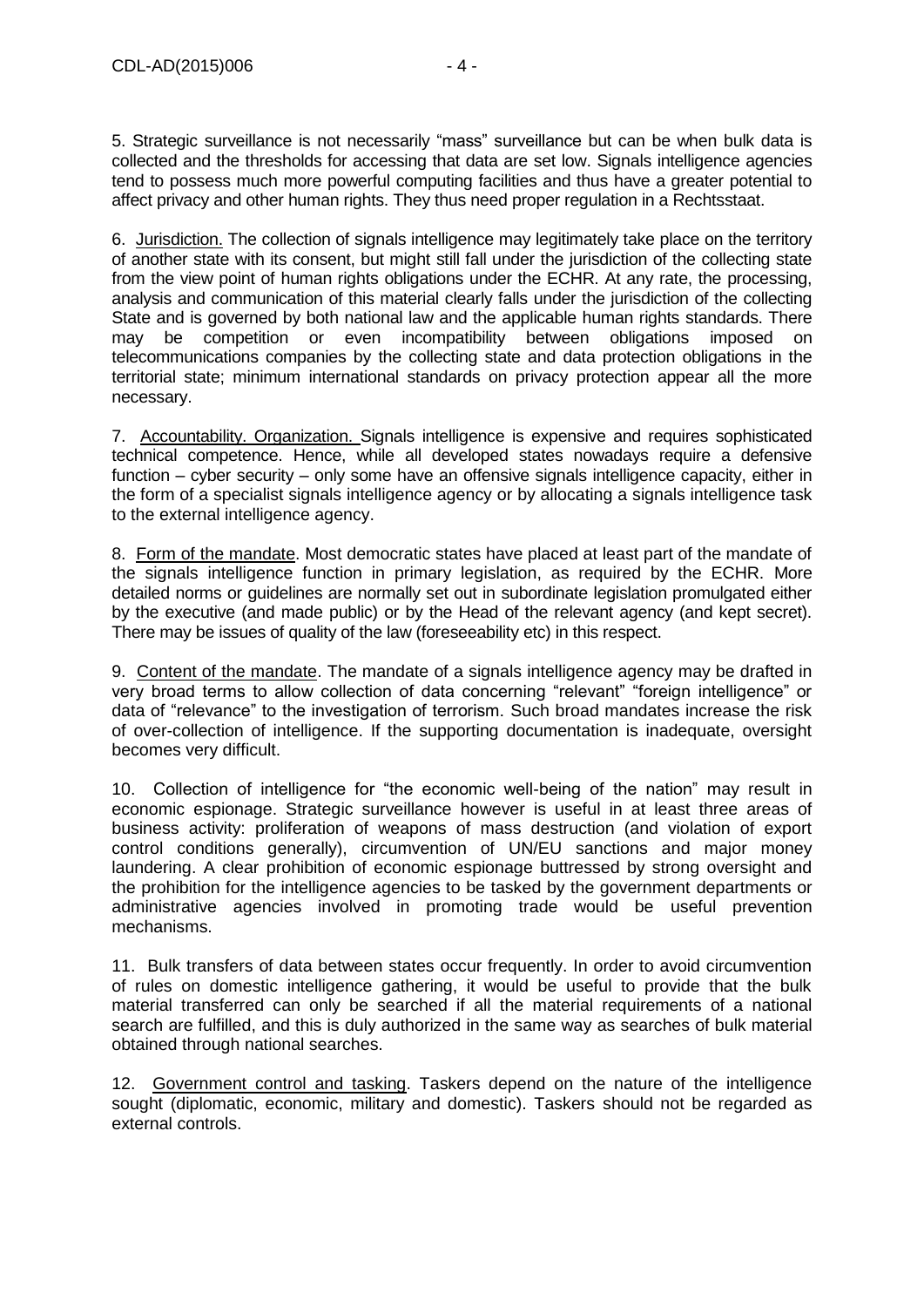5. Strategic surveillance is not necessarily "mass" surveillance but can be when bulk data is collected and the thresholds for accessing that data are set low. Signals intelligence agencies tend to possess much more powerful computing facilities and thus have a greater potential to affect privacy and other human rights. They thus need proper regulation in a Rechtsstaat.

6. Jurisdiction. The collection of signals intelligence may legitimately take place on the territory of another state with its consent, but might still fall under the jurisdiction of the collecting state from the view point of human rights obligations under the ECHR. At any rate, the processing, analysis and communication of this material clearly falls under the jurisdiction of the collecting State and is governed by both national law and the applicable human rights standards. There may be competition or even incompatibility between obligations imposed on telecommunications companies by the collecting state and data protection obligations in the territorial state; minimum international standards on privacy protection appear all the more necessary.

7. Accountability. Organization. Signals intelligence is expensive and requires sophisticated technical competence. Hence, while all developed states nowadays require a defensive function – cyber security – only some have an offensive signals intelligence capacity, either in the form of a specialist signals intelligence agency or by allocating a signals intelligence task to the external intelligence agency.

8. Form of the mandate. Most democratic states have placed at least part of the mandate of the signals intelligence function in primary legislation, as required by the ECHR. More detailed norms or guidelines are normally set out in subordinate legislation promulgated either by the executive (and made public) or by the Head of the relevant agency (and kept secret). There may be issues of quality of the law (foreseeability etc) in this respect.

9. Content of the mandate. The mandate of a signals intelligence agency may be drafted in very broad terms to allow collection of data concerning "relevant" "foreign intelligence" or data of "relevance" to the investigation of terrorism. Such broad mandates increase the risk of over-collection of intelligence. If the supporting documentation is inadequate, oversight becomes very difficult.

10. Collection of intelligence for "the economic well-being of the nation" may result in economic espionage. Strategic surveillance however is useful in at least three areas of business activity: proliferation of weapons of mass destruction (and violation of export control conditions generally), circumvention of UN/EU sanctions and major money laundering. A clear prohibition of economic espionage buttressed by strong oversight and the prohibition for the intelligence agencies to be tasked by the government departments or administrative agencies involved in promoting trade would be useful prevention mechanisms.

11. Bulk transfers of data between states occur frequently. In order to avoid circumvention of rules on domestic intelligence gathering, it would be useful to provide that the bulk material transferred can only be searched if all the material requirements of a national search are fulfilled, and this is duly authorized in the same way as searches of bulk material obtained through national searches.

12. Government control and tasking. Taskers depend on the nature of the intelligence sought (diplomatic, economic, military and domestic). Taskers should not be regarded as external controls.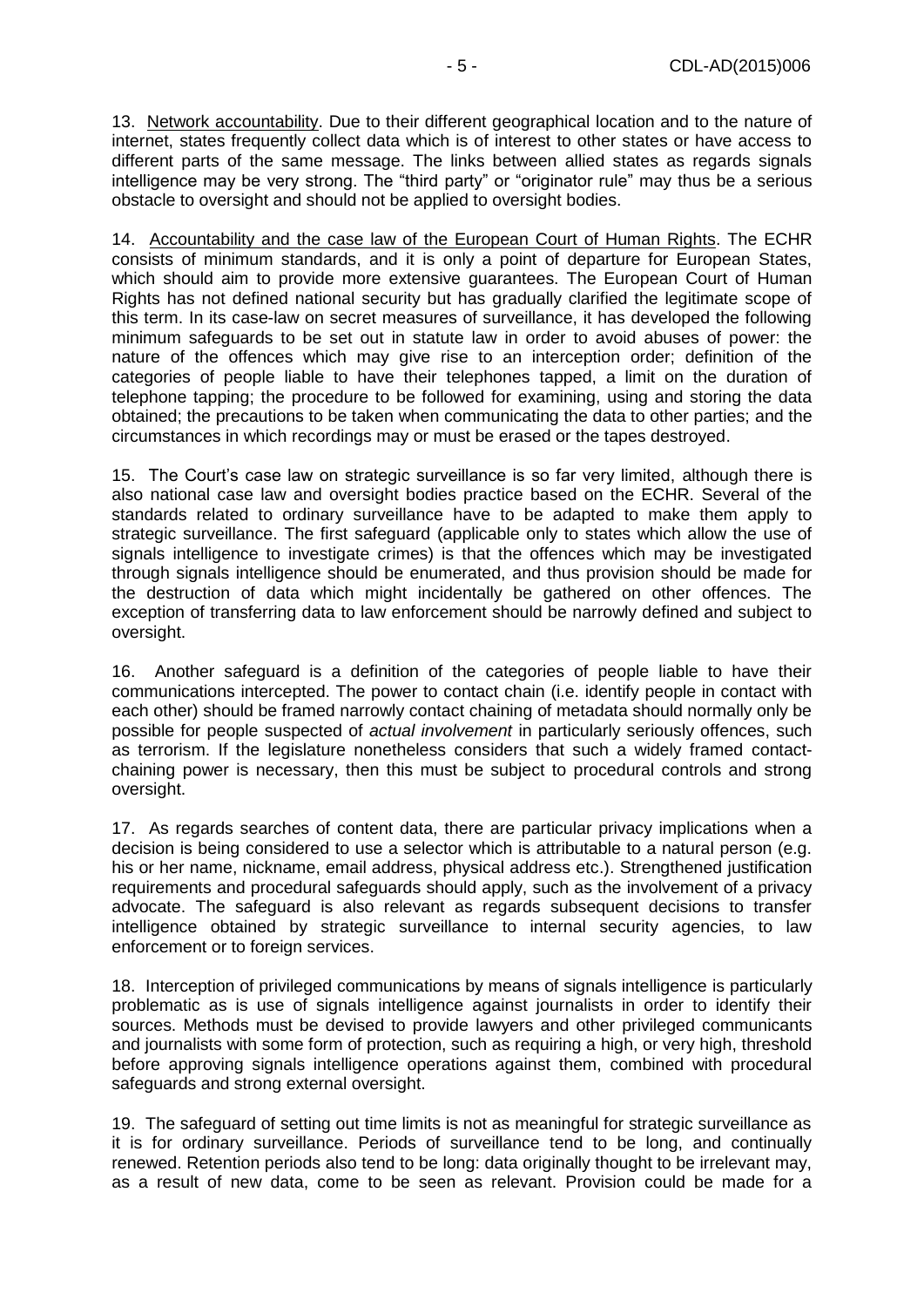13. Network accountability. Due to their different geographical location and to the nature of internet, states frequently collect data which is of interest to other states or have access to different parts of the same message. The links between allied states as regards signals intelligence may be very strong. The "third party" or "originator rule" may thus be a serious obstacle to oversight and should not be applied to oversight bodies.

14. Accountability and the case law of the European Court of Human Rights. The ECHR consists of minimum standards, and it is only a point of departure for European States, which should aim to provide more extensive guarantees. The European Court of Human Rights has not defined national security but has gradually clarified the legitimate scope of this term. In its case-law on secret measures of surveillance, it has developed the following minimum safeguards to be set out in statute law in order to avoid abuses of power: the nature of the offences which may give rise to an interception order; definition of the categories of people liable to have their telephones tapped, a limit on the duration of telephone tapping; the procedure to be followed for examining, using and storing the data obtained; the precautions to be taken when communicating the data to other parties; and the circumstances in which recordings may or must be erased or the tapes destroyed.

15. The Court's case law on strategic surveillance is so far very limited, although there is also national case law and oversight bodies practice based on the ECHR. Several of the standards related to ordinary surveillance have to be adapted to make them apply to strategic surveillance. The first safeguard (applicable only to states which allow the use of signals intelligence to investigate crimes) is that the offences which may be investigated through signals intelligence should be enumerated, and thus provision should be made for the destruction of data which might incidentally be gathered on other offences. The exception of transferring data to law enforcement should be narrowly defined and subject to oversight.

16. Another safeguard is a definition of the categories of people liable to have their communications intercepted. The power to contact chain (i.e. identify people in contact with each other) should be framed narrowly contact chaining of metadata should normally only be possible for people suspected of *actual involvement* in particularly seriously offences, such as terrorism. If the legislature nonetheless considers that such a widely framed contactchaining power is necessary, then this must be subject to procedural controls and strong oversight.

17. As regards searches of content data, there are particular privacy implications when a decision is being considered to use a selector which is attributable to a natural person (e.g. his or her name, nickname, email address, physical address etc.). Strengthened justification requirements and procedural safeguards should apply, such as the involvement of a privacy advocate. The safeguard is also relevant as regards subsequent decisions to transfer intelligence obtained by strategic surveillance to internal security agencies, to law enforcement or to foreign services.

18. Interception of privileged communications by means of signals intelligence is particularly problematic as is use of signals intelligence against journalists in order to identify their sources. Methods must be devised to provide lawyers and other privileged communicants and journalists with some form of protection, such as requiring a high, or very high, threshold before approving signals intelligence operations against them, combined with procedural safeguards and strong external oversight.

19. The safeguard of setting out time limits is not as meaningful for strategic surveillance as it is for ordinary surveillance. Periods of surveillance tend to be long, and continually renewed. Retention periods also tend to be long: data originally thought to be irrelevant may, as a result of new data, come to be seen as relevant. Provision could be made for a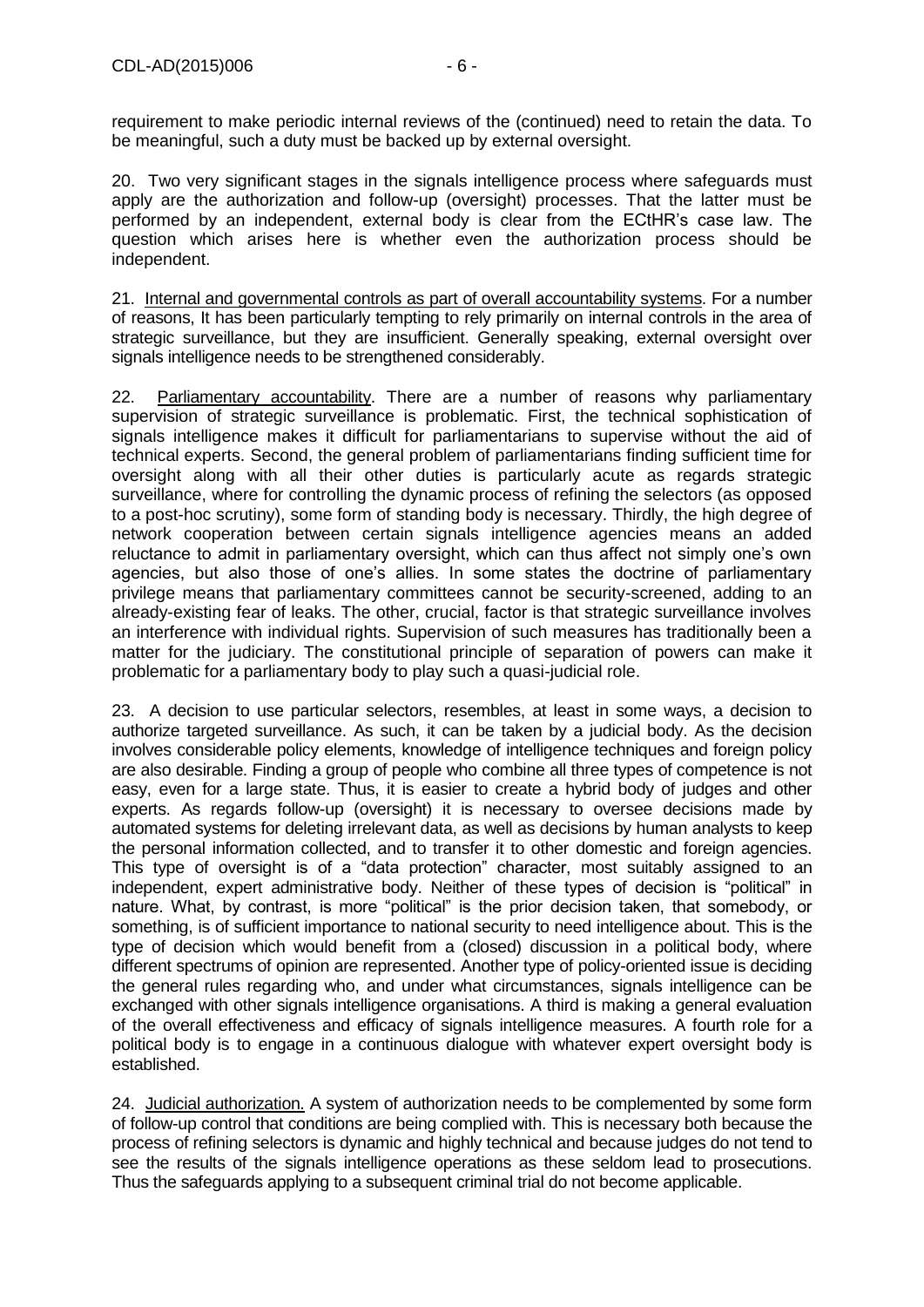20. Two very significant stages in the signals intelligence process where safeguards must apply are the authorization and follow-up (oversight) processes. That the latter must be performed by an independent, external body is clear from the ECtHR's case law. The question which arises here is whether even the authorization process should be independent.

21. Internal and governmental controls as part of overall accountability systems. For a number of reasons, It has been particularly tempting to rely primarily on internal controls in the area of strategic surveillance, but they are insufficient. Generally speaking, external oversight over signals intelligence needs to be strengthened considerably.

22. Parliamentary accountability. There are a number of reasons why parliamentary supervision of strategic surveillance is problematic. First, the technical sophistication of signals intelligence makes it difficult for parliamentarians to supervise without the aid of technical experts. Second, the general problem of parliamentarians finding sufficient time for oversight along with all their other duties is particularly acute as regards strategic surveillance, where for controlling the dynamic process of refining the selectors (as opposed to a post-hoc scrutiny), some form of standing body is necessary. Thirdly, the high degree of network cooperation between certain signals intelligence agencies means an added reluctance to admit in parliamentary oversight, which can thus affect not simply one's own agencies, but also those of one's allies. In some states the doctrine of parliamentary privilege means that parliamentary committees cannot be security-screened, adding to an already-existing fear of leaks. The other, crucial, factor is that strategic surveillance involves an interference with individual rights. Supervision of such measures has traditionally been a matter for the judiciary. The constitutional principle of separation of powers can make it problematic for a parliamentary body to play such a quasi-judicial role.

23. A decision to use particular selectors, resembles, at least in some ways, a decision to authorize targeted surveillance. As such, it can be taken by a judicial body. As the decision involves considerable policy elements, knowledge of intelligence techniques and foreign policy are also desirable. Finding a group of people who combine all three types of competence is not easy, even for a large state. Thus, it is easier to create a hybrid body of judges and other experts. As regards follow-up (oversight) it is necessary to oversee decisions made by automated systems for deleting irrelevant data, as well as decisions by human analysts to keep the personal information collected, and to transfer it to other domestic and foreign agencies. This type of oversight is of a "data protection" character, most suitably assigned to an independent, expert administrative body. Neither of these types of decision is "political" in nature. What, by contrast, is more "political" is the prior decision taken, that somebody, or something, is of sufficient importance to national security to need intelligence about. This is the type of decision which would benefit from a (closed) discussion in a political body, where different spectrums of opinion are represented. Another type of policy-oriented issue is deciding the general rules regarding who, and under what circumstances, signals intelligence can be exchanged with other signals intelligence organisations. A third is making a general evaluation of the overall effectiveness and efficacy of signals intelligence measures. A fourth role for a political body is to engage in a continuous dialogue with whatever expert oversight body is established.

24. Judicial authorization. A system of authorization needs to be complemented by some form of follow-up control that conditions are being complied with. This is necessary both because the process of refining selectors is dynamic and highly technical and because judges do not tend to see the results of the signals intelligence operations as these seldom lead to prosecutions. Thus the safeguards applying to a subsequent criminal trial do not become applicable.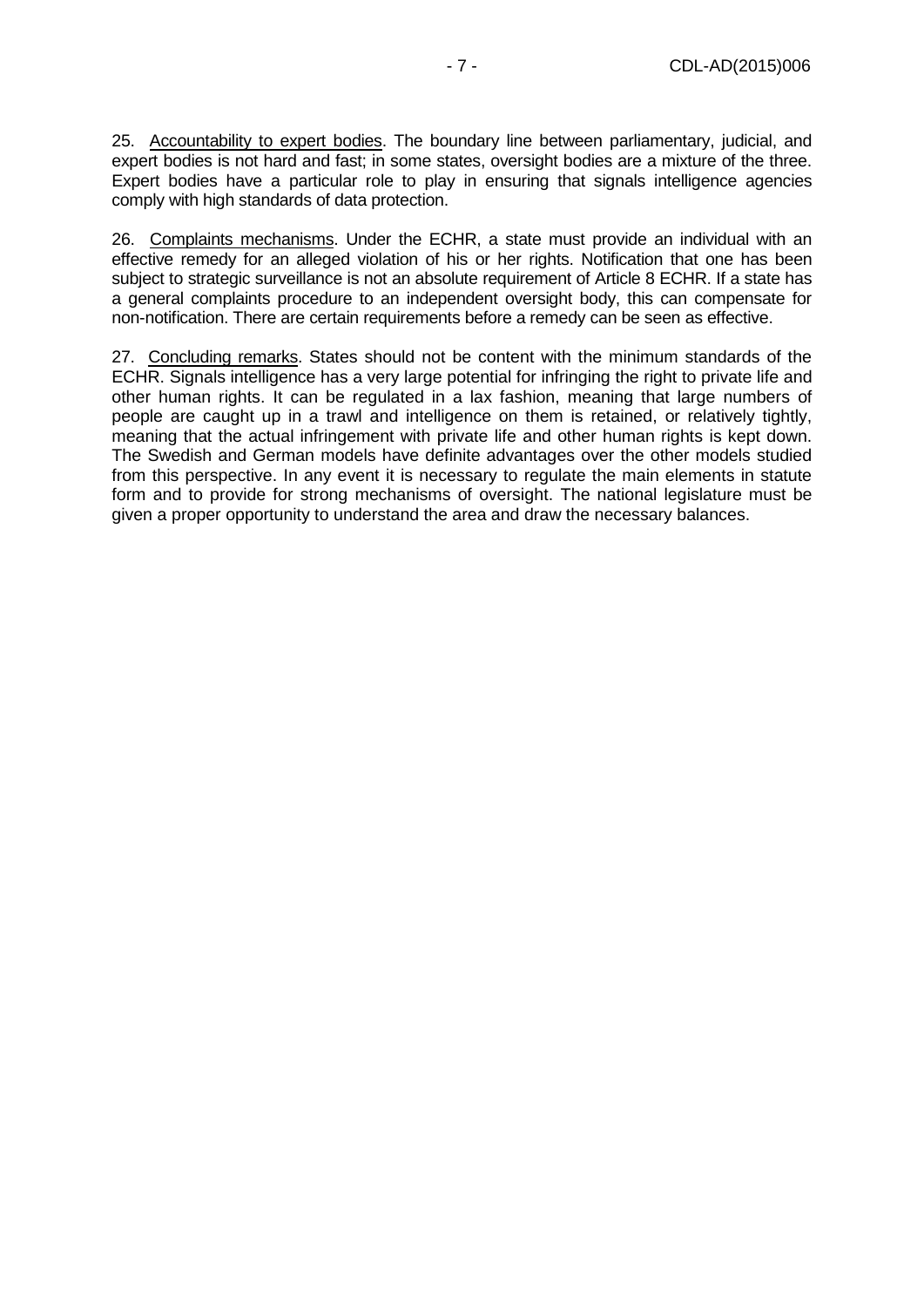25. Accountability to expert bodies. The boundary line between parliamentary, judicial, and expert bodies is not hard and fast; in some states, oversight bodies are a mixture of the three. Expert bodies have a particular role to play in ensuring that signals intelligence agencies comply with high standards of data protection.

26. Complaints mechanisms. Under the ECHR, a state must provide an individual with an effective remedy for an alleged violation of his or her rights. Notification that one has been subject to strategic surveillance is not an absolute requirement of Article 8 ECHR. If a state has a general complaints procedure to an independent oversight body, this can compensate for non-notification. There are certain requirements before a remedy can be seen as effective.

27. Concluding remarks. States should not be content with the minimum standards of the ECHR. Signals intelligence has a very large potential for infringing the right to private life and other human rights. It can be regulated in a lax fashion, meaning that large numbers of people are caught up in a trawl and intelligence on them is retained, or relatively tightly, meaning that the actual infringement with private life and other human rights is kept down. The Swedish and German models have definite advantages over the other models studied from this perspective. In any event it is necessary to regulate the main elements in statute form and to provide for strong mechanisms of oversight. The national legislature must be given a proper opportunity to understand the area and draw the necessary balances.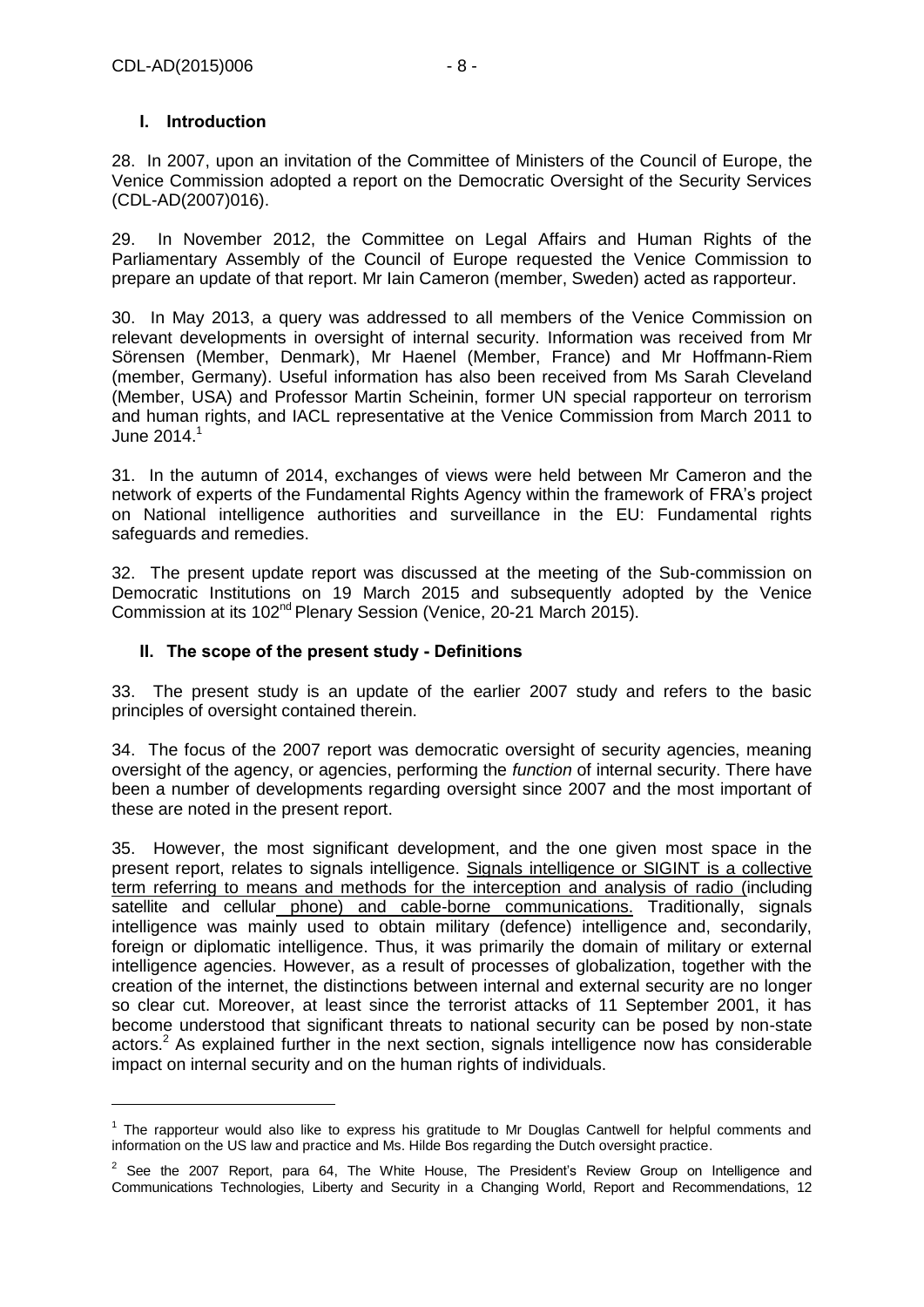-

### <span id="page-7-0"></span>**I. Introduction**

28. In 2007, upon an invitation of the Committee of Ministers of the Council of Europe, the Venice Commission adopted a report on the Democratic Oversight of the Security Services (CDL-AD(2007)016).

29. In November 2012, the Committee on Legal Affairs and Human Rights of the Parliamentary Assembly of the Council of Europe requested the Venice Commission to prepare an update of that report. Mr Iain Cameron (member, Sweden) acted as rapporteur.

30. In May 2013, a query was addressed to all members of the Venice Commission on relevant developments in oversight of internal security. Information was received from Mr Sörensen (Member, Denmark), Mr Haenel (Member, France) and Mr Hoffmann-Riem (member, Germany). Useful information has also been received from Ms Sarah Cleveland (Member, USA) and Professor Martin Scheinin, former UN special rapporteur on terrorism and human rights, and IACL representative at the Venice Commission from March 2011 to June  $2014<sup>1</sup>$ 

31. In the autumn of 2014, exchanges of views were held between Mr Cameron and the network of experts of the Fundamental Rights Agency within the framework of FRA's project on National intelligence authorities and surveillance in the EU: Fundamental rights safeguards and remedies.

32. The present update report was discussed at the meeting of the Sub-commission on Democratic Institutions on 19 March 2015 and subsequently adopted by the Venice Commission at its 102nd Plenary Session (Venice, 20-21 March 2015).

### <span id="page-7-1"></span>**II. The scope of the present study - Definitions**

33. The present study is an update of the earlier 2007 study and refers to the basic principles of oversight contained therein.

34. The focus of the 2007 report was democratic oversight of security agencies, meaning oversight of the agency, or agencies, performing the *function* of internal security. There have been a number of developments regarding oversight since 2007 and the most important of these are noted in the present report.

35. However, the most significant development, and the one given most space in the present report, relates to signals intelligence. Signals intelligence or SIGINT is a collective term referring to means and methods for the interception and analysis of radio (including satellite and cellular phone) and cable-borne communications. Traditionally, signals intelligence was mainly used to obtain military (defence) intelligence and, secondarily, foreign or diplomatic intelligence. Thus, it was primarily the domain of military or external intelligence agencies. However, as a result of processes of globalization, together with the creation of the internet, the distinctions between internal and external security are no longer so clear cut. Moreover, at least since the terrorist attacks of 11 September 2001, it has become understood that significant threats to national security can be posed by non-state actors.<sup>2</sup> As explained further in the next section, signals intelligence now has considerable impact on internal security and on the human rights of individuals.

<sup>&</sup>lt;sup>1</sup> The rapporteur would also like to express his gratitude to Mr Douglas Cantwell for helpful comments and information on the US law and practice and Ms. Hilde Bos regarding the Dutch oversight practice.

 $2$  See the 2007 Report, para 64, The White House, The President's Review Group on Intelligence and Communications Technologies, Liberty and Security in a Changing World, Report and Recommendations, 12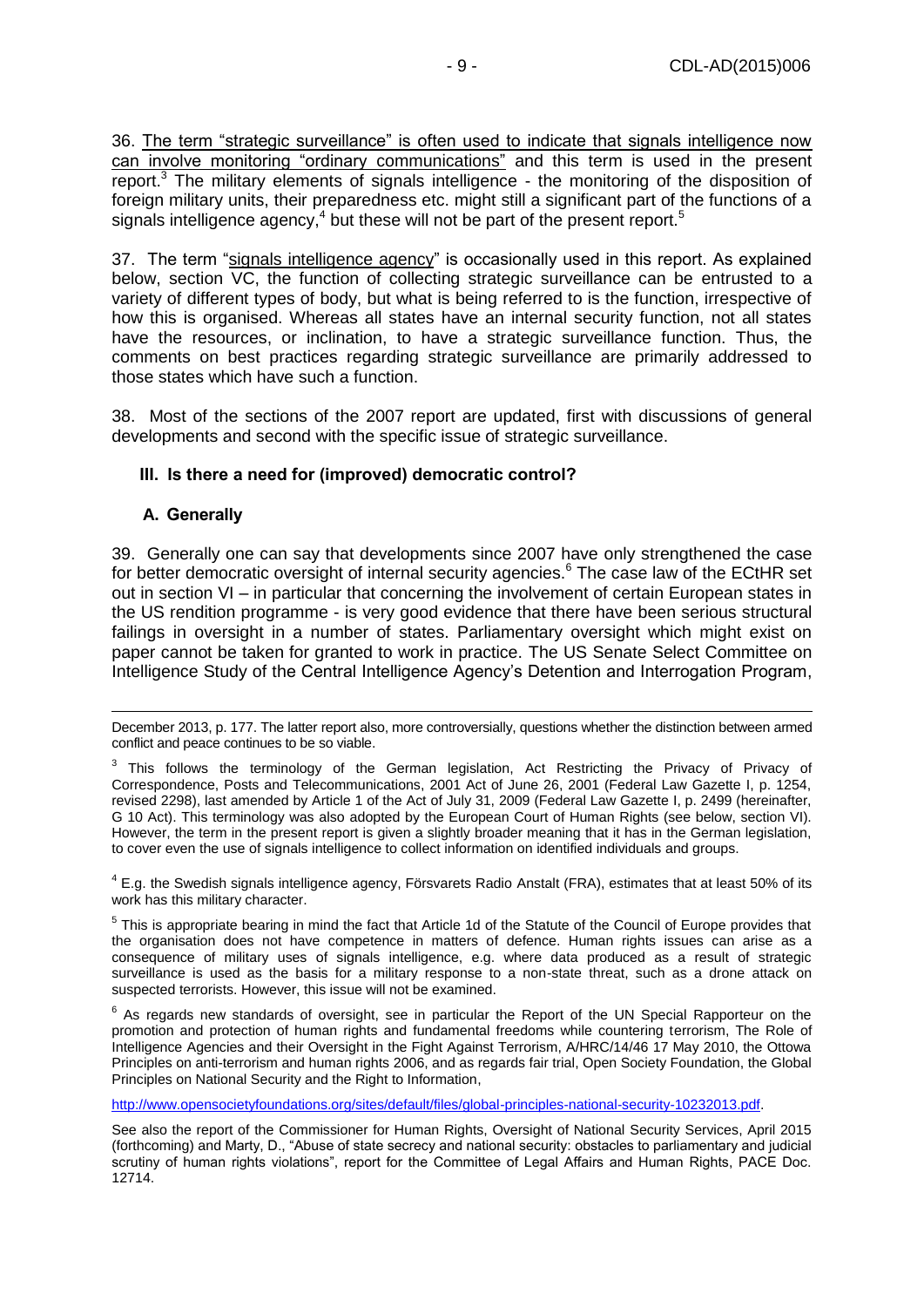36. The term "strategic surveillance" is often used to indicate that signals intelligence now can involve monitoring "ordinary communications" and this term is used in the present report.<sup>3</sup> The military elements of signals intelligence - the monitoring of the disposition of foreign military units, their preparedness etc. might still a significant part of the functions of a signals intelligence agency, $4$  but these will not be part of the present report.<sup>5</sup>

37. The term "signals intelligence agency" is occasionally used in this report. As explained below, section VC, the function of collecting strategic surveillance can be entrusted to a variety of different types of body, but what is being referred to is the function, irrespective of how this is organised. Whereas all states have an internal security function, not all states have the resources, or inclination, to have a strategic surveillance function. Thus, the comments on best practices regarding strategic surveillance are primarily addressed to those states which have such a function.

38. Most of the sections of the 2007 report are updated, first with discussions of general developments and second with the specific issue of strategic surveillance.

#### <span id="page-8-0"></span>**III. Is there a need for (improved) democratic control?**

#### <span id="page-8-1"></span>**A. Generally**

-

39. Generally one can say that developments since 2007 have only strengthened the case for better democratic oversight of internal security agencies.<sup>6</sup> The case law of the ECtHR set out in section VI – in particular that concerning the involvement of certain European states in the US rendition programme - is very good evidence that there have been serious structural failings in oversight in a number of states. Parliamentary oversight which might exist on paper cannot be taken for granted to work in practice. The US Senate Select Committee on Intelligence Study of the Central Intelligence Agency's Detention and Interrogation Program,

 $4$  E.g. the Swedish signals intelligence agency, Försvarets Radio Anstalt (FRA), estimates that at least 50% of its work has this military character.

 $5$  This is appropriate bearing in mind the fact that Article 1d of the Statute of the Council of Europe provides that the organisation does not have competence in matters of defence. Human rights issues can arise as a consequence of military uses of signals intelligence, e.g. where data produced as a result of strategic surveillance is used as the basis for a military response to a non-state threat, such as a drone attack on suspected terrorists. However, this issue will not be examined.

 $6$  As regards new standards of oversight, see in particular the Report of the UN Special Rapporteur on the promotion and protection of human rights and fundamental freedoms while countering terrorism, The Role of Intelligence Agencies and their Oversight in the Fight Against Terrorism, A/HRC/14/46 17 May 2010, the Ottowa Principles on anti-terrorism and human rights 2006, and as regards fair trial, Open Society Foundation, the Global Principles on National Security and the Right to Information,

[http://www.opensocietyfoundations.org/sites/default/files/global-principles-national-security-10232013.pdf.](http://www.opensocietyfoundations.org/sites/default/files/global-principles-national-security-10232013.pdf)

See also the report of the Commissioner for Human Rights, Oversight of National Security Services, April 2015 (forthcoming) and Marty, D., "Abuse of state secrecy and national security: obstacles to parliamentary and judicial scrutiny of human rights violations", report for the Committee of Legal Affairs and Human Rights, PACE Doc. 12714.

December 2013, p. 177. The latter report also, more controversially, questions whether the distinction between armed conflict and peace continues to be so viable.

 $3$  This follows the terminology of the German legislation, Act Restricting the Privacy of Privacy of Correspondence, Posts and Telecommunications, 2001 Act of June 26, 2001 (Federal Law Gazette I, p. 1254, revised 2298), last amended by Article 1 of the Act of July 31, 2009 (Federal Law Gazette I, p. 2499 (hereinafter, G 10 Act). This terminology was also adopted by the European Court of Human Rights (see below, section VI). However, the term in the present report is given a slightly broader meaning that it has in the German legislation, to cover even the use of signals intelligence to collect information on identified individuals and groups.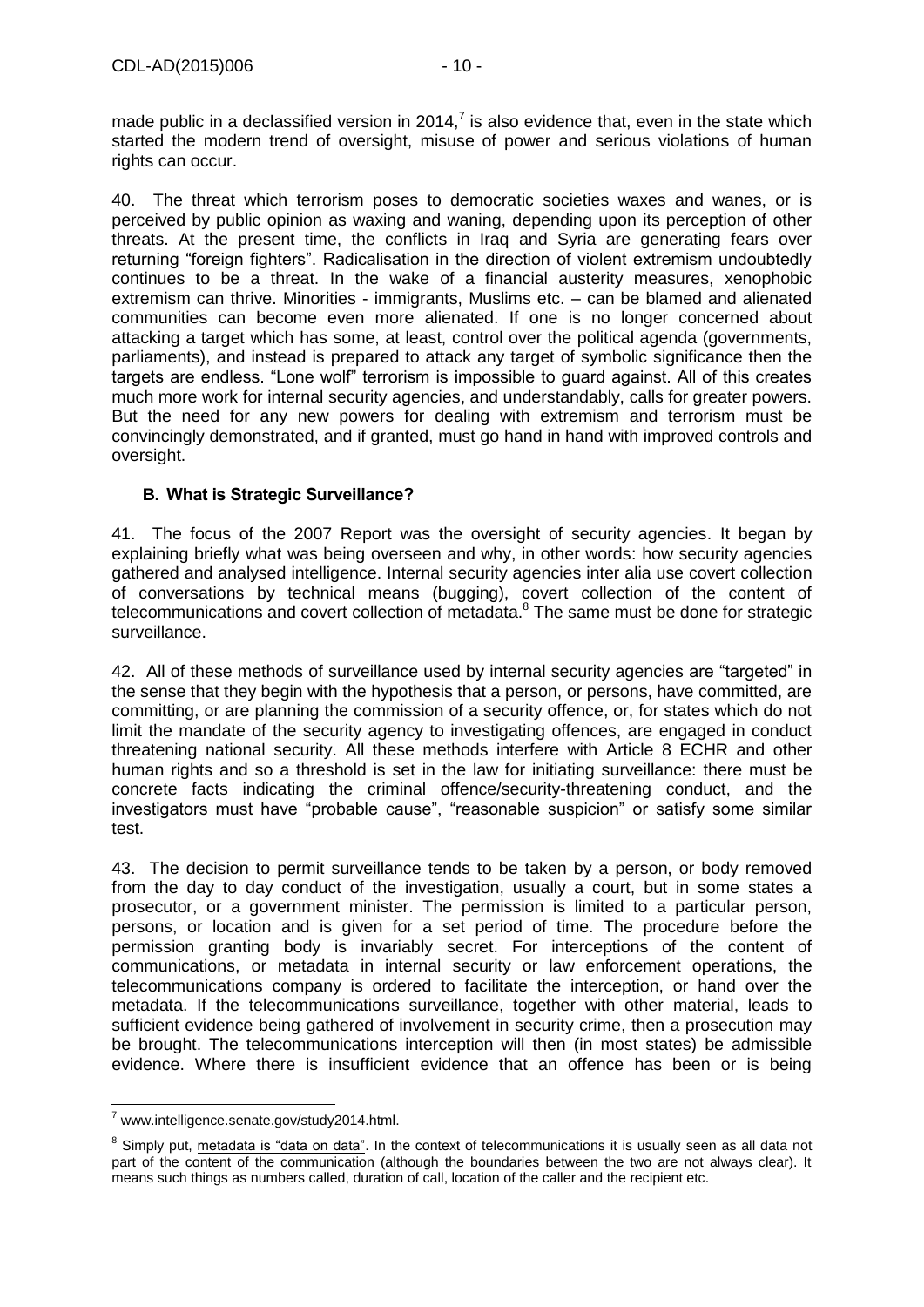made public in a declassified version in 2014,<sup>7</sup> is also evidence that, even in the state which started the modern trend of oversight, misuse of power and serious violations of human rights can occur.

40. The threat which terrorism poses to democratic societies waxes and wanes, or is perceived by public opinion as waxing and waning, depending upon its perception of other threats. At the present time, the conflicts in Iraq and Syria are generating fears over returning "foreign fighters". Radicalisation in the direction of violent extremism undoubtedly continues to be a threat. In the wake of a financial austerity measures, xenophobic extremism can thrive. Minorities - immigrants, Muslims etc. – can be blamed and alienated communities can become even more alienated. If one is no longer concerned about attacking a target which has some, at least, control over the political agenda (governments, parliaments), and instead is prepared to attack any target of symbolic significance then the targets are endless. "Lone wolf" terrorism is impossible to guard against. All of this creates much more work for internal security agencies, and understandably, calls for greater powers. But the need for any new powers for dealing with extremism and terrorism must be convincingly demonstrated, and if granted, must go hand in hand with improved controls and oversight.

### <span id="page-9-0"></span>**B. What is Strategic Surveillance?**

41. The focus of the 2007 Report was the oversight of security agencies. It began by explaining briefly what was being overseen and why, in other words: how security agencies gathered and analysed intelligence. Internal security agencies inter alia use covert collection of conversations by technical means (bugging), covert collection of the content of telecommunications and covert collection of metadata. $8$  The same must be done for strategic surveillance.

42. All of these methods of surveillance used by internal security agencies are "targeted" in the sense that they begin with the hypothesis that a person, or persons, have committed, are committing, or are planning the commission of a security offence, or, for states which do not limit the mandate of the security agency to investigating offences, are engaged in conduct threatening national security. All these methods interfere with Article 8 ECHR and other human rights and so a threshold is set in the law for initiating surveillance: there must be concrete facts indicating the criminal offence/security-threatening conduct, and the investigators must have "probable cause", "reasonable suspicion" or satisfy some similar test.

43. The decision to permit surveillance tends to be taken by a person, or body removed from the day to day conduct of the investigation, usually a court, but in some states a prosecutor, or a government minister. The permission is limited to a particular person, persons, or location and is given for a set period of time. The procedure before the permission granting body is invariably secret. For interceptions of the content of communications, or metadata in internal security or law enforcement operations, the telecommunications company is ordered to facilitate the interception, or hand over the metadata. If the telecommunications surveillance, together with other material, leads to sufficient evidence being gathered of involvement in security crime, then a prosecution may be brought. The telecommunications interception will then (in most states) be admissible evidence. Where there is insufficient evidence that an offence has been or is being

<sup>-</sup> $7$  www.intelligence.senate.gov/study2014.html.

<sup>&</sup>lt;sup>8</sup> Simply put, metadata is "data on data". In the context of telecommunications it is usually seen as all data not part of the content of the communication (although the boundaries between the two are not always clear). It means such things as numbers called, duration of call, location of the caller and the recipient etc.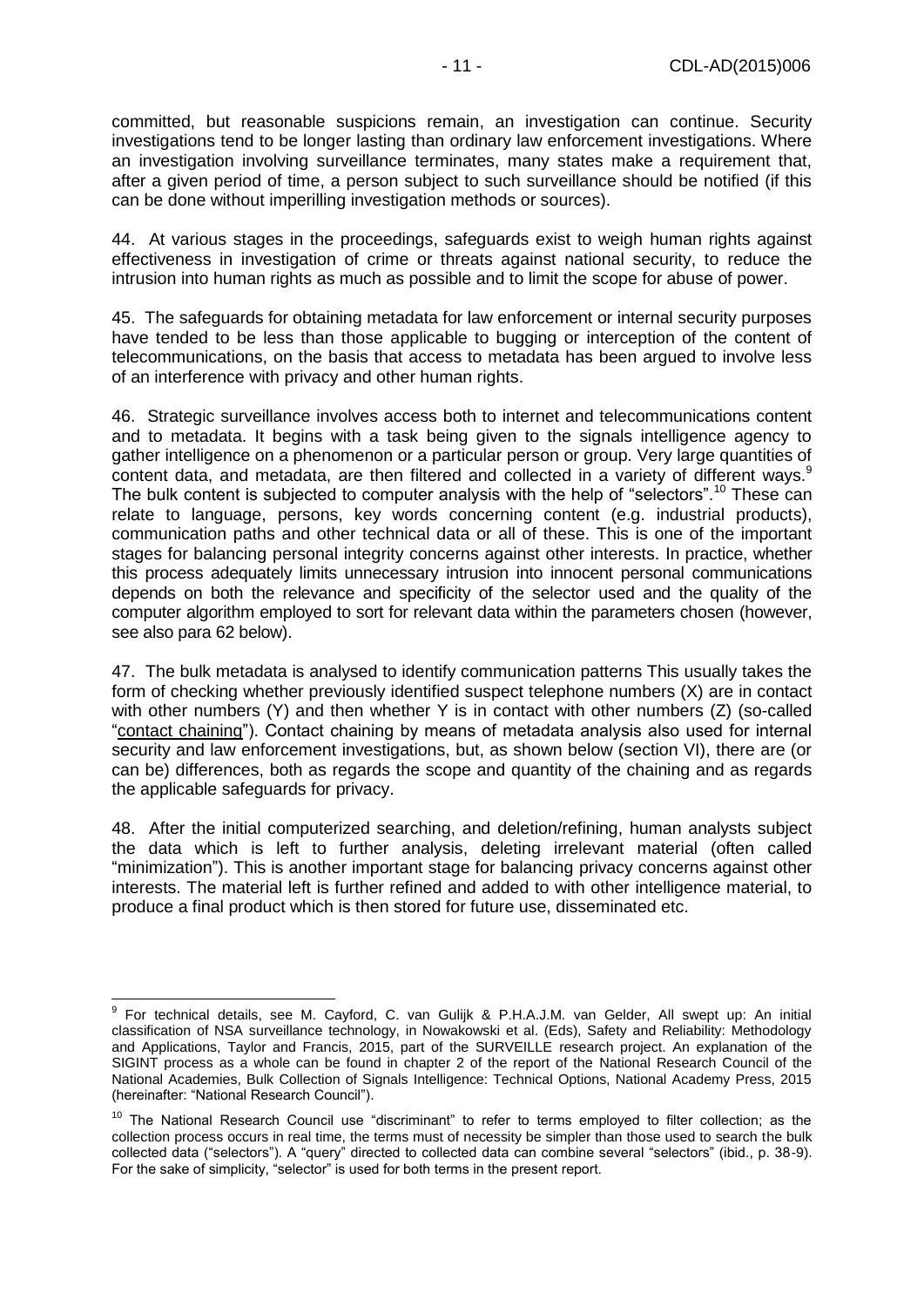committed, but reasonable suspicions remain, an investigation can continue. Security investigations tend to be longer lasting than ordinary law enforcement investigations. Where an investigation involving surveillance terminates, many states make a requirement that, after a given period of time, a person subject to such surveillance should be notified (if this can be done without imperilling investigation methods or sources).

44. At various stages in the proceedings, safeguards exist to weigh human rights against effectiveness in investigation of crime or threats against national security, to reduce the intrusion into human rights as much as possible and to limit the scope for abuse of power.

45. The safeguards for obtaining metadata for law enforcement or internal security purposes have tended to be less than those applicable to bugging or interception of the content of telecommunications, on the basis that access to metadata has been argued to involve less of an interference with privacy and other human rights.

46. Strategic surveillance involves access both to internet and telecommunications content and to metadata. It begins with a task being given to the signals intelligence agency to gather intelligence on a phenomenon or a particular person or group. Very large quantities of content data, and metadata, are then filtered and collected in a variety of different ways.  $9$ The bulk content is subjected to computer analysis with the help of "selectors".<sup>10</sup> These can relate to language, persons, key words concerning content (e.g. industrial products), communication paths and other technical data or all of these. This is one of the important stages for balancing personal integrity concerns against other interests. In practice, whether this process adequately limits unnecessary intrusion into innocent personal communications depends on both the relevance and specificity of the selector used and the quality of the computer algorithm employed to sort for relevant data within the parameters chosen (however, see also para 62 below).

47. The bulk metadata is analysed to identify communication patterns This usually takes the form of checking whether previously identified suspect telephone numbers (X) are in contact with other numbers (Y) and then whether Y is in contact with other numbers (Z) (so-called "contact chaining"). Contact chaining by means of metadata analysis also used for internal security and law enforcement investigations, but, as shown below (section VI), there are (or can be) differences, both as regards the scope and quantity of the chaining and as regards the applicable safeguards for privacy.

48. After the initial computerized searching, and deletion/refining, human analysts subject the data which is left to further analysis, deleting irrelevant material (often called "minimization"). This is another important stage for balancing privacy concerns against other interests. The material left is further refined and added to with other intelligence material, to produce a final product which is then stored for future use, disseminated etc.

 9 For technical details, see M. Cayford, C. van Gulijk & P.H.A.J.M. van Gelder, All swept up: An initial classification of NSA surveillance technology, in Nowakowski et al. (Eds), Safety and Reliability: Methodology and Applications, Taylor and Francis, 2015, part of the SURVEILLE research project. An explanation of the SIGINT process as a whole can be found in chapter 2 of the report of the National Research Council of the National Academies, Bulk Collection of Signals Intelligence: Technical Options, National Academy Press, 2015 (hereinafter: "National Research Council").

<sup>&</sup>lt;sup>10</sup> The National Research Council use "discriminant" to refer to terms employed to filter collection; as the collection process occurs in real time, the terms must of necessity be simpler than those used to search the bulk collected data ("selectors"). A "query" directed to collected data can combine several "selectors" (ibid., p. 38-9). For the sake of simplicity, "selector" is used for both terms in the present report.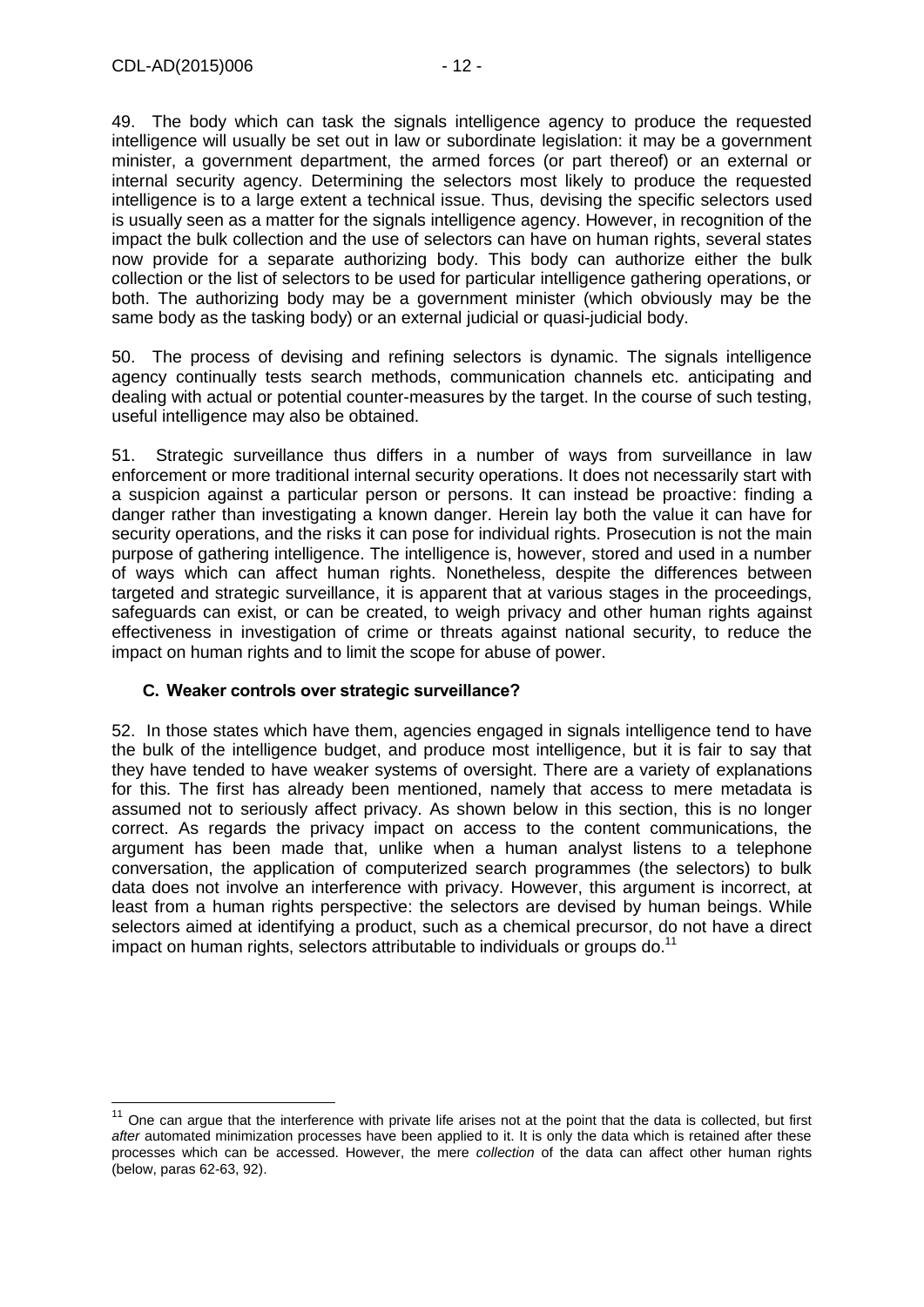-

49. The body which can task the signals intelligence agency to produce the requested intelligence will usually be set out in law or subordinate legislation: it may be a government minister, a government department, the armed forces (or part thereof) or an external or internal security agency. Determining the selectors most likely to produce the requested intelligence is to a large extent a technical issue. Thus, devising the specific selectors used is usually seen as a matter for the signals intelligence agency. However, in recognition of the impact the bulk collection and the use of selectors can have on human rights, several states now provide for a separate authorizing body. This body can authorize either the bulk collection or the list of selectors to be used for particular intelligence gathering operations, or both. The authorizing body may be a government minister (which obviously may be the same body as the tasking body) or an external judicial or quasi-judicial body.

50. The process of devising and refining selectors is dynamic. The signals intelligence agency continually tests search methods, communication channels etc. anticipating and dealing with actual or potential counter-measures by the target. In the course of such testing, useful intelligence may also be obtained.

51. Strategic surveillance thus differs in a number of ways from surveillance in law enforcement or more traditional internal security operations. It does not necessarily start with a suspicion against a particular person or persons. It can instead be proactive: finding a danger rather than investigating a known danger. Herein lay both the value it can have for security operations, and the risks it can pose for individual rights. Prosecution is not the main purpose of gathering intelligence. The intelligence is, however, stored and used in a number of ways which can affect human rights. Nonetheless, despite the differences between targeted and strategic surveillance, it is apparent that at various stages in the proceedings, safeguards can exist, or can be created, to weigh privacy and other human rights against effectiveness in investigation of crime or threats against national security, to reduce the impact on human rights and to limit the scope for abuse of power.

#### <span id="page-11-0"></span>**C. Weaker controls over strategic surveillance?**

52. In those states which have them, agencies engaged in signals intelligence tend to have the bulk of the intelligence budget, and produce most intelligence, but it is fair to say that they have tended to have weaker systems of oversight. There are a variety of explanations for this. The first has already been mentioned, namely that access to mere metadata is assumed not to seriously affect privacy. As shown below in this section, this is no longer correct. As regards the privacy impact on access to the content communications, the argument has been made that, unlike when a human analyst listens to a telephone conversation, the application of computerized search programmes (the selectors) to bulk data does not involve an interference with privacy. However, this argument is incorrect, at least from a human rights perspective: the selectors are devised by human beings. While selectors aimed at identifying a product, such as a chemical precursor, do not have a direct impact on human rights, selectors attributable to individuals or groups do.<sup>11</sup>

 $11$  One can argue that the interference with private life arises not at the point that the data is collected, but first *after* automated minimization processes have been applied to it. It is only the data which is retained after these processes which can be accessed. However, the mere *collection* of the data can affect other human rights (below, paras 62-63, 92).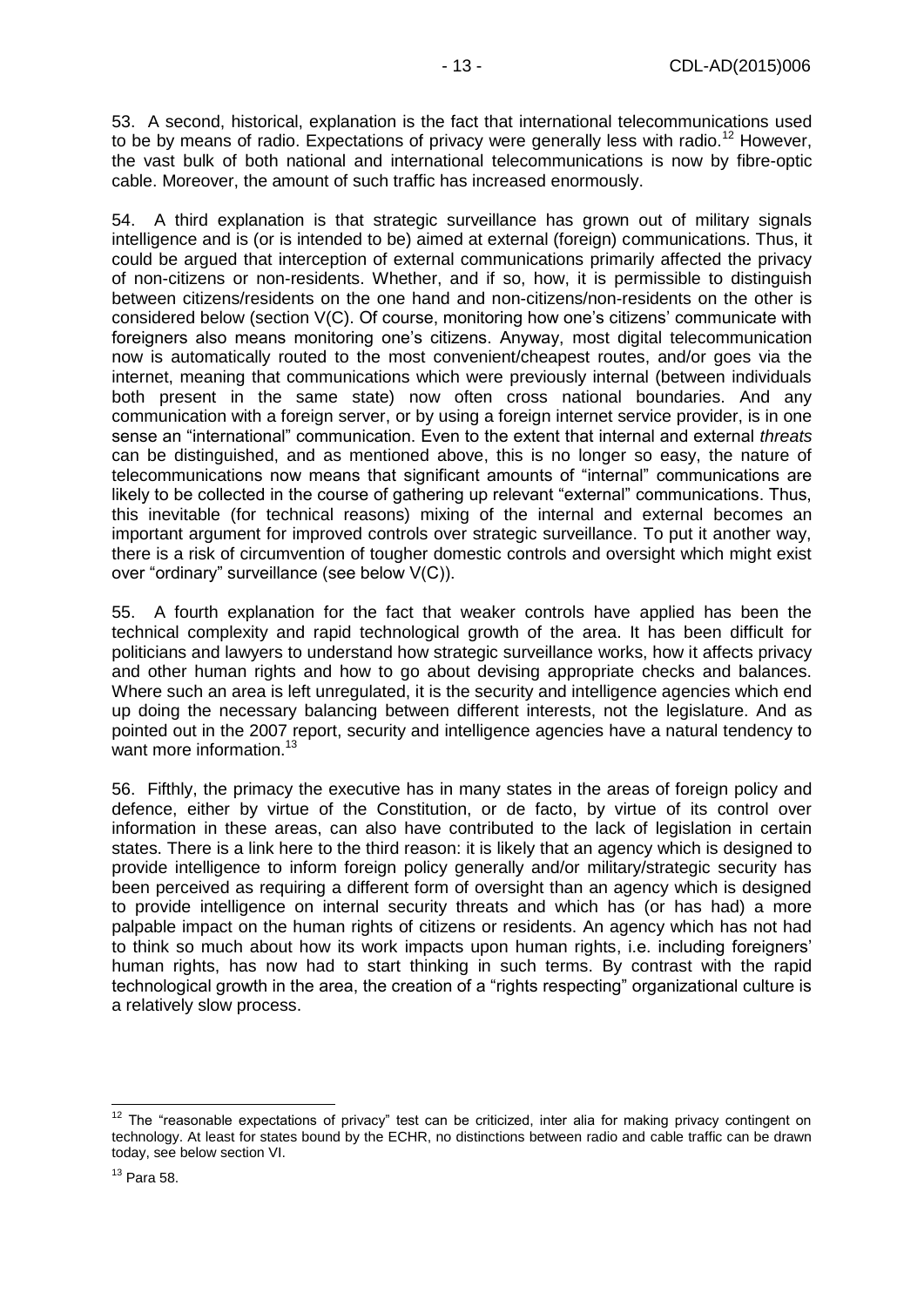53. A second, historical, explanation is the fact that international telecommunications used to be by means of radio. Expectations of privacy were generally less with radio.<sup>12</sup> However, the vast bulk of both national and international telecommunications is now by fibre-optic cable. Moreover, the amount of such traffic has increased enormously.

54. A third explanation is that strategic surveillance has grown out of military signals intelligence and is (or is intended to be) aimed at external (foreign) communications. Thus, it could be argued that interception of external communications primarily affected the privacy of non-citizens or non-residents. Whether, and if so, how, it is permissible to distinguish between citizens/residents on the one hand and non-citizens/non-residents on the other is considered below (section V(C). Of course, monitoring how one's citizens' communicate with foreigners also means monitoring one's citizens. Anyway, most digital telecommunication now is automatically routed to the most convenient/cheapest routes, and/or goes via the internet, meaning that communications which were previously internal (between individuals both present in the same state) now often cross national boundaries. And any communication with a foreign server, or by using a foreign internet service provider, is in one sense an "international" communication. Even to the extent that internal and external *threats* can be distinguished, and as mentioned above, this is no longer so easy, the nature of telecommunications now means that significant amounts of "internal" communications are likely to be collected in the course of gathering up relevant "external" communications. Thus, this inevitable (for technical reasons) mixing of the internal and external becomes an important argument for improved controls over strategic surveillance. To put it another way, there is a risk of circumvention of tougher domestic controls and oversight which might exist over "ordinary" surveillance (see below V(C)).

55. A fourth explanation for the fact that weaker controls have applied has been the technical complexity and rapid technological growth of the area. It has been difficult for politicians and lawyers to understand how strategic surveillance works, how it affects privacy and other human rights and how to go about devising appropriate checks and balances. Where such an area is left unregulated, it is the security and intelligence agencies which end up doing the necessary balancing between different interests, not the legislature. And as pointed out in the 2007 report, security and intelligence agencies have a natural tendency to want more information.<sup>13</sup>

56. Fifthly, the primacy the executive has in many states in the areas of foreign policy and defence, either by virtue of the Constitution, or de facto, by virtue of its control over information in these areas, can also have contributed to the lack of legislation in certain states. There is a link here to the third reason: it is likely that an agency which is designed to provide intelligence to inform foreign policy generally and/or military/strategic security has been perceived as requiring a different form of oversight than an agency which is designed to provide intelligence on internal security threats and which has (or has had) a more palpable impact on the human rights of citizens or residents. An agency which has not had to think so much about how its work impacts upon human rights, i.e. including foreigners' human rights, has now had to start thinking in such terms. By contrast with the rapid technological growth in the area, the creation of a "rights respecting" organizational culture is a relatively slow process.

-

 $12$  The "reasonable expectations of privacy" test can be criticized, inter alia for making privacy contingent on technology. At least for states bound by the ECHR, no distinctions between radio and cable traffic can be drawn today, see below section VI.

<sup>13</sup> Para 58.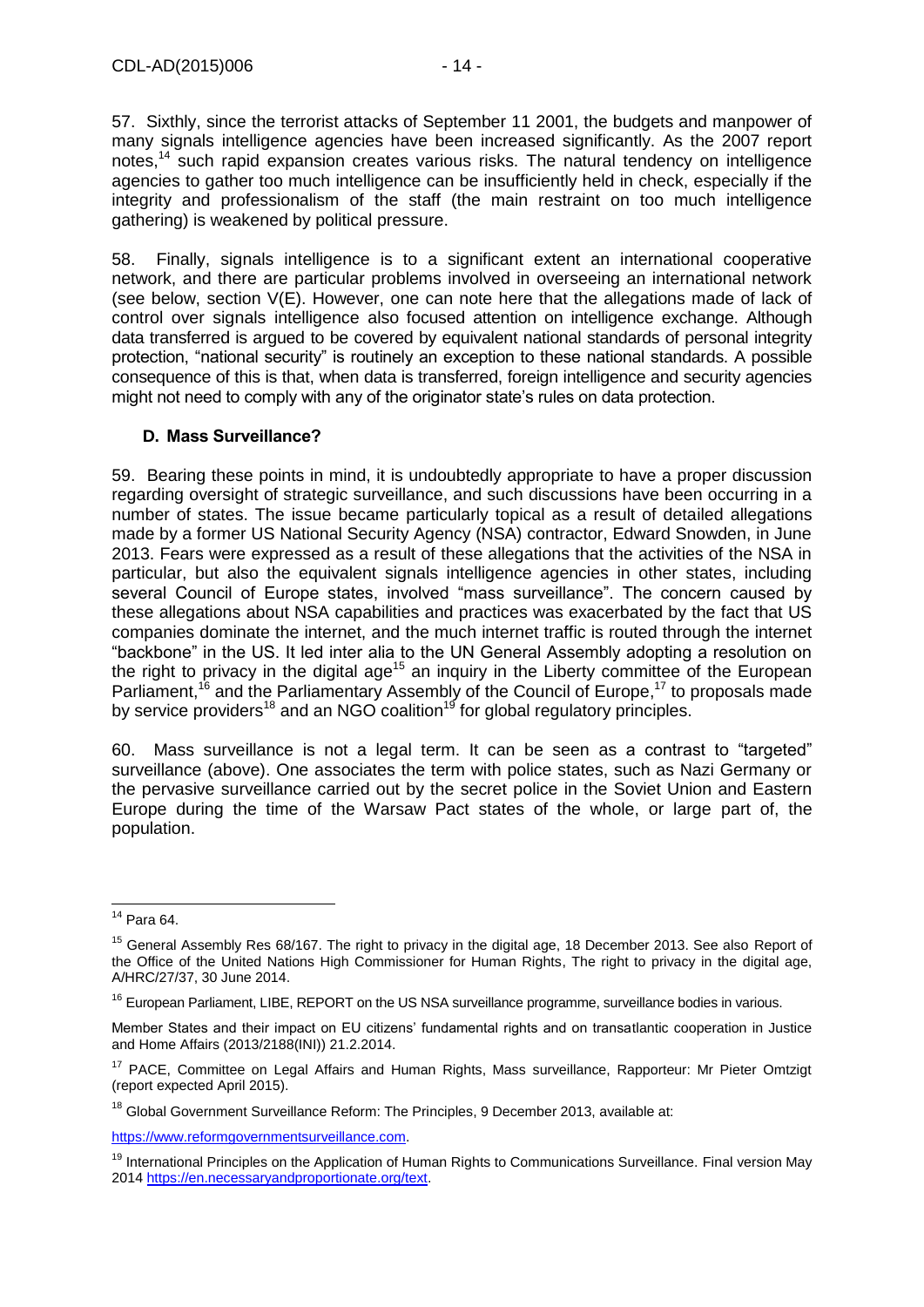57. Sixthly, since the terrorist attacks of September 11 2001, the budgets and manpower of many signals intelligence agencies have been increased significantly. As the 2007 report notes, <sup>14</sup> such rapid expansion creates various risks. The natural tendency on intelligence agencies to gather too much intelligence can be insufficiently held in check, especially if the integrity and professionalism of the staff (the main restraint on too much intelligence gathering) is weakened by political pressure.

58. Finally, signals intelligence is to a significant extent an international cooperative network, and there are particular problems involved in overseeing an international network (see below, section V(E). However, one can note here that the allegations made of lack of control over signals intelligence also focused attention on intelligence exchange. Although data transferred is argued to be covered by equivalent national standards of personal integrity protection, "national security" is routinely an exception to these national standards. A possible consequence of this is that, when data is transferred, foreign intelligence and security agencies might not need to comply with any of the originator state's rules on data protection.

#### <span id="page-13-0"></span>**D. Mass Surveillance?**

59. Bearing these points in mind, it is undoubtedly appropriate to have a proper discussion regarding oversight of strategic surveillance, and such discussions have been occurring in a number of states. The issue became particularly topical as a result of detailed allegations made by a former US National Security Agency (NSA) contractor, Edward Snowden, in June 2013. Fears were expressed as a result of these allegations that the activities of the NSA in particular, but also the equivalent signals intelligence agencies in other states, including several Council of Europe states, involved "mass surveillance". The concern caused by these allegations about NSA capabilities and practices was exacerbated by the fact that US companies dominate the internet, and the much internet traffic is routed through the internet "backbone" in the US. It led inter alia to the UN General Assembly adopting a resolution on the right to privacy in the digital age<sup>15</sup> an inquiry in the Liberty committee of the European Parliament,<sup>16</sup> and the Parliamentary Assembly of the Council of Europe,<sup>17</sup> to proposals made by service providers<sup>18</sup> and an NGO coalition<sup>19</sup> for global regulatory principles.

60. Mass surveillance is not a legal term. It can be seen as a contrast to "targeted" surveillance (above). One associates the term with police states, such as Nazi Germany or the pervasive surveillance carried out by the secret police in the Soviet Union and Eastern Europe during the time of the Warsaw Pact states of the whole, or large part of, the population.

[https://www.reformgovernmentsurveillance.com.](https://www.reformgovernmentsurveillance.com/)

 $\overline{1}$  $14$  Para 64.

<sup>&</sup>lt;sup>15</sup> General Assembly Res 68/167. The right to privacy in the digital age, 18 December 2013. See also Report of the Office of the United Nations High Commissioner for Human Rights, The right to privacy in the digital age, A/HRC/27/37, 30 June 2014.

<sup>&</sup>lt;sup>16</sup> European Parliament, LIBE, REPORT on the US NSA surveillance programme, surveillance bodies in various.

Member States and their impact on EU citizens' fundamental rights and on transatlantic cooperation in Justice and Home Affairs (2013/2188(INI)) 21.2.2014.

<sup>&</sup>lt;sup>17</sup> PACE, Committee on Legal Affairs and Human Rights, Mass surveillance, Rapporteur: Mr Pieter Omtzigt (report expected April 2015).

<sup>&</sup>lt;sup>18</sup> Global Government Surveillance Reform: The Principles, 9 December 2013, available at:

<sup>&</sup>lt;sup>19</sup> International Principles on the Application of Human Rights to Communications Surveillance. Final version May 201[4 https://en.necessaryandproportionate.org/text.](https://en.necessaryandproportionate.org/text)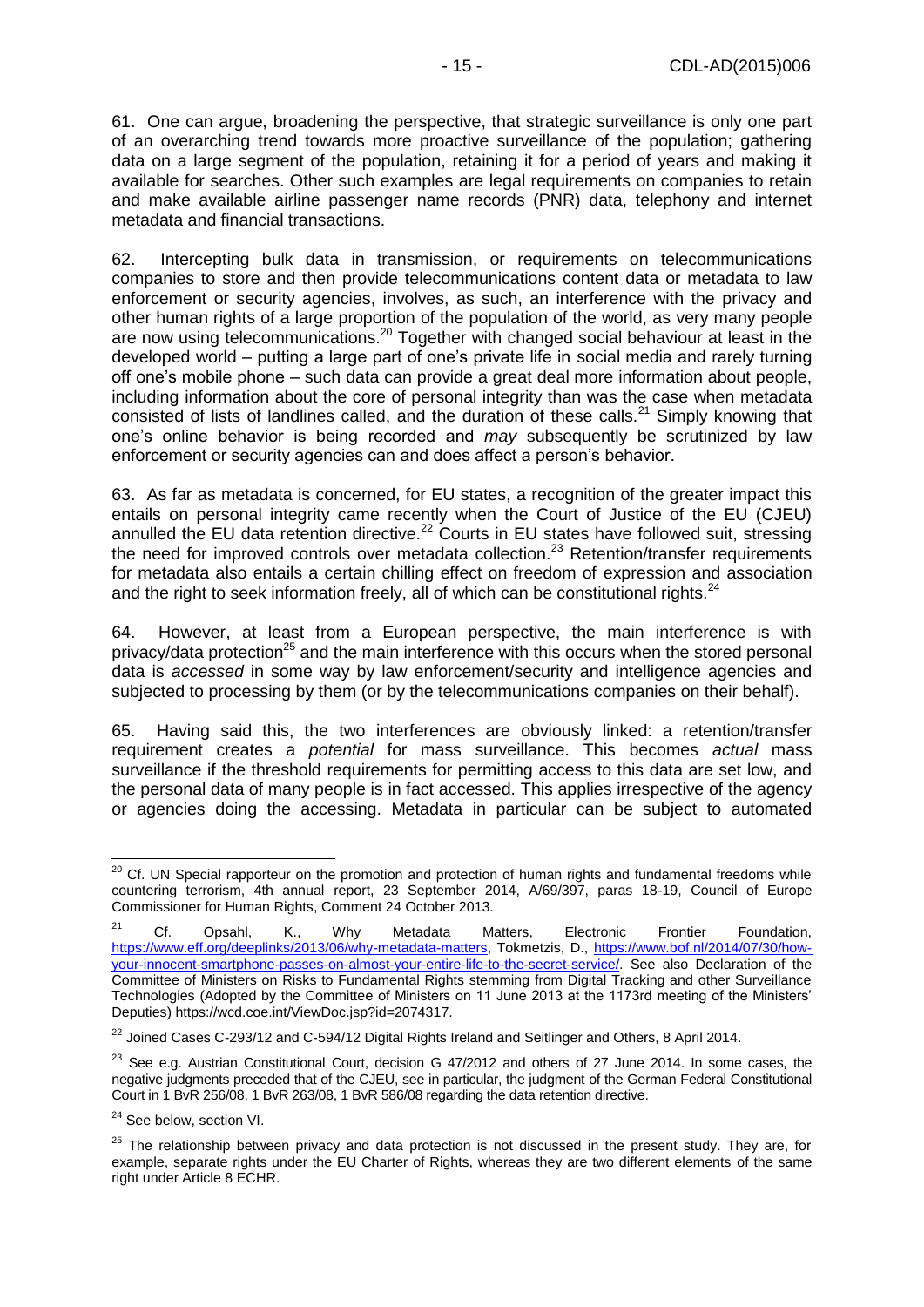61. One can argue, broadening the perspective, that strategic surveillance is only one part of an overarching trend towards more proactive surveillance of the population; gathering data on a large segment of the population, retaining it for a period of years and making it available for searches. Other such examples are legal requirements on companies to retain and make available airline passenger name records (PNR) data, telephony and internet metadata and financial transactions.

62. Intercepting bulk data in transmission, or requirements on telecommunications companies to store and then provide telecommunications content data or metadata to law enforcement or security agencies, involves, as such, an interference with the privacy and other human rights of a large proportion of the population of the world, as very many people are now using telecommunications.<sup>20</sup> Together with changed social behaviour at least in the developed world – putting a large part of one's private life in social media and rarely turning off one's mobile phone – such data can provide a great deal more information about people, including information about the core of personal integrity than was the case when metadata consisted of lists of landlines called, and the duration of these calls.<sup>21</sup> Simply knowing that one's online behavior is being recorded and *may* subsequently be scrutinized by law enforcement or security agencies can and does affect a person's behavior.

63. As far as metadata is concerned, for EU states, a recognition of the greater impact this entails on personal integrity came recently when the Court of Justice of the EU (CJEU) annulled the EU data retention directive.<sup>22</sup> Courts in EU states have followed suit, stressing the need for improved controls over metadata collection.<sup>23</sup> Retention/transfer requirements for metadata also entails a certain chilling effect on freedom of expression and association and the right to seek information freely, all of which can be constitutional rights.<sup>24</sup>

64. However, at least from a European perspective, the main interference is with privacy/data protection<sup>25</sup> and the main interference with this occurs when the stored personal data is *accessed* in some way by law enforcement/security and intelligence agencies and subjected to processing by them (or by the telecommunications companies on their behalf).

65. Having said this, the two interferences are obviously linked: a retention/transfer requirement creates a *potential* for mass surveillance. This becomes *actual* mass surveillance if the threshold requirements for permitting access to this data are set low, and the personal data of many people is in fact accessed. This applies irrespective of the agency or agencies doing the accessing. Metadata in particular can be subject to automated

-

<sup>&</sup>lt;sup>20</sup> Cf. UN Special rapporteur on the promotion and protection of human rights and fundamental freedoms while countering terrorism, 4th annual report, 23 September 2014, A/69/397, paras 18-19, Council of Europe Commissioner for Human Rights, Comment 24 October 2013.

<sup>&</sup>lt;sup>21</sup> Cf. Opsahl, K., Why Metadata Matters, Electronic Frontier Foundation, [https://www.eff.org/deeplinks/2013/06/why-metadata-matters,](https://www.eff.org/deeplinks/2013/06/why-metadata-matters) Tokmetzis, D., [https://www.bof.nl/2014/07/30/how](https://www.bof.nl/2014/07/30/how-your-innocent-smartphone-passes-on-almost-your-entire-life-to-the-secret-service/)[your-innocent-smartphone-passes-on-almost-your-entire-life-to-the-secret-service/.](https://www.bof.nl/2014/07/30/how-your-innocent-smartphone-passes-on-almost-your-entire-life-to-the-secret-service/) See also Declaration of the Committee of Ministers on Risks to Fundamental Rights stemming from Digital Tracking and other Surveillance Technologies (Adopted by the Committee of Ministers on 11 June 2013 at the 1173rd meeting of the Ministers' Deputies) https://wcd.coe.int/ViewDoc.jsp?id=2074317.

<sup>&</sup>lt;sup>22</sup> Joined Cases C-293/12 and C-594/12 Digital Rights Ireland and Seitlinger and Others, 8 April 2014.

 $^{23}$  See e.g. Austrian Constitutional Court, decision G 47/2012 and others of 27 June 2014. In some cases, the negative judgments preceded that of the CJEU, see in particular, the judgment of the German Federal Constitutional Court in 1 BvR 256/08, 1 BvR 263/08, 1 BvR 586/08 regarding the data retention directive.

<sup>&</sup>lt;sup>24</sup> See below, section VI.

 $25$  The relationship between privacy and data protection is not discussed in the present study. They are, for example, separate rights under the EU Charter of Rights, whereas they are two different elements of the same right under Article 8 ECHR.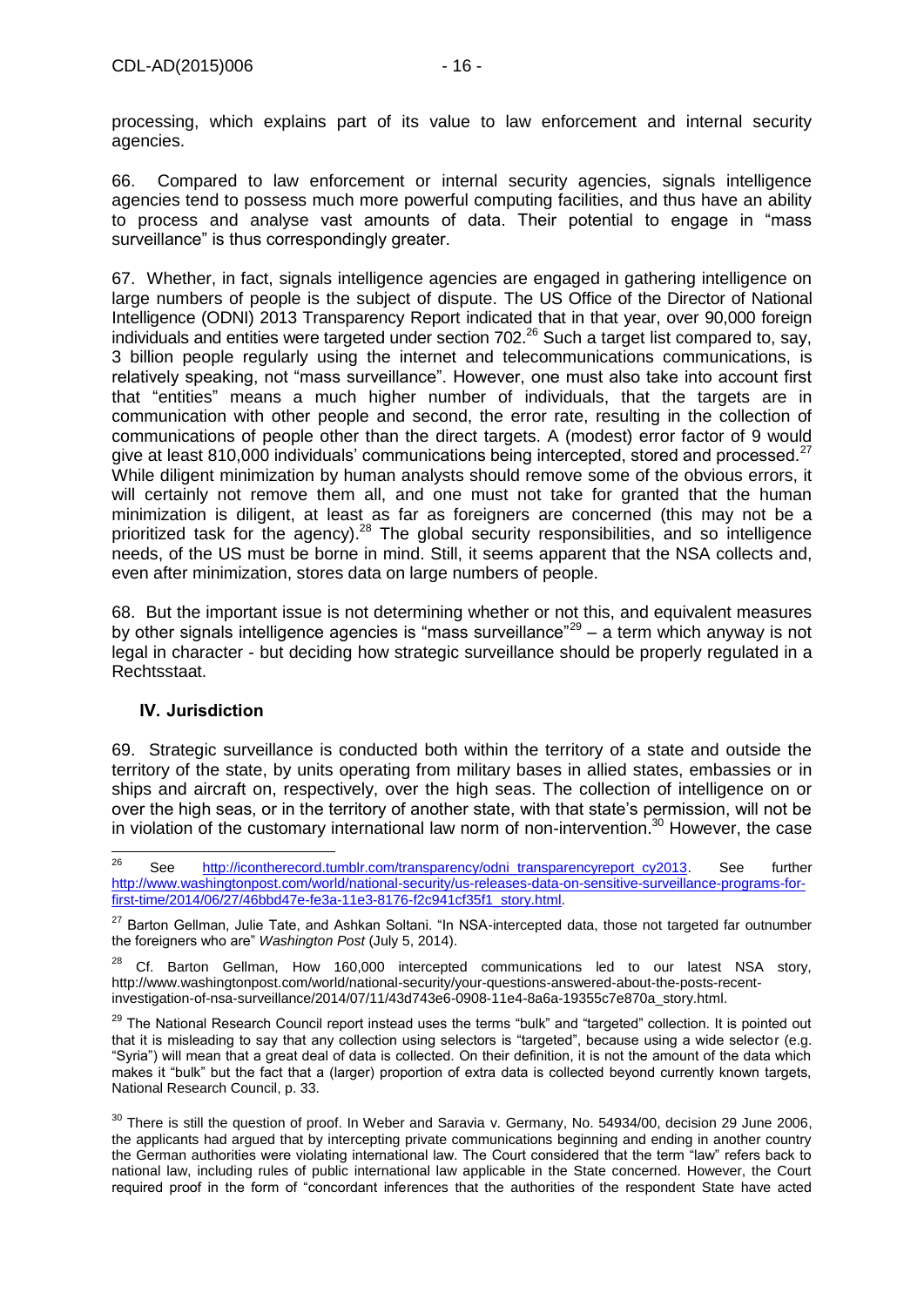processing, which explains part of its value to law enforcement and internal security agencies.

66. Compared to law enforcement or internal security agencies, signals intelligence agencies tend to possess much more powerful computing facilities, and thus have an ability to process and analyse vast amounts of data. Their potential to engage in "mass surveillance" is thus correspondingly greater.

67. Whether, in fact, signals intelligence agencies are engaged in gathering intelligence on large numbers of people is the subject of dispute. The US Office of the Director of National Intelligence (ODNI) 2013 Transparency Report indicated that in that year, over 90,000 foreign individuals and entities were targeted under section 702.<sup>26</sup> Such a target list compared to, say, 3 billion people regularly using the internet and telecommunications communications, is relatively speaking, not "mass surveillance". However, one must also take into account first that "entities" means a much higher number of individuals, that the targets are in communication with other people and second, the error rate, resulting in the collection of communications of people other than the direct targets. A (modest) error factor of 9 would give at least 810,000 individuals' communications being intercepted, stored and processed. $^{27}$ While diligent minimization by human analysts should remove some of the obvious errors, it will certainly not remove them all, and one must not take for granted that the human minimization is diligent, at least as far as foreigners are concerned (this may not be a prioritized task for the agency).<sup>28</sup> The global security responsibilities, and so intelligence needs, of the US must be borne in mind. Still, it seems apparent that the NSA collects and, even after minimization, stores data on large numbers of people.

68. But the important issue is not determining whether or not this, and equivalent measures by other signals intelligence agencies is "mass surveillance" $29 - a$  term which anyway is not legal in character - but deciding how strategic surveillance should be properly regulated in a Rechtsstaat.

#### <span id="page-15-0"></span>**IV. Jurisdiction**

69. Strategic surveillance is conducted both within the territory of a state and outside the territory of the state, by units operating from military bases in allied states, embassies or in ships and aircraft on, respectively, over the high seas. The collection of intelligence on or over the high seas, or in the territory of another state, with that state's permission, will not be in violation of the customary international law norm of non-intervention. <sup>30</sup> However, the case

<sup>26</sup> <sup>26</sup> See [http://icontherecord.tumblr.com/transparency/odni\\_transparencyreport\\_cy2013.](http://icontherecord.tumblr.com/transparency/odni_transparencyreport_cy2013) See further [http://www.washingtonpost.com/world/national-security/us-releases-data-on-sensitive-surveillance-programs-for](http://www.washingtonpost.com/world/national-security/us-releases-data-on-sensitive-surveillance-programs-for-first-time/2014/06/27/46bbd47e-fe3a-11e3-8176-f2c941cf35f1_story.html)[first-time/2014/06/27/46bbd47e-fe3a-11e3-8176-f2c941cf35f1\\_story.html.](http://www.washingtonpost.com/world/national-security/us-releases-data-on-sensitive-surveillance-programs-for-first-time/2014/06/27/46bbd47e-fe3a-11e3-8176-f2c941cf35f1_story.html)

<sup>&</sup>lt;sup>27</sup> Barton Gellman, Julie Tate, and Ashkan Soltani. "In NSA-intercepted data, those not targeted far outnumber the foreigners who are" *Washington Post* (July 5, 2014).

 $28$  Cf. Barton Gellman, How 160,000 intercepted communications led to our latest NSA story, http://www.washingtonpost.com/world/national-security/your-questions-answered-about-the-posts-recentinvestigation-of-nsa-surveillance/2014/07/11/43d743e6-0908-11e4-8a6a-19355c7e870a\_story.html.

<sup>&</sup>lt;sup>29</sup> The National Research Council report instead uses the terms "bulk" and "targeted" collection. It is pointed out that it is misleading to say that any collection using selectors is "targeted", because using a wide selector (e.g. "Syria") will mean that a great deal of data is collected. On their definition, it is not the amount of the data which makes it "bulk" but the fact that a (larger) proportion of extra data is collected beyond currently known targets, National Research Council, p. 33.

<sup>&</sup>lt;sup>30</sup> There is still the question of proof. In Weber and Saravia v. Germany, No. 54934/00, decision 29 June 2006, the applicants had argued that by intercepting private communications beginning and ending in another country the German authorities were violating international law. The Court considered that the term "law" refers back to national law, including rules of public international law applicable in the State concerned. However, the Court required proof in the form of "concordant inferences that the authorities of the respondent State have acted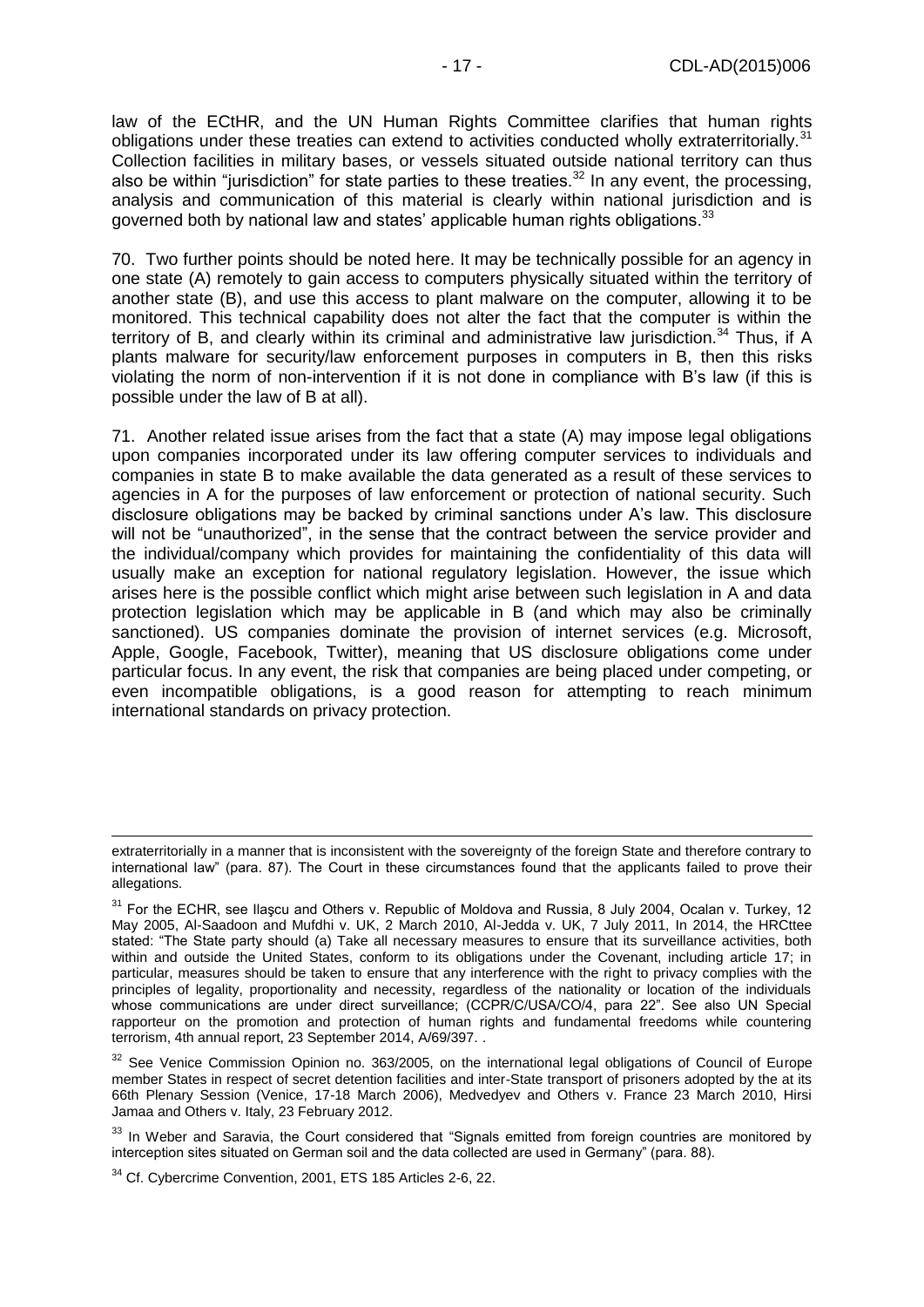law of the ECtHR, and the UN Human Rights Committee clarifies that human rights obligations under these treaties can extend to activities conducted wholly extraterritorially.<sup>31</sup> Collection facilities in military bases, or vessels situated outside national territory can thus also be within "jurisdiction" for state parties to these treaties.<sup>32</sup> In any event, the processing, analysis and communication of this material is clearly within national jurisdiction and is governed both by national law and states' applicable human rights obligations.<sup>33</sup>

70. Two further points should be noted here. It may be technically possible for an agency in one state (A) remotely to gain access to computers physically situated within the territory of another state (B), and use this access to plant malware on the computer, allowing it to be monitored. This technical capability does not alter the fact that the computer is within the territory of B, and clearly within its criminal and administrative law jurisdiction.<sup>34</sup> Thus, if A plants malware for security/law enforcement purposes in computers in B, then this risks violating the norm of non-intervention if it is not done in compliance with B's law (if this is possible under the law of B at all).

71. Another related issue arises from the fact that a state (A) may impose legal obligations upon companies incorporated under its law offering computer services to individuals and companies in state B to make available the data generated as a result of these services to agencies in A for the purposes of law enforcement or protection of national security. Such disclosure obligations may be backed by criminal sanctions under A's law. This disclosure will not be "unauthorized", in the sense that the contract between the service provider and the individual/company which provides for maintaining the confidentiality of this data will usually make an exception for national regulatory legislation. However, the issue which arises here is the possible conflict which might arise between such legislation in A and data protection legislation which may be applicable in B (and which may also be criminally sanctioned). US companies dominate the provision of internet services (e.g. Microsoft, Apple, Google, Facebook, Twitter), meaning that US disclosure obligations come under particular focus. In any event, the risk that companies are being placed under competing, or even incompatible obligations, is a good reason for attempting to reach minimum international standards on privacy protection.

-

extraterritorially in a manner that is inconsistent with the sovereignty of the foreign State and therefore contrary to international law" (para. 87). The Court in these circumstances found that the applicants failed to prove their allegations.

<sup>&</sup>lt;sup>31</sup> For the ECHR, see Ilascu and Others v. Republic of Moldova and Russia, 8 July 2004, Ocalan v. Turkey, 12 May 2005, Al-Saadoon and Mufdhi v. UK, 2 March 2010, Al-Jedda v. UK, 7 July 2011, In 2014, the HRCttee stated: "The State party should (a) Take all necessary measures to ensure that its surveillance activities, both within and outside the United States, conform to its obligations under the Covenant, including article 17; in particular, measures should be taken to ensure that any interference with the right to privacy complies with the principles of legality, proportionality and necessity, regardless of the nationality or location of the individuals whose communications are under direct surveillance; (CCPR/C/USA/CO/4, para 22". See also UN Special rapporteur on the promotion and protection of human rights and fundamental freedoms while countering terrorism, 4th annual report, 23 September 2014, A/69/397. .

<sup>&</sup>lt;sup>32</sup> See Venice Commission Opinion no. 363/2005, on the international legal obligations of Council of Europe member States in respect of secret detention facilities and inter-State transport of prisoners adopted by the at its 66th Plenary Session (Venice, 17-18 March 2006), Medvedyev and Others v. France 23 March 2010, Hirsi Jamaa and Others v. Italy, 23 February 2012.

<sup>&</sup>lt;sup>33</sup> In Weber and Saravia, the Court considered that "Signals emitted from foreign countries are monitored by interception sites situated on German soil and the data collected are used in Germany" (para. 88).

<sup>&</sup>lt;sup>34</sup> Cf. Cybercrime Convention, 2001, ETS 185 Articles 2-6, 22.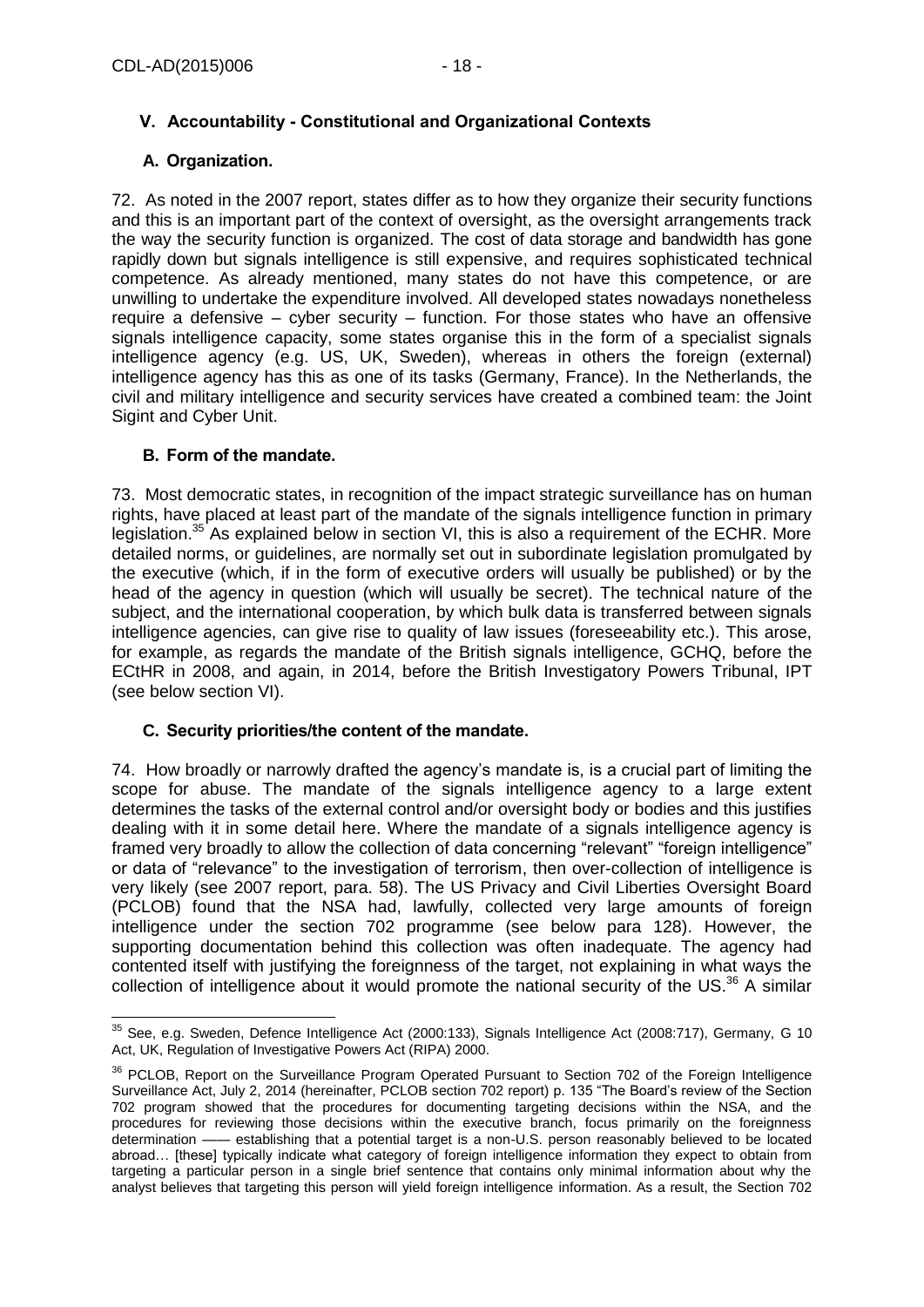# <span id="page-17-0"></span>**V. Accountability - Constitutional and Organizational Contexts**

# <span id="page-17-1"></span>**A. Organization.**

72. As noted in the 2007 report, states differ as to how they organize their security functions and this is an important part of the context of oversight, as the oversight arrangements track the way the security function is organized. The cost of data storage and bandwidth has gone rapidly down but signals intelligence is still expensive, and requires sophisticated technical competence. As already mentioned, many states do not have this competence, or are unwilling to undertake the expenditure involved. All developed states nowadays nonetheless require a defensive – cyber security – function. For those states who have an offensive signals intelligence capacity, some states organise this in the form of a specialist signals intelligence agency (e.g. US, UK, Sweden), whereas in others the foreign (external) intelligence agency has this as one of its tasks (Germany, France). In the Netherlands, the civil and military intelligence and security services have created a combined team: the Joint Sigint and Cyber Unit.

# <span id="page-17-2"></span>**B. Form of the mandate.**

73. Most democratic states, in recognition of the impact strategic surveillance has on human rights, have placed at least part of the mandate of the signals intelligence function in primary legislation.<sup>35</sup> As explained below in section VI, this is also a requirement of the ECHR. More detailed norms, or guidelines, are normally set out in subordinate legislation promulgated by the executive (which, if in the form of executive orders will usually be published) or by the head of the agency in question (which will usually be secret). The technical nature of the subject, and the international cooperation, by which bulk data is transferred between signals intelligence agencies, can give rise to quality of law issues (foreseeability etc.). This arose, for example, as regards the mandate of the British signals intelligence, GCHQ, before the ECtHR in 2008, and again, in 2014, before the British Investigatory Powers Tribunal, IPT (see below section VI).

# <span id="page-17-3"></span>**C. Security priorities/the content of the mandate.**

74. How broadly or narrowly drafted the agency's mandate is, is a crucial part of limiting the scope for abuse. The mandate of the signals intelligence agency to a large extent determines the tasks of the external control and/or oversight body or bodies and this justifies dealing with it in some detail here. Where the mandate of a signals intelligence agency is framed very broadly to allow the collection of data concerning "relevant" "foreign intelligence" or data of "relevance" to the investigation of terrorism, then over-collection of intelligence is very likely (see 2007 report, para. 58). The US Privacy and Civil Liberties Oversight Board (PCLOB) found that the NSA had, lawfully, collected very large amounts of foreign intelligence under the section 702 programme (see below para 128). However, the supporting documentation behind this collection was often inadequate. The agency had contented itself with justifying the foreignness of the target, not explaining in what ways the collection of intelligence about it would promote the national security of the US.<sup>36</sup> A similar

 $\overline{a}$  $35$  See, e.g. Sweden, Defence Intelligence Act (2000:133), Signals Intelligence Act (2008:717), Germany, G 10 Act, UK, Regulation of Investigative Powers Act (RIPA) 2000.

<sup>&</sup>lt;sup>36</sup> PCLOB, Report on the Surveillance Program Operated Pursuant to Section 702 of the Foreign Intelligence Surveillance Act, July 2, 2014 (hereinafter, PCLOB section 702 report) p. 135 "The Board's review of the Section 702 program showed that the procedures for documenting targeting decisions within the NSA, and the procedures for reviewing those decisions within the executive branch, focus primarily on the foreignness determination —— establishing that a potential target is a non-U.S. person reasonably believed to be located abroad… [these] typically indicate what category of foreign intelligence information they expect to obtain from targeting a particular person in a single brief sentence that contains only minimal information about why the analyst believes that targeting this person will yield foreign intelligence information. As a result, the Section 702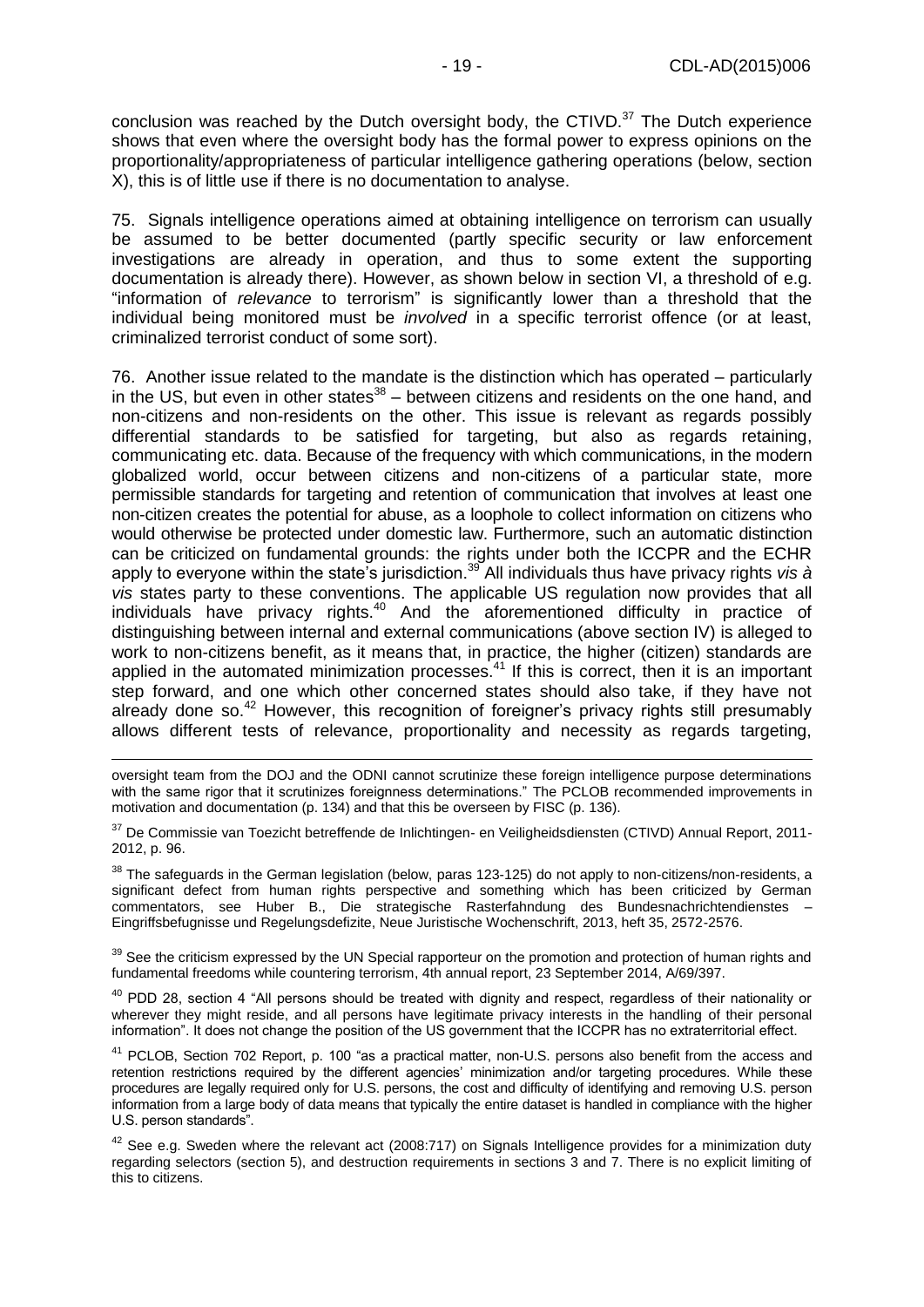conclusion was reached by the Dutch oversight body, the CTIVD. $37$  The Dutch experience shows that even where the oversight body has the formal power to express opinions on the proportionality/appropriateness of particular intelligence gathering operations (below, section X), this is of little use if there is no documentation to analyse.

75. Signals intelligence operations aimed at obtaining intelligence on terrorism can usually be assumed to be better documented (partly specific security or law enforcement investigations are already in operation, and thus to some extent the supporting documentation is already there). However, as shown below in section VI, a threshold of e.g. "information of *relevance* to terrorism" is significantly lower than a threshold that the individual being monitored must be *involved* in a specific terrorist offence (or at least, criminalized terrorist conduct of some sort).

76. Another issue related to the mandate is the distinction which has operated – particularly in the US, but even in other states $38$  – between citizens and residents on the one hand, and non-citizens and non-residents on the other. This issue is relevant as regards possibly differential standards to be satisfied for targeting, but also as regards retaining, communicating etc. data. Because of the frequency with which communications, in the modern globalized world, occur between citizens and non-citizens of a particular state, more permissible standards for targeting and retention of communication that involves at least one non-citizen creates the potential for abuse, as a loophole to collect information on citizens who would otherwise be protected under domestic law. Furthermore, such an automatic distinction can be criticized on fundamental grounds: the rights under both the ICCPR and the ECHR apply to everyone within the state's jurisdiction.<sup>39</sup> All individuals thus have privacy rights *vis à vis* states party to these conventions. The applicable US regulation now provides that all individuals have privacy rights.<sup>40</sup> And the aforementioned difficulty in practice of distinguishing between internal and external communications (above section IV) is alleged to work to non-citizens benefit, as it means that, in practice, the higher (citizen) standards are applied in the automated minimization processes.<sup>41</sup> If this is correct, then it is an important step forward, and one which other concerned states should also take, if they have not already done so.<sup>42</sup> However, this recognition of foreigner's privacy rights still presumably allows different tests of relevance, proportionality and necessity as regards targeting,

oversight team from the DOJ and the ODNI cannot scrutinize these foreign intelligence purpose determinations with the same rigor that it scrutinizes foreignness determinations." The PCLOB recommended improvements in motivation and documentation (p. 134) and that this be overseen by FISC (p. 136).

<sup>37</sup> De Commissie van Toezicht betreffende de Inlichtingen- en Veiligheidsdiensten (CTIVD) Annual Report, 2011-2012, p. 96.

<sup>38</sup> The safeguards in the German legislation (below, paras 123-125) do not apply to non-citizens/non-residents, a significant defect from human rights perspective and something which has been criticized by German commentators, see Huber B., Die strategische Rasterfahndung des Bundesnachrichtendienstes – Eingriffsbefugnisse und Regelungsdefizite, Neue Juristische Wochenschrift, 2013, heft 35, 2572-2576.

<sup>39</sup> See the criticism expressed by the UN Special rapporteur on the promotion and protection of human rights and fundamental freedoms while countering terrorism, 4th annual report, 23 September 2014, A/69/397.

<sup>40</sup> PDD 28, section 4 "All persons should be treated with dignity and respect, regardless of their nationality or wherever they might reside, and all persons have legitimate privacy interests in the handling of their personal information". It does not change the position of the US government that the ICCPR has no extraterritorial effect.

<sup>41</sup> PCLOB, Section 702 Report, p. 100 "as a practical matter, non-U.S. persons also benefit from the access and retention restrictions required by the different agencies' minimization and/or targeting procedures. While these procedures are legally required only for U.S. persons, the cost and difficulty of identifying and removing U.S. person information from a large body of data means that typically the entire dataset is handled in compliance with the higher U.S. person standards".

 $42$  See e.a. Sweden where the relevant act (2008:717) on Signals Intelligence provides for a minimization duty regarding selectors (section 5), and destruction requirements in sections 3 and 7. There is no explicit limiting of this to citizens.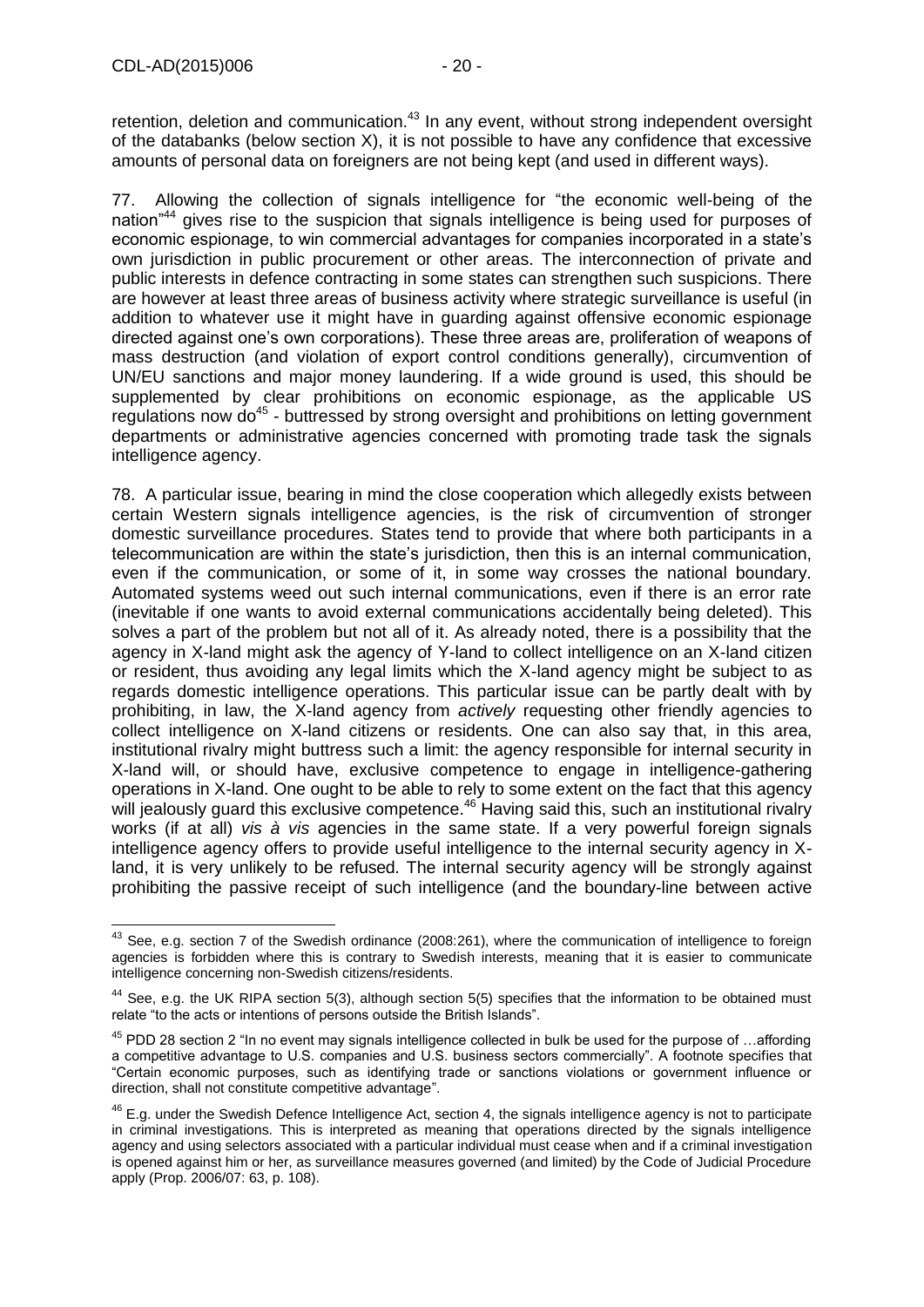retention, deletion and communication.<sup>43</sup> In any event, without strong independent oversight of the databanks (below section X), it is not possible to have any confidence that excessive amounts of personal data on foreigners are not being kept (and used in different ways).

77. Allowing the collection of signals intelligence for "the economic well-being of the nation"<sup>44</sup> gives rise to the suspicion that signals intelligence is being used for purposes of economic espionage, to win commercial advantages for companies incorporated in a state's own jurisdiction in public procurement or other areas. The interconnection of private and public interests in defence contracting in some states can strengthen such suspicions. There are however at least three areas of business activity where strategic surveillance is useful (in addition to whatever use it might have in guarding against offensive economic espionage directed against one's own corporations). These three areas are, proliferation of weapons of mass destruction (and violation of export control conditions generally), circumvention of UN/EU sanctions and major money laundering. If a wide ground is used, this should be supplemented by clear prohibitions on economic espionage, as the applicable US regulations now do<sup>45</sup> - buttressed by strong oversight and prohibitions on letting government departments or administrative agencies concerned with promoting trade task the signals intelligence agency.

78. A particular issue, bearing in mind the close cooperation which allegedly exists between certain Western signals intelligence agencies, is the risk of circumvention of stronger domestic surveillance procedures. States tend to provide that where both participants in a telecommunication are within the state's jurisdiction, then this is an internal communication, even if the communication, or some of it, in some way crosses the national boundary. Automated systems weed out such internal communications, even if there is an error rate (inevitable if one wants to avoid external communications accidentally being deleted). This solves a part of the problem but not all of it. As already noted, there is a possibility that the agency in X-land might ask the agency of Y-land to collect intelligence on an X-land citizen or resident, thus avoiding any legal limits which the X-land agency might be subject to as regards domestic intelligence operations. This particular issue can be partly dealt with by prohibiting, in law, the X-land agency from *actively* requesting other friendly agencies to collect intelligence on X-land citizens or residents. One can also say that, in this area, institutional rivalry might buttress such a limit: the agency responsible for internal security in X-land will, or should have, exclusive competence to engage in intelligence-gathering operations in X-land. One ought to be able to rely to some extent on the fact that this agency will jealously guard this exclusive competence.<sup>46</sup> Having said this, such an institutional rivalry works (if at all) *vis à vis* agencies in the same state. If a very powerful foreign signals intelligence agency offers to provide useful intelligence to the internal security agency in Xland, it is very unlikely to be refused. The internal security agency will be strongly against prohibiting the passive receipt of such intelligence (and the boundary-line between active

<sup>-</sup> $43$  See, e.g. section 7 of the Swedish ordinance (2008:261), where the communication of intelligence to foreign agencies is forbidden where this is contrary to Swedish interests, meaning that it is easier to communicate intelligence concerning non-Swedish citizens/residents.

<sup>44</sup> See, e.g. the UK RIPA section 5(3), although section 5(5) specifies that the information to be obtained must relate "to the acts or intentions of persons outside the British Islands".

<sup>&</sup>lt;sup>45</sup> PDD 28 section 2 "In no event may signals intelligence collected in bulk be used for the purpose of ...affording a competitive advantage to U.S. companies and U.S. business sectors commercially". A footnote specifies that "Certain economic purposes, such as identifying trade or sanctions violations or government influence or direction, shall not constitute competitive advantage".

 $46$  E.g. under the Swedish Defence Intelligence Act, section 4, the signals intelligence agency is not to participate in criminal investigations. This is interpreted as meaning that operations directed by the signals intelligence agency and using selectors associated with a particular individual must cease when and if a criminal investigation is opened against him or her, as surveillance measures governed (and limited) by the Code of Judicial Procedure apply (Prop. 2006/07: 63, p. 108).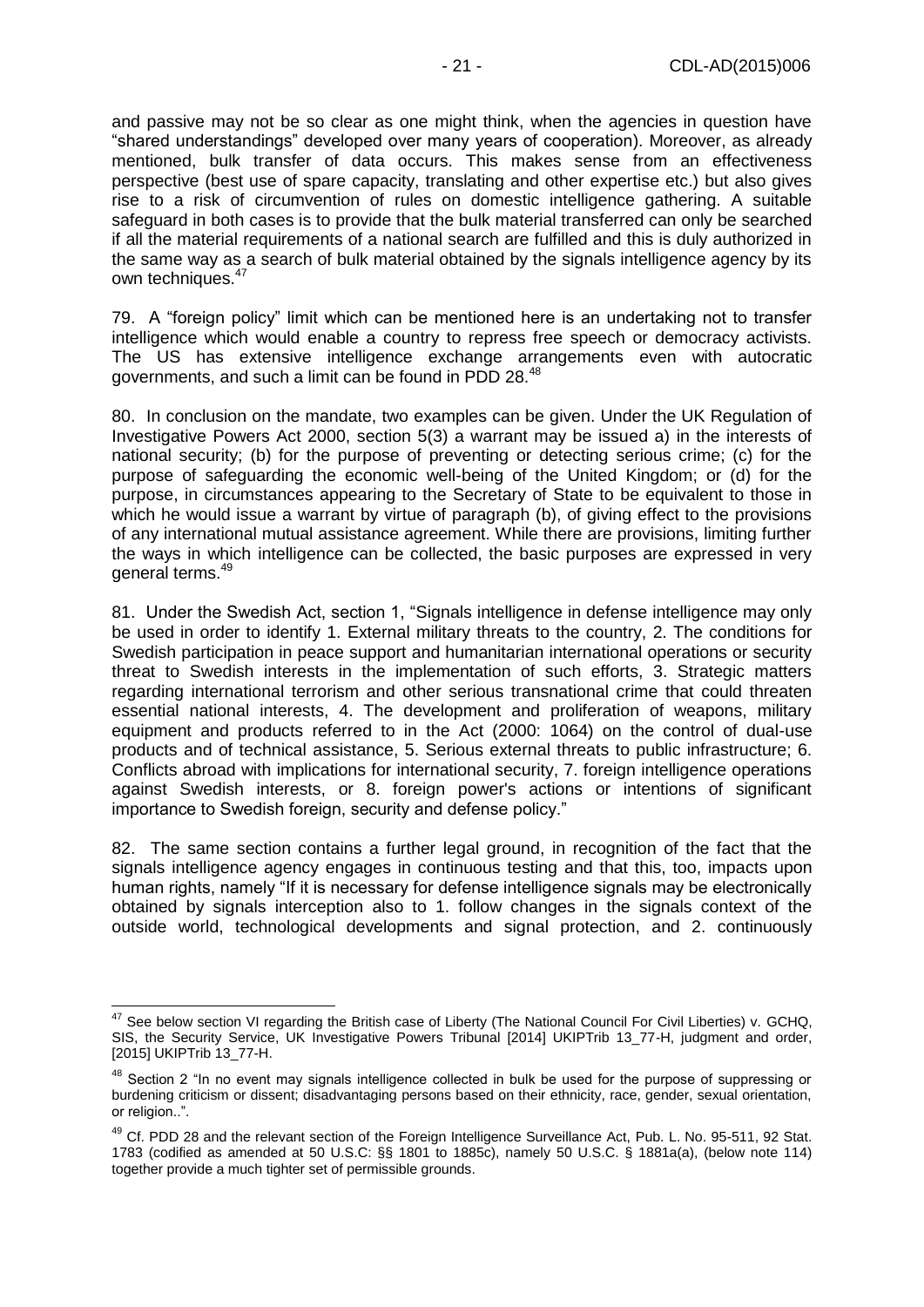and passive may not be so clear as one might think, when the agencies in question have "shared understandings" developed over many years of cooperation). Moreover, as already mentioned, bulk transfer of data occurs. This makes sense from an effectiveness perspective (best use of spare capacity, translating and other expertise etc.) but also gives rise to a risk of circumvention of rules on domestic intelligence gathering. A suitable safeguard in both cases is to provide that the bulk material transferred can only be searched if all the material requirements of a national search are fulfilled and this is duly authorized in the same way as a search of bulk material obtained by the signals intelligence agency by its own techniques.<sup>47</sup>

79. A "foreign policy" limit which can be mentioned here is an undertaking not to transfer intelligence which would enable a country to repress free speech or democracy activists. The US has extensive intelligence exchange arrangements even with autocratic governments, and such a limit can be found in PDD 28.<sup>48</sup>

80. In conclusion on the mandate, two examples can be given. Under the UK Regulation of Investigative Powers Act 2000, section 5(3) a warrant may be issued a) in the interests of national security; (b) for the purpose of preventing or detecting serious crime; (c) for the purpose of safeguarding the economic well-being of the United Kingdom; or (d) for the purpose, in circumstances appearing to the Secretary of State to be equivalent to those in which he would issue a warrant by virtue of paragraph (b), of giving effect to the provisions of any international mutual assistance agreement. While there are provisions, limiting further the ways in which intelligence can be collected, the basic purposes are expressed in very general terms.<sup>49</sup>

81. Under the Swedish Act, section 1, "Signals intelligence in defense intelligence may only be used in order to identify 1. External military threats to the country, 2. The conditions for Swedish participation in peace support and humanitarian international operations or security threat to Swedish interests in the implementation of such efforts, 3. Strategic matters regarding international terrorism and other serious transnational crime that could threaten essential national interests, 4. The development and proliferation of weapons, military equipment and products referred to in the Act (2000: 1064) on the control of dual-use products and of technical assistance, 5. Serious external threats to public infrastructure; 6. Conflicts abroad with implications for international security, 7. foreign intelligence operations against Swedish interests, or 8. foreign power's actions or intentions of significant importance to Swedish foreign, security and defense policy."

82. The same section contains a further legal ground, in recognition of the fact that the signals intelligence agency engages in continuous testing and that this, too, impacts upon human rights, namely "If it is necessary for defense intelligence signals may be electronically obtained by signals interception also to 1. follow changes in the signals context of the outside world, technological developments and signal protection, and 2. continuously

-

 $47$  See below section VI regarding the British case of Liberty (The National Council For Civil Liberties) v. GCHQ, SIS, the Security Service, UK Investigative Powers Tribunal [2014] UKIPTrib 13\_77-H, judgment and order, [2015] UKIPTrib 13\_77-H.

<sup>&</sup>lt;sup>48</sup> Section 2 "In no event may signals intelligence collected in bulk be used for the purpose of suppressing or burdening criticism or dissent; disadvantaging persons based on their ethnicity, race, gender, sexual orientation, or religion..".

<sup>&</sup>lt;sup>49</sup> Cf. PDD 28 and the relevant section of the Foreign Intelligence Surveillance Act, Pub. L. No. 95-511, 92 Stat. 1783 (codified as amended at 50 U.S.C: §§ 1801 to 1885c), namely 50 U.S.C. § 1881a(a), (below note 114) together provide a much tighter set of permissible grounds.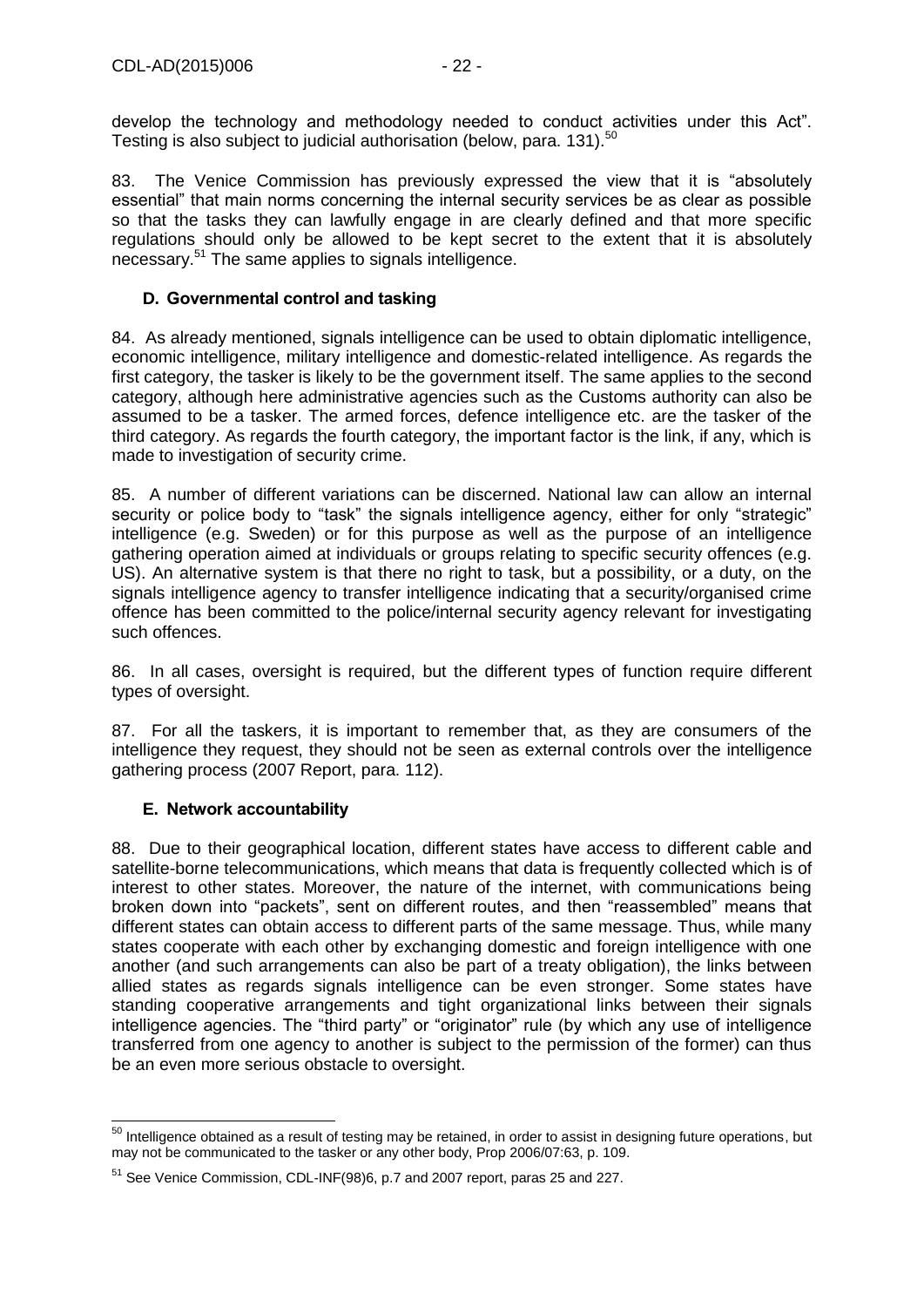develop the technology and methodology needed to conduct activities under this Act". Testing is also subject to judicial authorisation (below, para. 131).<sup>50</sup>

83. The Venice Commission has previously expressed the view that it is "absolutely essential" that main norms concerning the internal security services be as clear as possible so that the tasks they can lawfully engage in are clearly defined and that more specific regulations should only be allowed to be kept secret to the extent that it is absolutely necessary.<sup>51</sup> The same applies to signals intelligence.

## <span id="page-21-0"></span>**D. Governmental control and tasking**

84. As already mentioned, signals intelligence can be used to obtain diplomatic intelligence, economic intelligence, military intelligence and domestic-related intelligence. As regards the first category, the tasker is likely to be the government itself. The same applies to the second category, although here administrative agencies such as the Customs authority can also be assumed to be a tasker. The armed forces, defence intelligence etc. are the tasker of the third category. As regards the fourth category, the important factor is the link, if any, which is made to investigation of security crime.

85. A number of different variations can be discerned. National law can allow an internal security or police body to "task" the signals intelligence agency, either for only "strategic" intelligence (e.g. Sweden) or for this purpose as well as the purpose of an intelligence gathering operation aimed at individuals or groups relating to specific security offences (e.g. US). An alternative system is that there no right to task, but a possibility, or a duty, on the signals intelligence agency to transfer intelligence indicating that a security/organised crime offence has been committed to the police/internal security agency relevant for investigating such offences.

86. In all cases, oversight is required, but the different types of function require different types of oversight.

87. For all the taskers, it is important to remember that, as they are consumers of the intelligence they request, they should not be seen as external controls over the intelligence gathering process (2007 Report, para. 112).

#### <span id="page-21-1"></span>**E. Network accountability**

88. Due to their geographical location, different states have access to different cable and satellite-borne telecommunications, which means that data is frequently collected which is of interest to other states. Moreover, the nature of the internet, with communications being broken down into "packets", sent on different routes, and then "reassembled" means that different states can obtain access to different parts of the same message. Thus, while many states cooperate with each other by exchanging domestic and foreign intelligence with one another (and such arrangements can also be part of a treaty obligation), the links between allied states as regards signals intelligence can be even stronger. Some states have standing cooperative arrangements and tight organizational links between their signals intelligence agencies. The "third party" or "originator" rule (by which any use of intelligence transferred from one agency to another is subject to the permission of the former) can thus be an even more serious obstacle to oversight.

<sup>-</sup> $50$  Intelligence obtained as a result of testing may be retained, in order to assist in designing future operations, but may not be communicated to the tasker or any other body, Prop 2006/07:63, p. 109.

<sup>51</sup> See Venice Commission, CDL-INF(98)6, p.7 and 2007 report, paras 25 and 227.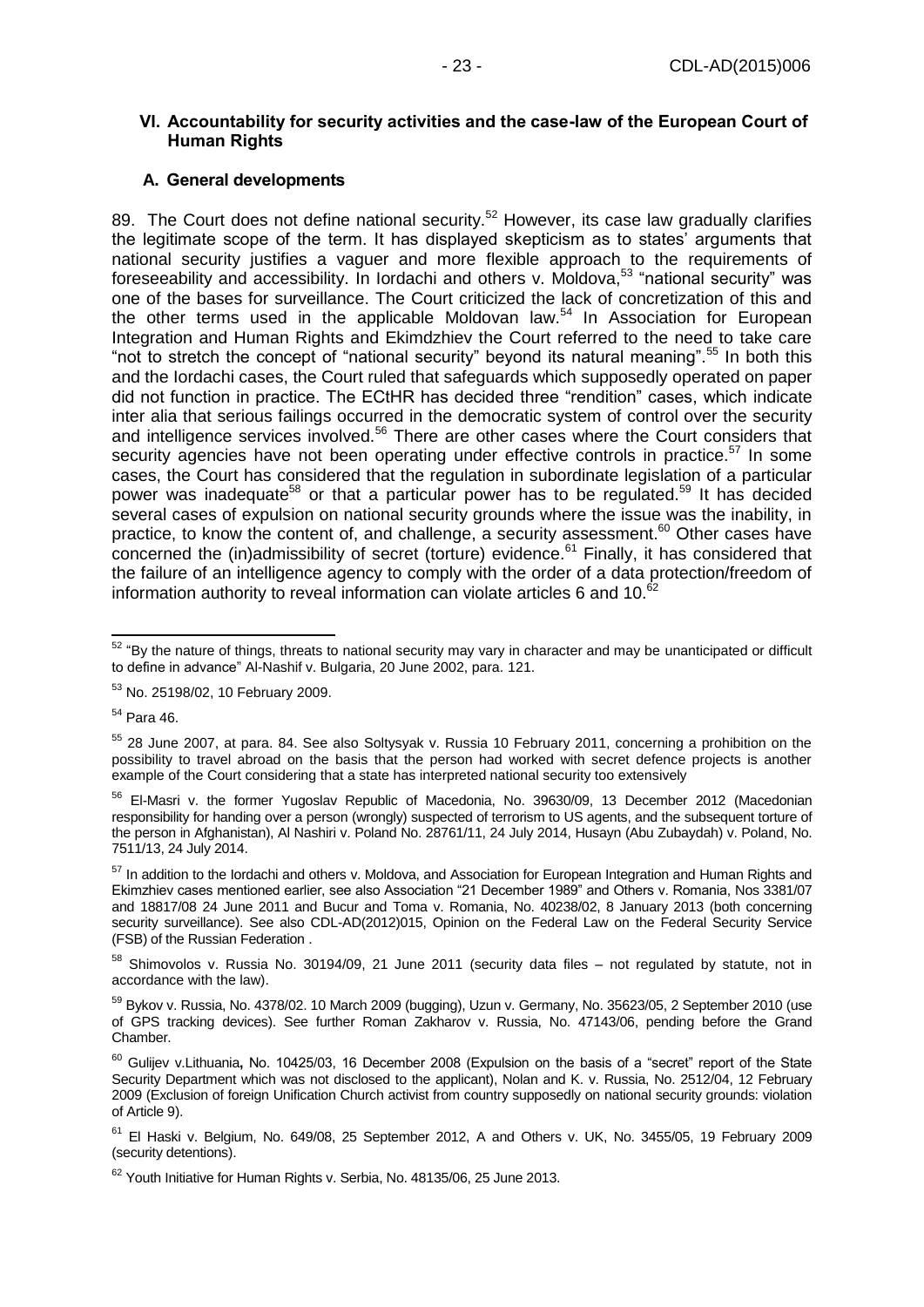#### <span id="page-22-0"></span>**VI. Accountability for security activities and the case-law of the European Court of Human Rights**

#### <span id="page-22-1"></span>**A. General developments**

89. The Court does not define national security.<sup>52</sup> However, its case law gradually clarifies the legitimate scope of the term. It has displayed skepticism as to states' arguments that national security justifies a vaguer and more flexible approach to the requirements of foreseeability and accessibility. In Iordachi and others v. Moldova,  $53$  "national security" was one of the bases for surveillance. The Court criticized the lack of concretization of this and the other terms used in the applicable Moldovan law.<sup>54</sup> In Association for European Integration and Human Rights and Ekimdzhiev the Court referred to the need to take care "not to stretch the concept of "national security" beyond its natural meaning".<sup>55</sup> In both this and the Iordachi cases, the Court ruled that safeguards which supposedly operated on paper did not function in practice. The ECtHR has decided three "rendition" cases, which indicate inter alia that serious failings occurred in the democratic system of control over the security and intelligence services involved.<sup>56</sup> There are other cases where the Court considers that security agencies have not been operating under effective controls in practice.<sup>57</sup> In some cases, the Court has considered that the regulation in subordinate legislation of a particular power was inadequate<sup>58</sup> or that a particular power has to be regulated.<sup>59</sup> It has decided several cases of expulsion on national security grounds where the issue was the inability, in practice, to know the content of, and challenge, a security assessment.<sup>60</sup> Other cases have concerned the (in)admissibility of secret (torture) evidence.<sup>61</sup> Finally, it has considered that the failure of an intelligence agency to comply with the order of a data protection/freedom of information authority to reveal information can violate articles 6 and 10. $62$ 

<sup>54</sup> Para 46.

 $\overline{\phantom{a}}$  $52$  "By the nature of things, threats to national security may vary in character and may be unanticipated or difficult to define in advance" Al-Nashif v. Bulgaria, 20 June 2002, para. 121.

<sup>53</sup> No. 25198/02, 10 February 2009.

<sup>55</sup> 28 June 2007, at para. 84. See also Soltysyak v. Russia 10 February 2011, concerning a prohibition on the possibility to travel abroad on the basis that the person had worked with secret defence projects is another example of the Court considering that a state has interpreted national security too extensively

<sup>56</sup> El-Masri v. the former Yugoslav Republic of Macedonia, No. 39630/09, 13 December 2012 (Macedonian responsibility for handing over a person (wrongly) suspected of terrorism to US agents, and the subsequent torture of the person in Afghanistan), Al Nashiri v. Poland No. 28761/11, 24 July 2014, Husayn (Abu Zubaydah) v. Poland, No. 7511/13, 24 July 2014.

<sup>&</sup>lt;sup>57</sup> In addition to the Iordachi and others v. Moldova, and Association for European Integration and Human Rights and Ekimzhiev cases mentioned earlier, see also Association "21 December 1989" and Others v. Romania, Nos 3381/07 and 18817/08 24 June 2011 and Bucur and Toma v. Romania, No. 40238/02, 8 January 2013 (both concerning security surveillance). See also CDL-AD(2012)015, Opinion on the Federal Law on the Federal Security Service (FSB) of the Russian Federation .

<sup>58</sup> Shimovolos v. Russia No. 30194/09, 21 June 2011 (security data files – not regulated by statute, not in accordance with the law).

<sup>59</sup> Bykov v. Russia, No. 4378/02. 10 March 2009 (bugging), Uzun v. Germany, No. 35623/05, 2 September 2010 (use of GPS tracking devices). See further Roman Zakharov v. Russia, No. 47143/06, pending before the Grand Chamber.

<sup>60</sup> Gulijev v.Lithuania**,** No. 10425/03, 16 December 2008 (Expulsion on the basis of a "secret" report of the State Security Department which was not disclosed to the applicant), Nolan and K. v. Russia, No. 2512/04, 12 February 2009 (Exclusion of foreign Unification Church activist from country supposedly on national security grounds: violation of Article 9).

<sup>61</sup> El Haski v. Belgium, No. 649/08, 25 September 2012, A and Others v. UK, No. 3455/05, 19 February 2009 (security detentions).

<sup>&</sup>lt;sup>62</sup> Youth Initiative for Human Rights v. Serbia, No. 48135/06, 25 June 2013.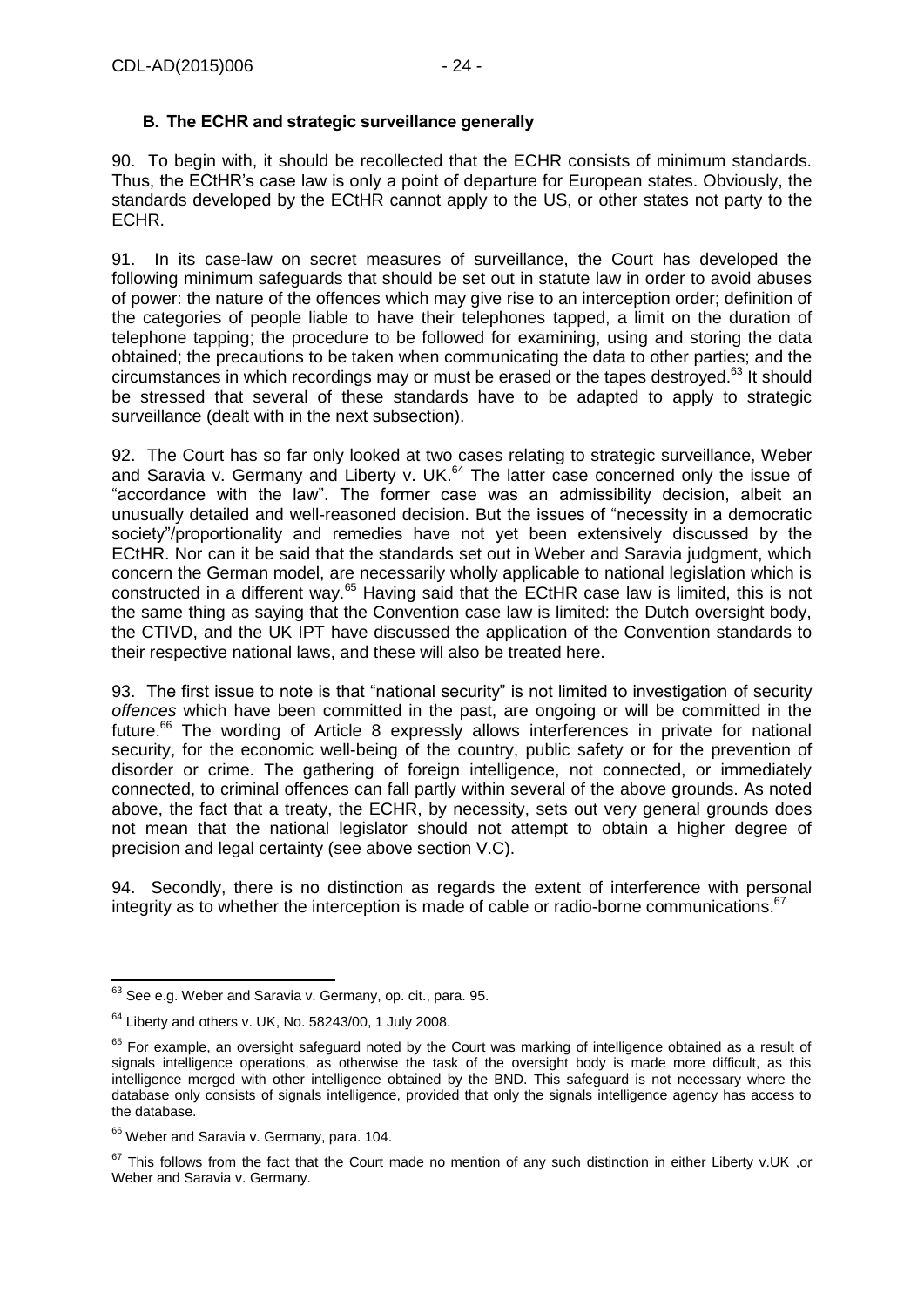## <span id="page-23-0"></span>**B. The ECHR and strategic surveillance generally**

90. To begin with, it should be recollected that the ECHR consists of minimum standards. Thus, the ECtHR's case law is only a point of departure for European states. Obviously, the standards developed by the ECtHR cannot apply to the US, or other states not party to the ECHR.

91. In its case-law on secret measures of surveillance, the Court has developed the following minimum safeguards that should be set out in statute law in order to avoid abuses of power: the nature of the offences which may give rise to an interception order; definition of the categories of people liable to have their telephones tapped, a limit on the duration of telephone tapping; the procedure to be followed for examining, using and storing the data obtained; the precautions to be taken when communicating the data to other parties; and the circumstances in which recordings may or must be erased or the tapes destroyed.<sup>63</sup> It should be stressed that several of these standards have to be adapted to apply to strategic surveillance (dealt with in the next subsection).

92. The Court has so far only looked at two cases relating to strategic surveillance, Weber and Saravia v. Germany and Liberty v. UK.<sup>64</sup> The latter case concerned only the issue of "accordance with the law". The former case was an admissibility decision, albeit an unusually detailed and well-reasoned decision. But the issues of "necessity in a democratic society"/proportionality and remedies have not yet been extensively discussed by the ECtHR. Nor can it be said that the standards set out in Weber and Saravia judgment, which concern the German model, are necessarily wholly applicable to national legislation which is constructed in a different way.<sup>65</sup> Having said that the ECtHR case law is limited, this is not the same thing as saying that the Convention case law is limited: the Dutch oversight body, the CTIVD, and the UK IPT have discussed the application of the Convention standards to their respective national laws, and these will also be treated here.

93. The first issue to note is that "national security" is not limited to investigation of security *offences* which have been committed in the past, are ongoing or will be committed in the future.<sup>66</sup> The wording of Article 8 expressly allows interferences in private for national security, for the economic well-being of the country, public safety or for the prevention of disorder or crime. The gathering of foreign intelligence, not connected, or immediately connected, to criminal offences can fall partly within several of the above grounds. As noted above, the fact that a treaty, the ECHR, by necessity, sets out very general grounds does not mean that the national legislator should not attempt to obtain a higher degree of precision and legal certainty (see above section V.C).

94. Secondly, there is no distinction as regards the extent of interference with personal integrity as to whether the interception is made of cable or radio-borne communications. 67

 $\overline{a}$  $63$  See e.g. Weber and Saravia v. Germany, op. cit., para. 95.

 $64$  Liberty and others v. UK, No. 58243/00, 1 July 2008.

<sup>&</sup>lt;sup>65</sup> For example, an oversight safeguard noted by the Court was marking of intelligence obtained as a result of signals intelligence operations, as otherwise the task of the oversight body is made more difficult, as this intelligence merged with other intelligence obtained by the BND. This safeguard is not necessary where the database only consists of signals intelligence, provided that only the signals intelligence agency has access to the database.

<sup>&</sup>lt;sup>66</sup> Weber and Saravia v. Germany, para. 104.

 $67$  This follows from the fact that the Court made no mention of any such distinction in either Liberty v.UK ,or Weber and Saravia v. Germany.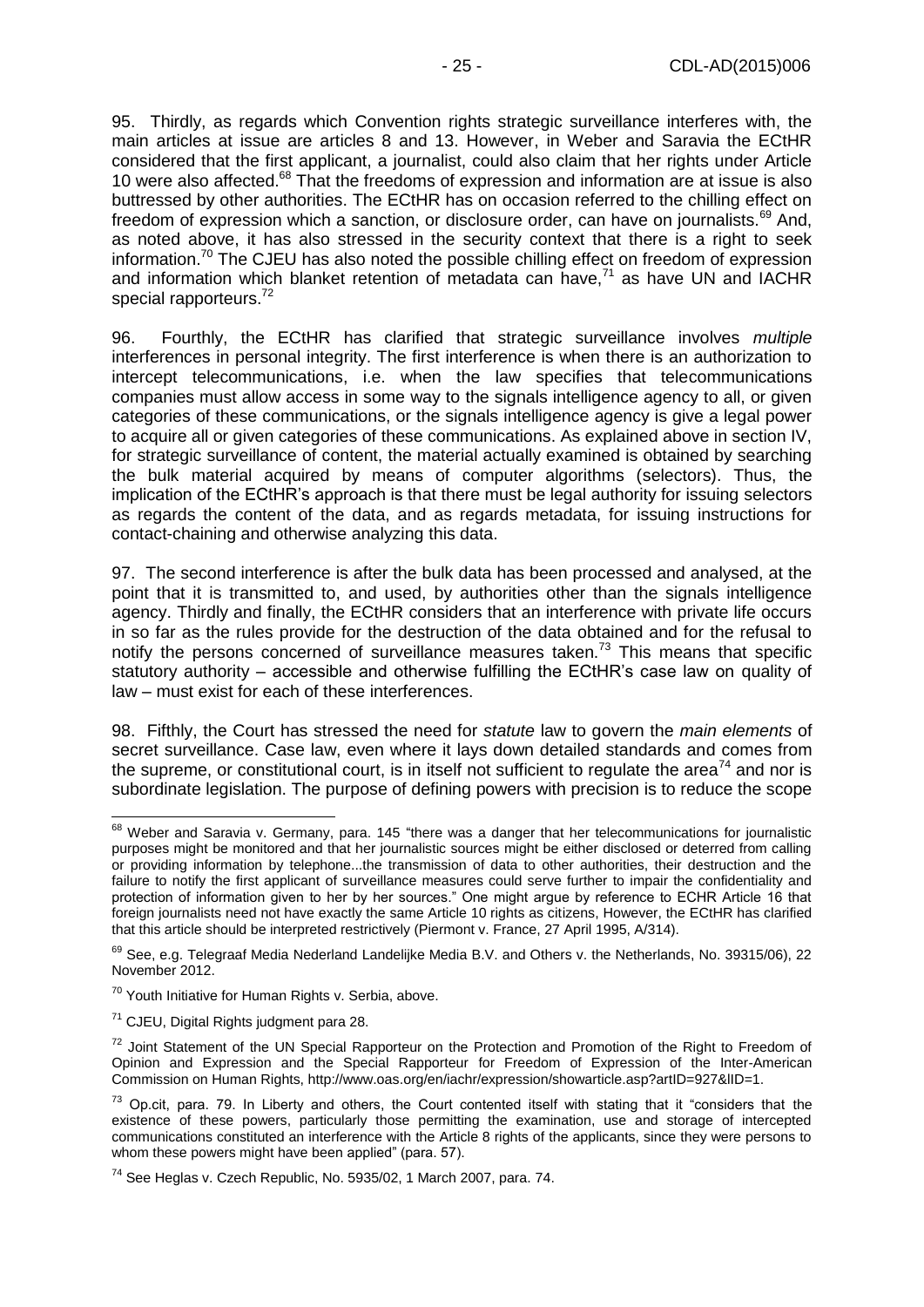95. Thirdly, as regards which Convention rights strategic surveillance interferes with, the main articles at issue are articles 8 and 13. However, in Weber and Saravia the ECtHR considered that the first applicant, a journalist, could also claim that her rights under Article 10 were also affected.<sup>68</sup> That the freedoms of expression and information are at issue is also buttressed by other authorities. The ECtHR has on occasion referred to the chilling effect on freedom of expression which a sanction, or disclosure order, can have on journalists.<sup>69</sup> And, as noted above, it has also stressed in the security context that there is a right to seek information.<sup>70</sup> The CJEU has also noted the possible chilling effect on freedom of expression and information which blanket retention of metadata can have, $71$  as have UN and IACHR special rapporteurs.<sup>72</sup>

96. Fourthly, the ECtHR has clarified that strategic surveillance involves *multiple* interferences in personal integrity. The first interference is when there is an authorization to intercept telecommunications, i.e. when the law specifies that telecommunications companies must allow access in some way to the signals intelligence agency to all, or given categories of these communications, or the signals intelligence agency is give a legal power to acquire all or given categories of these communications. As explained above in section IV, for strategic surveillance of content, the material actually examined is obtained by searching the bulk material acquired by means of computer algorithms (selectors). Thus, the implication of the ECtHR's approach is that there must be legal authority for issuing selectors as regards the content of the data, and as regards metadata, for issuing instructions for contact-chaining and otherwise analyzing this data.

97. The second interference is after the bulk data has been processed and analysed, at the point that it is transmitted to, and used, by authorities other than the signals intelligence agency. Thirdly and finally, the ECtHR considers that an interference with private life occurs in so far as the rules provide for the destruction of the data obtained and for the refusal to notify the persons concerned of surveillance measures taken.<sup>73</sup> This means that specific statutory authority – accessible and otherwise fulfilling the ECtHR's case law on quality of law – must exist for each of these interferences.

98. Fifthly, the Court has stressed the need for *statute* law to govern the *main elements* of secret surveillance. Case law, even where it lays down detailed standards and comes from the supreme, or constitutional court, is in itself not sufficient to regulate the area<sup>74</sup> and nor is subordinate legislation. The purpose of defining powers with precision is to reduce the scope

-

<sup>&</sup>lt;sup>68</sup> Weber and Saravia v. Germany, para. 145 "there was a danger that her telecommunications for journalistic purposes might be monitored and that her journalistic sources might be either disclosed or deterred from calling or providing information by telephone...the transmission of data to other authorities, their destruction and the failure to notify the first applicant of surveillance measures could serve further to impair the confidentiality and protection of information given to her by her sources." One might argue by reference to ECHR Article 16 that foreign journalists need not have exactly the same Article 10 rights as citizens, However, the ECtHR has clarified that this article should be interpreted restrictively (Piermont v. France, 27 April 1995, A/314).

<sup>&</sup>lt;sup>69</sup> See, e.g. Telegraaf Media Nederland Landelijke Media B.V. and Others v. the Netherlands, No. 39315/06), 22 November 2012.

<sup>70</sup> Youth Initiative for Human Rights v. Serbia, above.

<sup>71</sup> CJEU, Digital Rights judgment para 28.

<sup>&</sup>lt;sup>72</sup> Joint Statement of the UN Special Rapporteur on the Protection and Promotion of the Right to Freedom of Opinion and Expression and the Special Rapporteur for Freedom of Expression of the Inter-American Commission on Human Rights, http://www.oas.org/en/iachr/expression/showarticle.asp?artID=927&lID=1.

 $73$  Op.cit, para. 79. In Liberty and others, the Court contented itself with stating that it "considers that the existence of these powers, particularly those permitting the examination, use and storage of intercepted communications constituted an interference with the Article 8 rights of the applicants, since they were persons to whom these powers might have been applied" (para. 57).

<sup>74</sup> See Heglas v. Czech Republic, No. 5935/02, 1 March 2007, para. 74.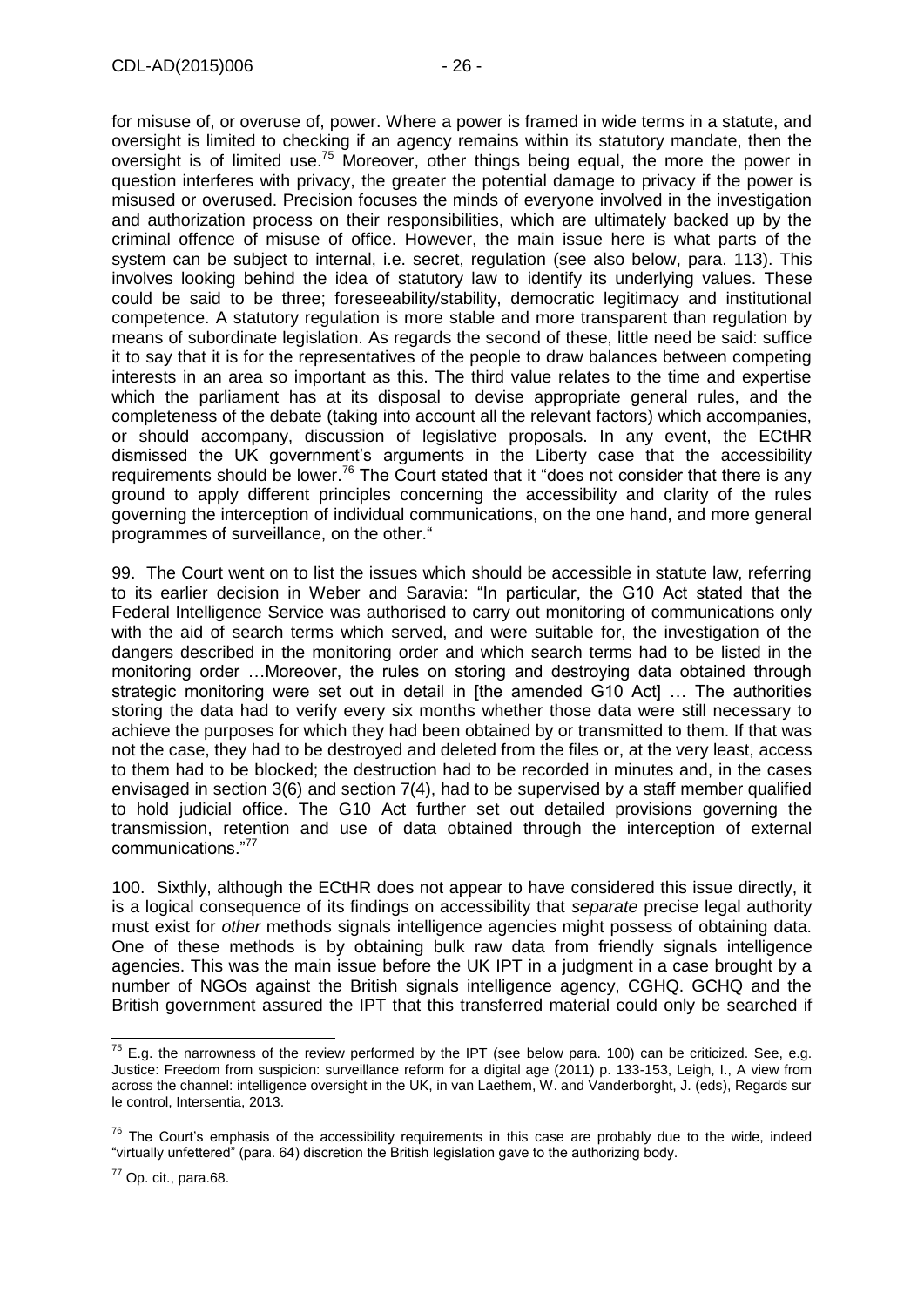for misuse of, or overuse of, power. Where a power is framed in wide terms in a statute, and oversight is limited to checking if an agency remains within its statutory mandate, then the oversight is of limited use.<sup>75</sup> Moreover, other things being equal, the more the power in question interferes with privacy, the greater the potential damage to privacy if the power is misused or overused. Precision focuses the minds of everyone involved in the investigation and authorization process on their responsibilities, which are ultimately backed up by the criminal offence of misuse of office. However, the main issue here is what parts of the system can be subject to internal, i.e. secret, regulation (see also below, para. 113). This involves looking behind the idea of statutory law to identify its underlying values. These could be said to be three; foreseeability/stability, democratic legitimacy and institutional competence. A statutory regulation is more stable and more transparent than regulation by means of subordinate legislation. As regards the second of these, little need be said: suffice it to say that it is for the representatives of the people to draw balances between competing interests in an area so important as this. The third value relates to the time and expertise which the parliament has at its disposal to devise appropriate general rules, and the completeness of the debate (taking into account all the relevant factors) which accompanies, or should accompany, discussion of legislative proposals. In any event, the ECtHR dismissed the UK government's arguments in the Liberty case that the accessibility requirements should be lower.<sup>76</sup> The Court stated that it "does not consider that there is any ground to apply different principles concerning the accessibility and clarity of the rules governing the interception of individual communications, on the one hand, and more general programmes of surveillance, on the other."

99. The Court went on to list the issues which should be accessible in statute law, referring to its earlier decision in Weber and Saravia: "In particular, the G10 Act stated that the Federal Intelligence Service was authorised to carry out monitoring of communications only with the aid of search terms which served, and were suitable for, the investigation of the dangers described in the monitoring order and which search terms had to be listed in the monitoring order …Moreover, the rules on storing and destroying data obtained through strategic monitoring were set out in detail in [the amended G10 Act] … The authorities storing the data had to verify every six months whether those data were still necessary to achieve the purposes for which they had been obtained by or transmitted to them. If that was not the case, they had to be destroyed and deleted from the files or, at the very least, access to them had to be blocked; the destruction had to be recorded in minutes and, in the cases envisaged in section 3(6) and section 7(4), had to be supervised by a staff member qualified to hold judicial office. The G10 Act further set out detailed provisions governing the transmission, retention and use of data obtained through the interception of external communications."<sup>77</sup>

100. Sixthly, although the ECtHR does not appear to have considered this issue directly, it is a logical consequence of its findings on accessibility that *separate* precise legal authority must exist for *other* methods signals intelligence agencies might possess of obtaining data. One of these methods is by obtaining bulk raw data from friendly signals intelligence agencies. This was the main issue before the UK IPT in a judgment in a case brought by a number of NGOs against the British signals intelligence agency, CGHQ. GCHQ and the British government assured the IPT that this transferred material could only be searched if

 $\overline{a}$ 

 $^{75}$  E.g. the narrowness of the review performed by the IPT (see below para. 100) can be criticized. See, e.g. Justice: Freedom from suspicion: surveillance reform for a digital age (2011) p. 133-153, Leigh, I., A view from across the channel: intelligence oversight in the UK, in van Laethem, W. and Vanderborght, J. (eds), Regards sur le control, Intersentia, 2013.

 $76$  The Court's emphasis of the accessibility requirements in this case are probably due to the wide, indeed "virtually unfettered" (para. 64) discretion the British legislation gave to the authorizing body.

 $77$  Op. cit., para.68.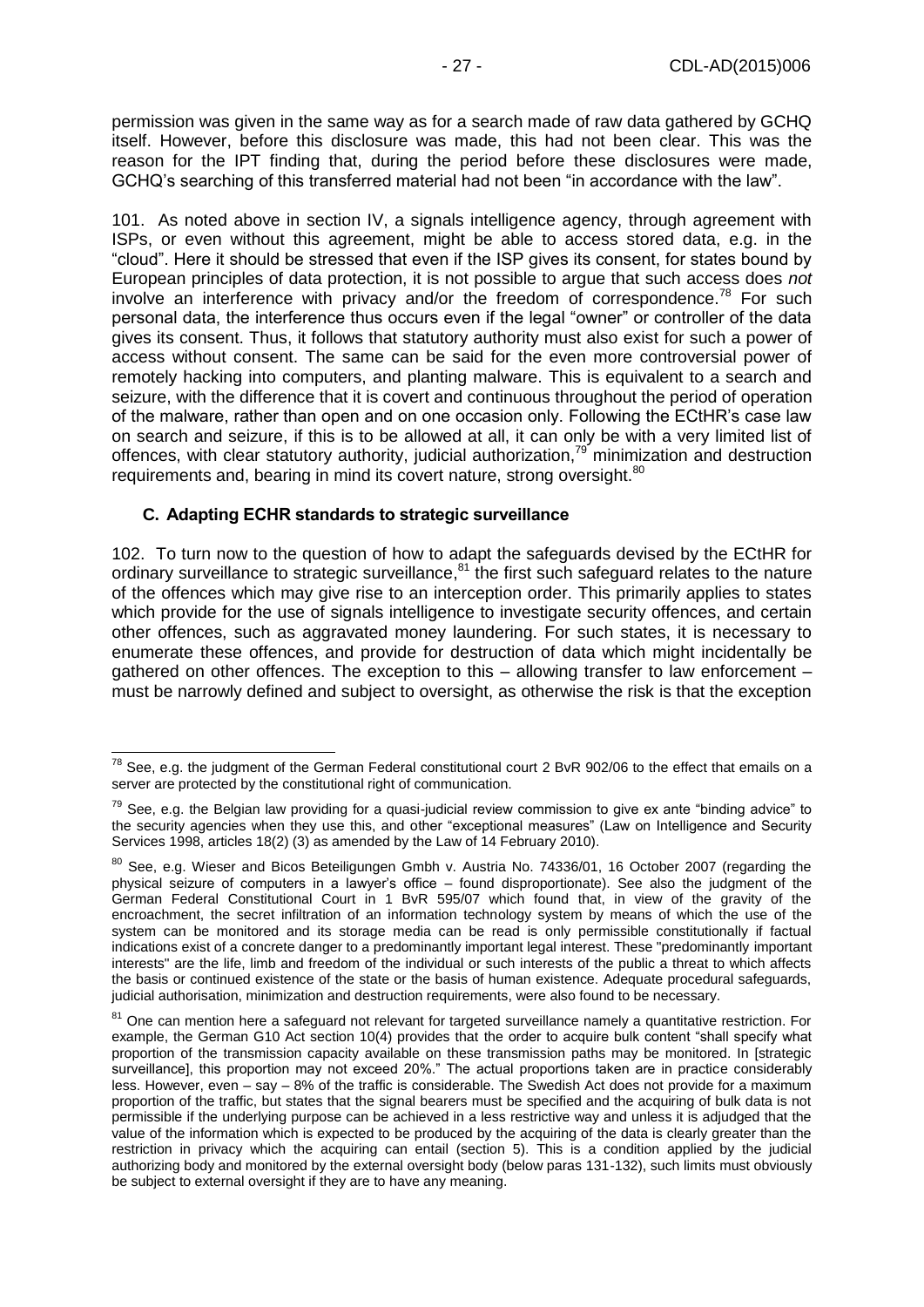permission was given in the same way as for a search made of raw data gathered by GCHQ itself. However, before this disclosure was made, this had not been clear. This was the reason for the IPT finding that, during the period before these disclosures were made, GCHQ's searching of this transferred material had not been "in accordance with the law".

101. As noted above in section IV, a signals intelligence agency, through agreement with ISPs, or even without this agreement, might be able to access stored data, e.g. in the "cloud". Here it should be stressed that even if the ISP gives its consent, for states bound by European principles of data protection, it is not possible to argue that such access does *not* involve an interference with privacy and/or the freedom of correspondence.<sup>78</sup> For such personal data, the interference thus occurs even if the legal "owner" or controller of the data gives its consent. Thus, it follows that statutory authority must also exist for such a power of access without consent. The same can be said for the even more controversial power of remotely hacking into computers, and planting malware. This is equivalent to a search and seizure, with the difference that it is covert and continuous throughout the period of operation of the malware, rather than open and on one occasion only. Following the ECtHR's case law on search and seizure, if this is to be allowed at all, it can only be with a very limited list of offences, with clear statutory authority, judicial authorization,<sup>79</sup> minimization and destruction requirements and, bearing in mind its covert nature, strong oversight.<sup>80</sup>

#### <span id="page-26-0"></span>**C. Adapting ECHR standards to strategic surveillance**

-

102. To turn now to the question of how to adapt the safeguards devised by the ECtHR for ordinary surveillance to strategic surveillance,<sup>81</sup> the first such safeguard relates to the nature of the offences which may give rise to an interception order. This primarily applies to states which provide for the use of signals intelligence to investigate security offences, and certain other offences, such as aggravated money laundering. For such states, it is necessary to enumerate these offences, and provide for destruction of data which might incidentally be gathered on other offences. The exception to this – allowing transfer to law enforcement – must be narrowly defined and subject to oversight, as otherwise the risk is that the exception

 $^{78}$  See, e.g. the judgment of the German Federal constitutional court 2 BvR 902/06 to the effect that emails on a server are protected by the constitutional right of communication.

 $79$  See, e.g. the Belgian law providing for a quasi-judicial review commission to give ex ante "binding advice" to the security agencies when they use this, and other "exceptional measures" (Law on Intelligence and Security Services 1998, articles 18(2) (3) as amended by the Law of 14 February 2010).

<sup>80</sup> See, e.g. Wieser and Bicos Beteiligungen Gmbh v. Austria No. 74336/01, 16 October 2007 (regarding the physical seizure of computers in a lawyer's office – found disproportionate). See also the judgment of the German Federal Constitutional Court in 1 BvR 595/07 which found that, in view of the gravity of the encroachment, the secret infiltration of an information technology system by means of which the use of the system can be monitored and its storage media can be read is only permissible constitutionally if factual indications exist of a concrete danger to a predominantly important legal interest. These "predominantly important interests" are the life, limb and freedom of the individual or such interests of the public a threat to which affects the basis or continued existence of the state or the basis of human existence. Adequate procedural safeguards, judicial authorisation, minimization and destruction requirements, were also found to be necessary.

<sup>&</sup>lt;sup>81</sup> One can mention here a safequard not relevant for targeted surveillance namely a quantitative restriction. For example, the German G10 Act section 10(4) provides that the order to acquire bulk content "shall specify what proportion of the transmission capacity available on these transmission paths may be monitored. In [strategic surveillance], this proportion may not exceed 20%." The actual proportions taken are in practice considerably less. However, even – say – 8% of the traffic is considerable. The Swedish Act does not provide for a maximum proportion of the traffic, but states that the signal bearers must be specified and the acquiring of bulk data is not permissible if the underlying purpose can be achieved in a less restrictive way and unless it is adjudged that the value of the information which is expected to be produced by the acquiring of the data is clearly greater than the restriction in privacy which the acquiring can entail (section 5). This is a condition applied by the judicial authorizing body and monitored by the external oversight body (below paras 131-132), such limits must obviously be subject to external oversight if they are to have any meaning.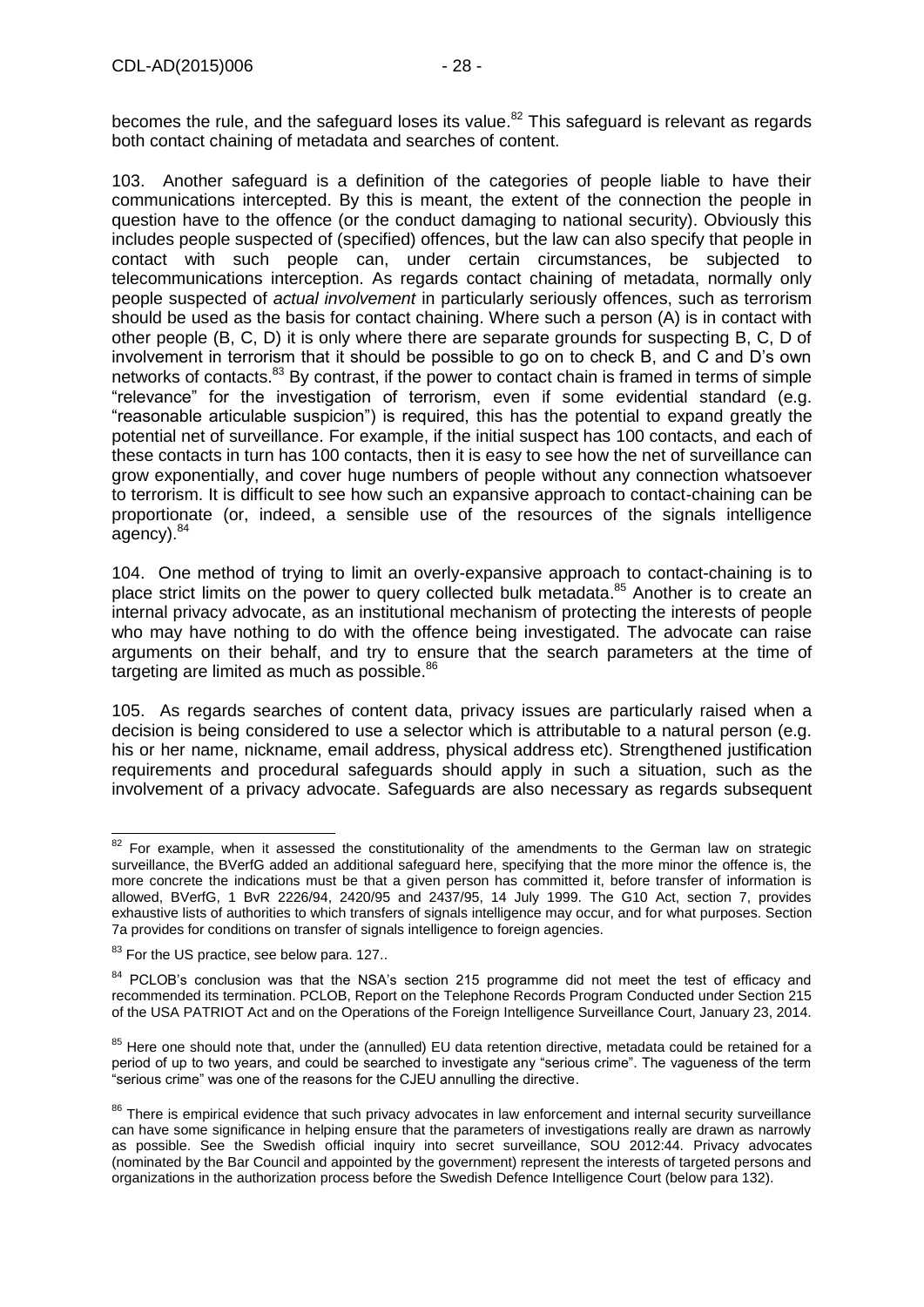becomes the rule, and the safeguard loses its value.<sup>82</sup> This safeguard is relevant as regards both contact chaining of metadata and searches of content.

103. Another safeguard is a definition of the categories of people liable to have their communications intercepted. By this is meant, the extent of the connection the people in question have to the offence (or the conduct damaging to national security). Obviously this includes people suspected of (specified) offences, but the law can also specify that people in contact with such people can, under certain circumstances, be subjected to telecommunications interception. As regards contact chaining of metadata, normally only people suspected of *actual involvement* in particularly seriously offences, such as terrorism should be used as the basis for contact chaining. Where such a person (A) is in contact with other people (B, C, D) it is only where there are separate grounds for suspecting B, C, D of involvement in terrorism that it should be possible to go on to check B, and C and D's own networks of contacts.<sup>83</sup> By contrast, if the power to contact chain is framed in terms of simple "relevance" for the investigation of terrorism, even if some evidential standard (e.g. "reasonable articulable suspicion") is required, this has the potential to expand greatly the potential net of surveillance. For example, if the initial suspect has 100 contacts, and each of these contacts in turn has 100 contacts, then it is easy to see how the net of surveillance can grow exponentially, and cover huge numbers of people without any connection whatsoever to terrorism. It is difficult to see how such an expansive approach to contact-chaining can be proportionate (or, indeed, a sensible use of the resources of the signals intelligence agency). <sup>84</sup>

104. One method of trying to limit an overly-expansive approach to contact-chaining is to place strict limits on the power to query collected bulk metadata.<sup>85</sup> Another is to create an internal privacy advocate, as an institutional mechanism of protecting the interests of people who may have nothing to do with the offence being investigated. The advocate can raise arguments on their behalf, and try to ensure that the search parameters at the time of targeting are limited as much as possible.<sup>86</sup>

105. As regards searches of content data, privacy issues are particularly raised when a decision is being considered to use a selector which is attributable to a natural person (e.g. his or her name, nickname, email address, physical address etc). Strengthened justification requirements and procedural safeguards should apply in such a situation, such as the involvement of a privacy advocate. Safeguards are also necessary as regards subsequent

 $\overline{a}$ 

 $82$  For example, when it assessed the constitutionality of the amendments to the German law on strategic surveillance, the BVerfG added an additional safeguard here, specifying that the more minor the offence is, the more concrete the indications must be that a given person has committed it, before transfer of information is allowed, BVerfG, 1 BvR 2226/94, 2420/95 and 2437/95, 14 July 1999. The G10 Act, section 7, provides exhaustive lists of authorities to which transfers of signals intelligence may occur, and for what purposes. Section 7a provides for conditions on transfer of signals intelligence to foreign agencies.

<sup>&</sup>lt;sup>83</sup> For the US practice, see below para. 127..

<sup>&</sup>lt;sup>84</sup> PCLOB's conclusion was that the NSA's section 215 programme did not meet the test of efficacy and recommended its termination. PCLOB, Report on the Telephone Records Program Conducted under Section 215 of the USA PATRIOT Act and on the Operations of the Foreign Intelligence Surveillance Court, January 23, 2014.

<sup>&</sup>lt;sup>85</sup> Here one should note that, under the (annulled) EU data retention directive, metadata could be retained for a period of up to two years, and could be searched to investigate any "serious crime". The vagueness of the term "serious crime" was one of the reasons for the CJEU annulling the directive.

<sup>&</sup>lt;sup>86</sup> There is empirical evidence that such privacy advocates in law enforcement and internal security surveillance can have some significance in helping ensure that the parameters of investigations really are drawn as narrowly as possible. See the Swedish official inquiry into secret surveillance, SOU 2012:44. Privacy advocates (nominated by the Bar Council and appointed by the government) represent the interests of targeted persons and organizations in the authorization process before the Swedish Defence Intelligence Court (below para 132).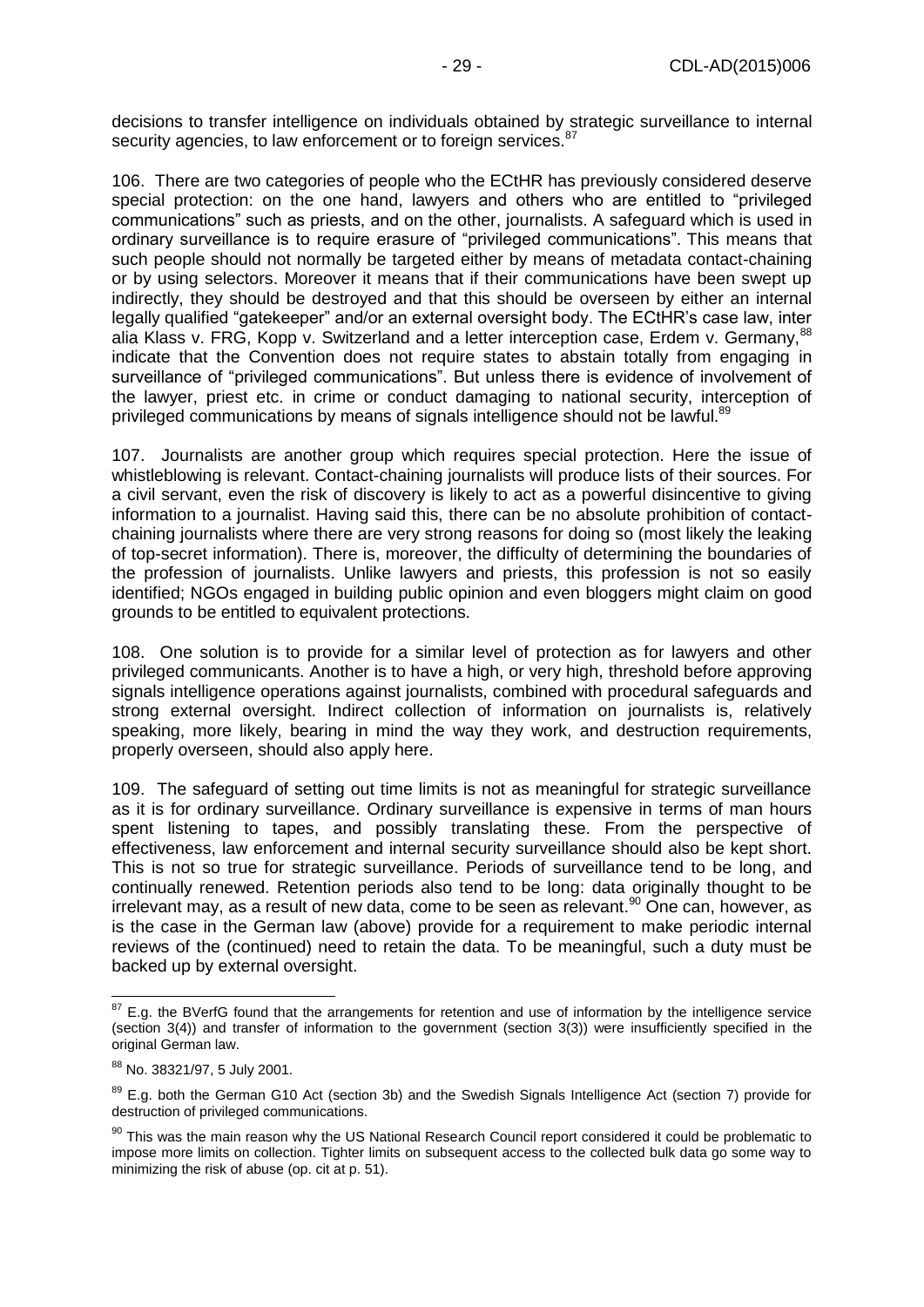decisions to transfer intelligence on individuals obtained by strategic surveillance to internal security agencies, to law enforcement or to foreign services.<sup>87</sup>

106. There are two categories of people who the ECtHR has previously considered deserve special protection: on the one hand, lawyers and others who are entitled to "privileged communications" such as priests, and on the other, journalists. A safeguard which is used in ordinary surveillance is to require erasure of "privileged communications". This means that such people should not normally be targeted either by means of metadata contact-chaining or by using selectors. Moreover it means that if their communications have been swept up indirectly, they should be destroyed and that this should be overseen by either an internal legally qualified "gatekeeper" and/or an external oversight body. The ECtHR's case law, inter alia Klass v. FRG, Kopp v. Switzerland and a letter interception case, Erdem v. Germany, 88 indicate that the Convention does not require states to abstain totally from engaging in surveillance of "privileged communications". But unless there is evidence of involvement of the lawyer, priest etc. in crime or conduct damaging to national security, interception of privileged communications by means of signals intelligence should not be lawful.<sup>89</sup>

107. Journalists are another group which requires special protection. Here the issue of whistleblowing is relevant. Contact-chaining journalists will produce lists of their sources. For a civil servant, even the risk of discovery is likely to act as a powerful disincentive to giving information to a journalist. Having said this, there can be no absolute prohibition of contactchaining journalists where there are very strong reasons for doing so (most likely the leaking of top-secret information). There is, moreover, the difficulty of determining the boundaries of the profession of journalists. Unlike lawyers and priests, this profession is not so easily identified; NGOs engaged in building public opinion and even bloggers might claim on good grounds to be entitled to equivalent protections.

108. One solution is to provide for a similar level of protection as for lawyers and other privileged communicants. Another is to have a high, or very high, threshold before approving signals intelligence operations against journalists, combined with procedural safeguards and strong external oversight. Indirect collection of information on journalists is, relatively speaking, more likely, bearing in mind the way they work, and destruction requirements, properly overseen, should also apply here.

109. The safeguard of setting out time limits is not as meaningful for strategic surveillance as it is for ordinary surveillance. Ordinary surveillance is expensive in terms of man hours spent listening to tapes, and possibly translating these. From the perspective of effectiveness, law enforcement and internal security surveillance should also be kept short. This is not so true for strategic surveillance. Periods of surveillance tend to be long, and continually renewed. Retention periods also tend to be long: data originally thought to be irrelevant may, as a result of new data, come to be seen as relevant.<sup>90</sup> One can, however, as is the case in the German law (above) provide for a requirement to make periodic internal reviews of the (continued) need to retain the data. To be meaningful, such a duty must be backed up by external oversight.

-

 $87$  E.g. the BVerfG found that the arrangements for retention and use of information by the intelligence service (section 3(4)) and transfer of information to the government (section 3(3)) were insufficiently specified in the original German law.

<sup>88</sup> No. 38321/97, 5 July 2001.

<sup>&</sup>lt;sup>89</sup> E.a. both the German G10 Act (section 3b) and the Swedish Signals Intelligence Act (section 7) provide for destruction of privileged communications.

<sup>90</sup> This was the main reason why the US National Research Council report considered it could be problematic to impose more limits on collection. Tighter limits on subsequent access to the collected bulk data go some way to minimizing the risk of abuse (op. cit at p. 51).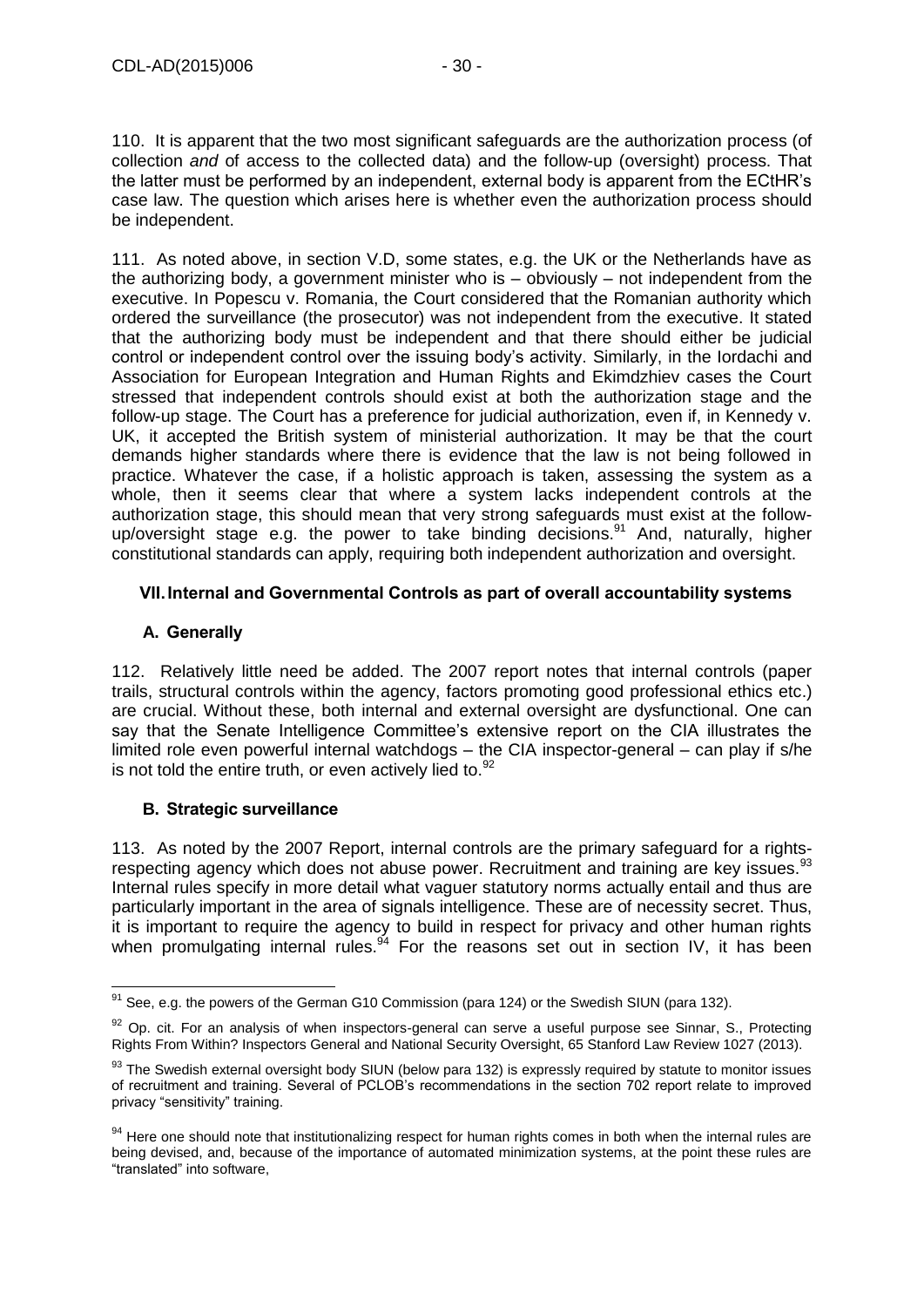110. It is apparent that the two most significant safeguards are the authorization process (of collection *and* of access to the collected data) and the follow-up (oversight) process. That the latter must be performed by an independent, external body is apparent from the ECtHR's case law. The question which arises here is whether even the authorization process should be independent.

111. As noted above, in section V.D, some states, e.g. the UK or the Netherlands have as the authorizing body, a government minister who is – obviously – not independent from the executive. In Popescu v. Romania, the Court considered that the Romanian authority which ordered the surveillance (the prosecutor) was not independent from the executive. It stated that the authorizing body must be independent and that there should either be judicial control or independent control over the issuing body's activity. Similarly, in the Iordachi and Association for European Integration and Human Rights and Ekimdzhiev cases the Court stressed that independent controls should exist at both the authorization stage and the follow-up stage. The Court has a preference for judicial authorization, even if, in Kennedy v. UK, it accepted the British system of ministerial authorization. It may be that the court demands higher standards where there is evidence that the law is not being followed in practice. Whatever the case, if a holistic approach is taken, assessing the system as a whole, then it seems clear that where a system lacks independent controls at the authorization stage, this should mean that very strong safeguards must exist at the followup/oversight stage e.g. the power to take binding decisions.<sup>91</sup> And, naturally, higher constitutional standards can apply, requiring both independent authorization and oversight.

# <span id="page-29-0"></span>**VII.Internal and Governmental Controls as part of overall accountability systems**

# <span id="page-29-1"></span>**A. Generally**

-

112. Relatively little need be added. The 2007 report notes that internal controls (paper trails, structural controls within the agency, factors promoting good professional ethics etc.) are crucial. Without these, both internal and external oversight are dysfunctional. One can say that the Senate Intelligence Committee's extensive report on the CIA illustrates the limited role even powerful internal watchdogs – the CIA inspector-general – can play if s/he is not told the entire truth, or even actively lied to. $92$ 

# <span id="page-29-2"></span>**B. Strategic surveillance**

113. As noted by the 2007 Report, internal controls are the primary safeguard for a rightsrespecting agency which does not abuse power. Recruitment and training are key issues.<sup>93</sup> Internal rules specify in more detail what vaguer statutory norms actually entail and thus are particularly important in the area of signals intelligence. These are of necessity secret. Thus, it is important to require the agency to build in respect for privacy and other human rights when promulgating internal rules.  $94$  For the reasons set out in section IV, it has been

 $91$  See, e.g. the powers of the German G10 Commission (para 124) or the Swedish SIUN (para 132).

 $92$  Op. cit. For an analysis of when inspectors-general can serve a useful purpose see Sinnar, S., Protecting Rights From Within? Inspectors General and National Security Oversight, 65 Stanford Law Review 1027 (2013).

<sup>93</sup> The Swedish external oversight body SIUN (below para 132) is expressly required by statute to monitor issues of recruitment and training. Several of PCLOB's recommendations in the section 702 report relate to improved privacy "sensitivity" training.

<sup>94</sup> Here one should note that institutionalizing respect for human rights comes in both when the internal rules are being devised, and, because of the importance of automated minimization systems, at the point these rules are "translated" into software,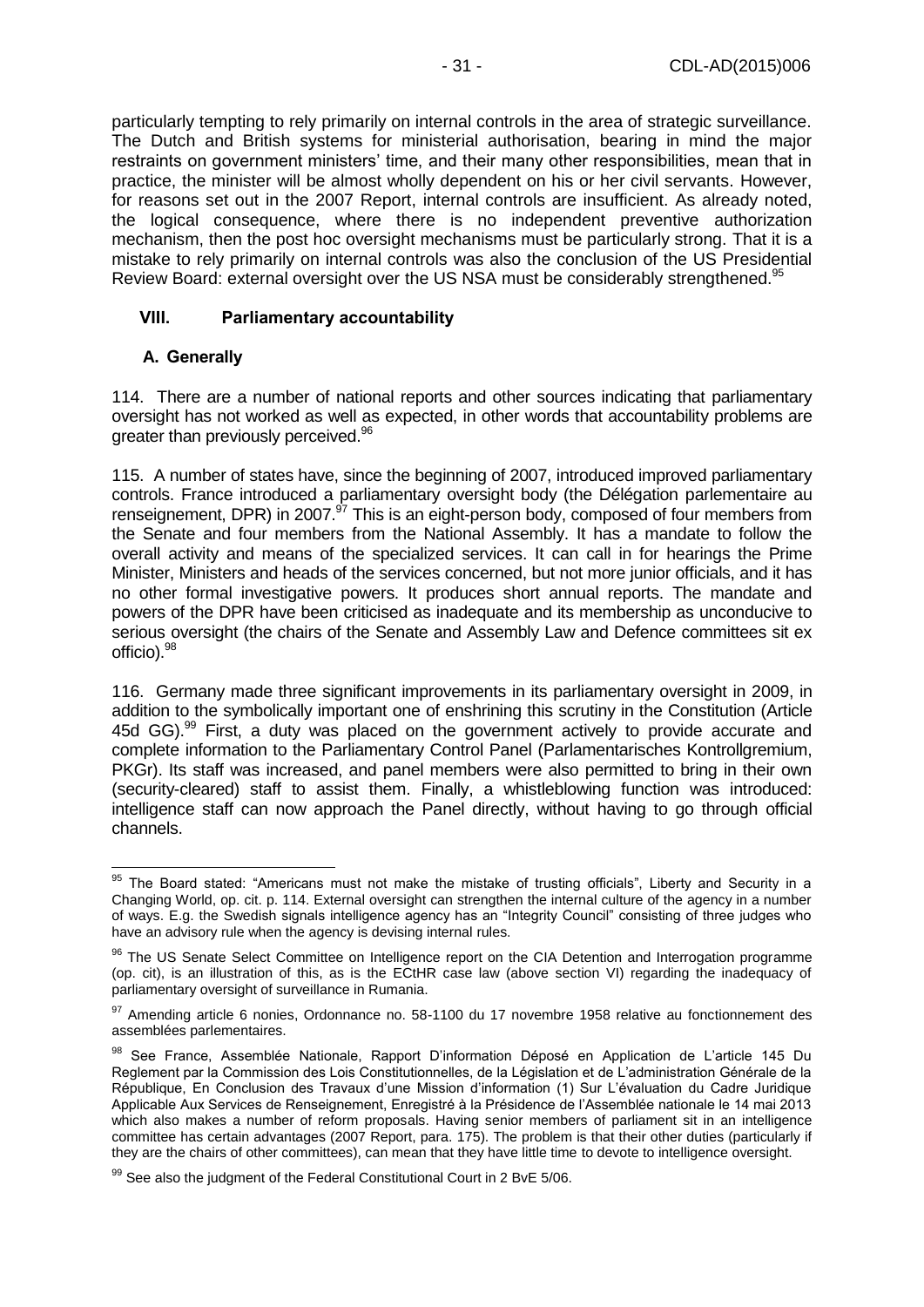particularly tempting to rely primarily on internal controls in the area of strategic surveillance. The Dutch and British systems for ministerial authorisation, bearing in mind the major restraints on government ministers' time, and their many other responsibilities, mean that in practice, the minister will be almost wholly dependent on his or her civil servants. However, for reasons set out in the 2007 Report, internal controls are insufficient. As already noted, the logical consequence, where there is no independent preventive authorization mechanism, then the post hoc oversight mechanisms must be particularly strong. That it is a mistake to rely primarily on internal controls was also the conclusion of the US Presidential Review Board: external oversight over the US NSA must be considerably strengthened.<sup>95</sup>

#### <span id="page-30-0"></span>**VIII. Parliamentary accountability**

#### <span id="page-30-1"></span>**A. Generally**

114. There are a number of national reports and other sources indicating that parliamentary oversight has not worked as well as expected, in other words that accountability problems are greater than previously perceived.<sup>96</sup>

115. A number of states have, since the beginning of 2007, introduced improved parliamentary controls. France introduced a parliamentary oversight body (the Délégation parlementaire au renseignement, DPR) in 2007.<sup>97</sup> This is an eight-person body, composed of four members from the Senate and four members from the National Assembly. It has a mandate to follow the overall activity and means of the specialized services. It can call in for hearings the Prime Minister, Ministers and heads of the services concerned, but not more junior officials, and it has no other formal investigative powers. It produces short annual reports. The mandate and powers of the DPR have been criticised as inadequate and its membership as unconducive to serious oversight (the chairs of the Senate and Assembly Law and Defence committees sit ex officio).<sup>98</sup>

116. Germany made three significant improvements in its parliamentary oversight in 2009, in addition to the symbolically important one of enshrining this scrutiny in the Constitution (Article 45d GG).<sup>99</sup> First, a duty was placed on the government actively to provide accurate and complete information to the Parliamentary Control Panel (Parlamentarisches Kontrollgremium, PKGr). Its staff was increased, and panel members were also permitted to bring in their own (security-cleared) staff to assist them. Finally, a whistleblowing function was introduced: intelligence staff can now approach the Panel directly, without having to go through official channels.

<sup>-</sup><sup>95</sup> The Board stated: "Americans must not make the mistake of trusting officials", Liberty and Security in a Changing World, op. cit. p. 114. External oversight can strengthen the internal culture of the agency in a number of ways. E.g. the Swedish signals intelligence agency has an "Integrity Council" consisting of three judges who have an advisory rule when the agency is devising internal rules.

<sup>&</sup>lt;sup>96</sup> The US Senate Select Committee on Intelligence report on the CIA Detention and Interrogation programme (op. cit), is an illustration of this, as is the ECtHR case law (above section VI) regarding the inadequacy of parliamentary oversight of surveillance in Rumania.

<sup>97</sup> Amending article 6 nonies, Ordonnance no. 58-1100 du 17 novembre 1958 relative au fonctionnement des assemblées parlementaires.

<sup>98</sup> See France, Assemblée Nationale, Rapport D'information Déposé en Application de L'article 145 Du Reglement par la Commission des Lois Constitutionnelles, de la Législation et de L'administration Générale de la République, En Conclusion des Travaux d'une Mission d'information (1) Sur L'évaluation du Cadre Juridique Applicable Aux Services de Renseignement, Enregistré à la Présidence de l'Assemblée nationale le 14 mai 2013 which also makes a number of reform proposals. Having senior members of parliament sit in an intelligence committee has certain advantages (2007 Report, para. 175). The problem is that their other duties (particularly if they are the chairs of other committees), can mean that they have little time to devote to intelligence oversight.

<sup>99</sup> See also the judgment of the Federal Constitutional Court in 2 BvE 5/06.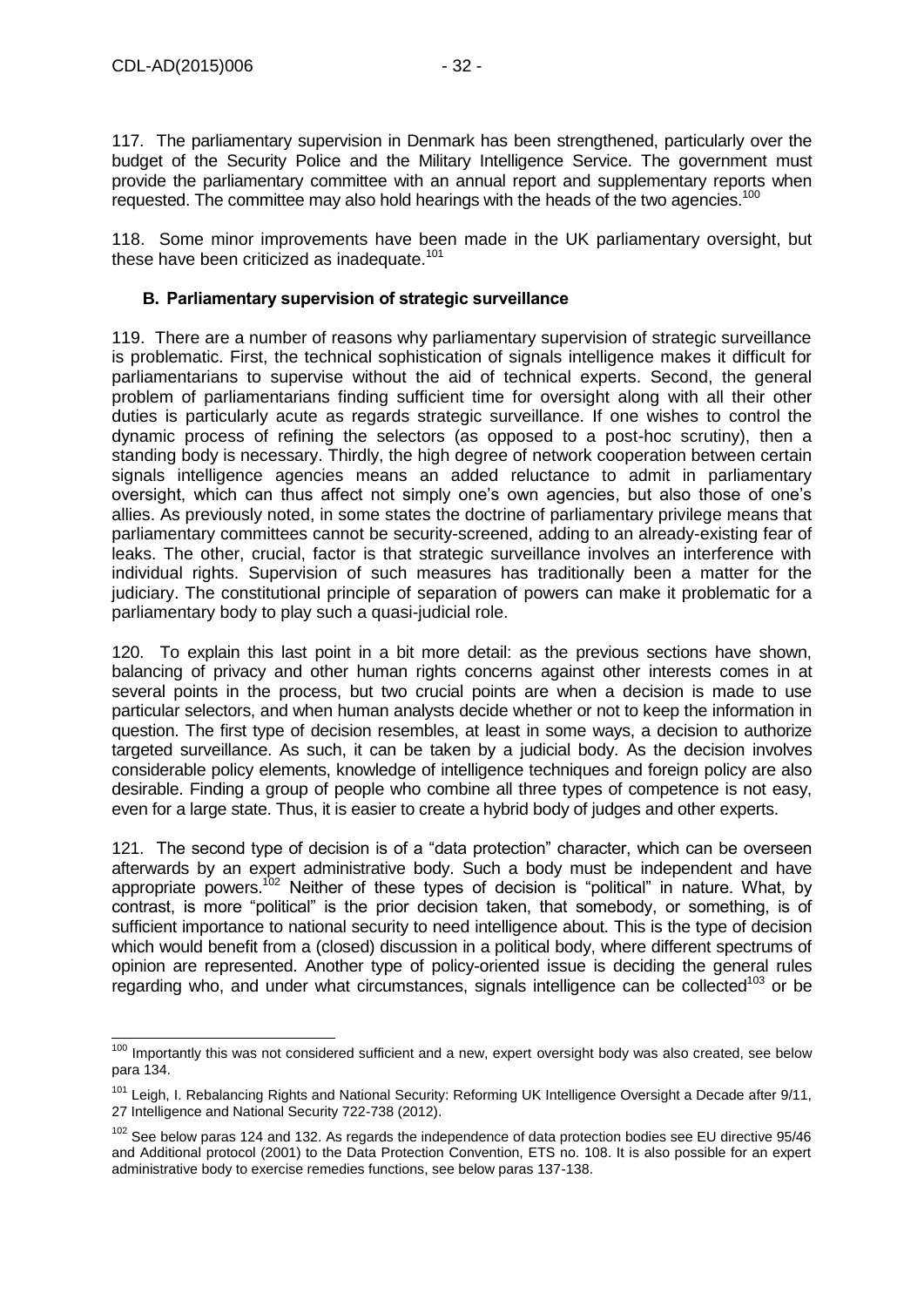117. The parliamentary supervision in Denmark has been strengthened, particularly over the budget of the Security Police and the Military Intelligence Service. The government must provide the parliamentary committee with an annual report and supplementary reports when requested. The committee may also hold hearings with the heads of the two agencies.<sup>100</sup>

118. Some minor improvements have been made in the UK parliamentary oversight, but these have been criticized as inadequate.<sup>101</sup>

#### <span id="page-31-0"></span>**B. Parliamentary supervision of strategic surveillance**

119. There are a number of reasons why parliamentary supervision of strategic surveillance is problematic. First, the technical sophistication of signals intelligence makes it difficult for parliamentarians to supervise without the aid of technical experts. Second, the general problem of parliamentarians finding sufficient time for oversight along with all their other duties is particularly acute as regards strategic surveillance. If one wishes to control the dynamic process of refining the selectors (as opposed to a post-hoc scrutiny), then a standing body is necessary. Thirdly, the high degree of network cooperation between certain signals intelligence agencies means an added reluctance to admit in parliamentary oversight, which can thus affect not simply one's own agencies, but also those of one's allies. As previously noted, in some states the doctrine of parliamentary privilege means that parliamentary committees cannot be security-screened, adding to an already-existing fear of leaks. The other, crucial, factor is that strategic surveillance involves an interference with individual rights. Supervision of such measures has traditionally been a matter for the judiciary. The constitutional principle of separation of powers can make it problematic for a parliamentary body to play such a quasi-judicial role.

120. To explain this last point in a bit more detail: as the previous sections have shown, balancing of privacy and other human rights concerns against other interests comes in at several points in the process, but two crucial points are when a decision is made to use particular selectors, and when human analysts decide whether or not to keep the information in question. The first type of decision resembles, at least in some ways, a decision to authorize targeted surveillance. As such, it can be taken by a judicial body. As the decision involves considerable policy elements, knowledge of intelligence techniques and foreign policy are also desirable. Finding a group of people who combine all three types of competence is not easy, even for a large state. Thus, it is easier to create a hybrid body of judges and other experts.

121. The second type of decision is of a "data protection" character, which can be overseen afterwards by an expert administrative body. Such a body must be independent and have appropriate powers.<sup>102</sup> Neither of these types of decision is "political" in nature. What, by contrast, is more "political" is the prior decision taken, that somebody, or something, is of sufficient importance to national security to need intelligence about. This is the type of decision which would benefit from a (closed) discussion in a political body, where different spectrums of opinion are represented. Another type of policy-oriented issue is deciding the general rules regarding who, and under what circumstances, signals intelligence can be collected<sup>103</sup> or be

 $\overline{a}$ <sup>100</sup> Importantly this was not considered sufficient and a new, expert oversight body was also created, see below para 134.

<sup>&</sup>lt;sup>101</sup> Leigh, I. Rebalancing Rights and National Security: Reforming UK Intelligence Oversight a Decade after 9/11, 27 Intelligence and National Security 722-738 (2012).

<sup>&</sup>lt;sup>102</sup> See below paras 124 and 132. As regards the independence of data protection bodies see EU directive 95/46 and Additional protocol (2001) to the Data Protection Convention, ETS no. 108. It is also possible for an expert administrative body to exercise remedies functions, see below paras 137-138.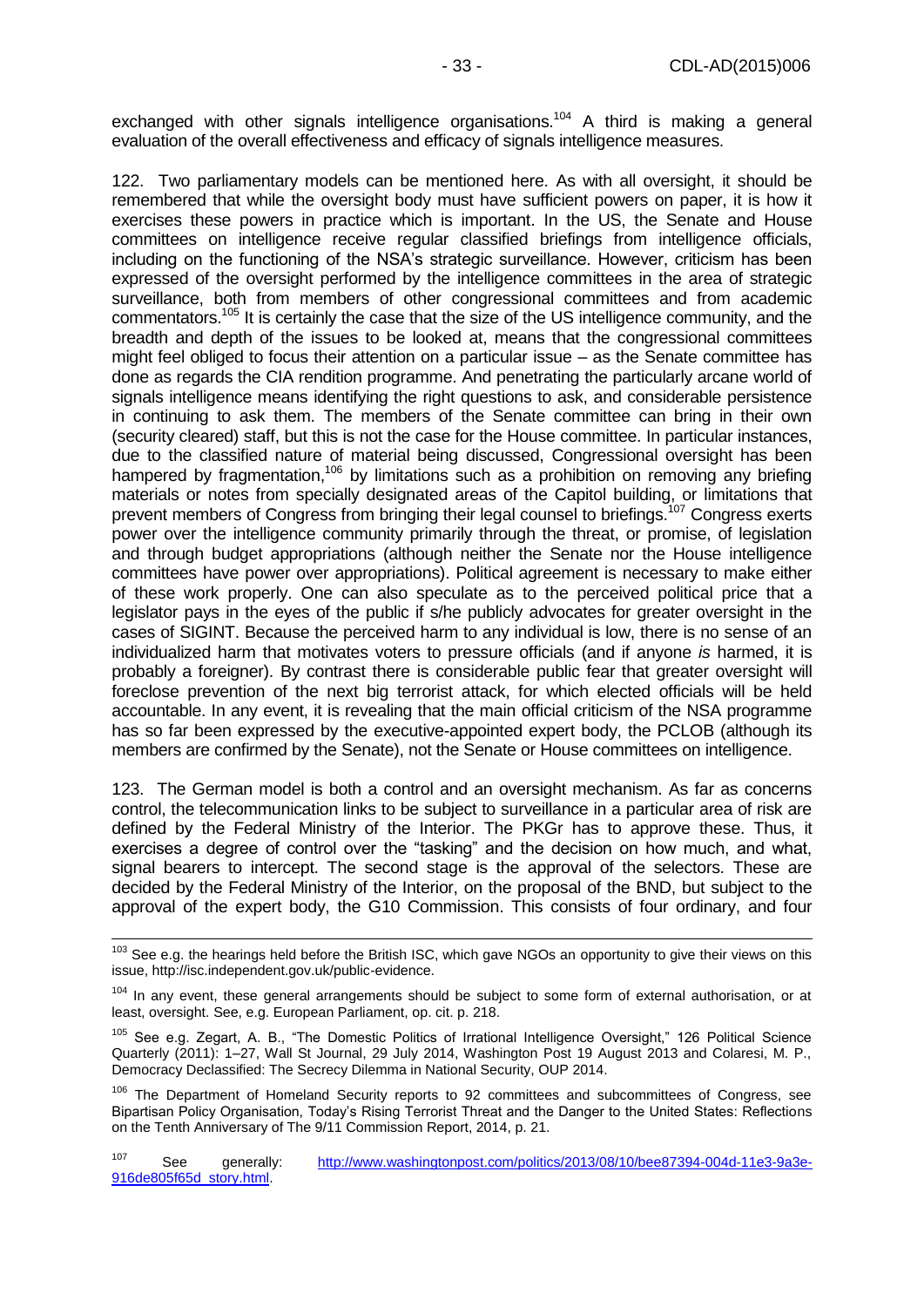exchanged with other signals intelligence organisations.<sup>104</sup> A third is making a general evaluation of the overall effectiveness and efficacy of signals intelligence measures.

122. Two parliamentary models can be mentioned here. As with all oversight, it should be remembered that while the oversight body must have sufficient powers on paper, it is how it exercises these powers in practice which is important. In the US, the Senate and House committees on intelligence receive regular classified briefings from intelligence officials, including on the functioning of the NSA's strategic surveillance. However, criticism has been expressed of the oversight performed by the intelligence committees in the area of strategic surveillance, both from members of other congressional committees and from academic commentators.<sup>105</sup> It is certainly the case that the size of the US intelligence community, and the breadth and depth of the issues to be looked at, means that the congressional committees might feel obliged to focus their attention on a particular issue – as the Senate committee has done as regards the CIA rendition programme. And penetrating the particularly arcane world of signals intelligence means identifying the right questions to ask, and considerable persistence in continuing to ask them. The members of the Senate committee can bring in their own (security cleared) staff, but this is not the case for the House committee. In particular instances, due to the classified nature of material being discussed, Congressional oversight has been hampered by fragmentation,<sup>106</sup> by limitations such as a prohibition on removing any briefing materials or notes from specially designated areas of the Capitol building, or limitations that prevent members of Congress from bringing their legal counsel to briefings.<sup>107</sup> Congress exerts power over the intelligence community primarily through the threat, or promise, of legislation and through budget appropriations (although neither the Senate nor the House intelligence committees have power over appropriations). Political agreement is necessary to make either of these work properly. One can also speculate as to the perceived political price that a legislator pays in the eyes of the public if s/he publicly advocates for greater oversight in the cases of SIGINT. Because the perceived harm to any individual is low, there is no sense of an individualized harm that motivates voters to pressure officials (and if anyone *is* harmed, it is probably a foreigner). By contrast there is considerable public fear that greater oversight will foreclose prevention of the next big terrorist attack, for which elected officials will be held accountable. In any event, it is revealing that the main official criticism of the NSA programme has so far been expressed by the executive-appointed expert body, the PCLOB (although its members are confirmed by the Senate), not the Senate or House committees on intelligence.

123. The German model is both a control and an oversight mechanism. As far as concerns control, the telecommunication links to be subject to surveillance in a particular area of risk are defined by the Federal Ministry of the Interior. The PKGr has to approve these. Thus, it exercises a degree of control over the "tasking" and the decision on how much, and what, signal bearers to intercept. The second stage is the approval of the selectors. These are decided by the Federal Ministry of the Interior, on the proposal of the BND, but subject to the approval of the expert body, the G10 Commission. This consists of four ordinary, and four

-

<sup>&</sup>lt;sup>103</sup> See e.g. the hearings held before the British ISC, which gave NGOs an opportunity to give their views on this issue, http://isc.independent.gov.uk/public-evidence.

<sup>104</sup> In any event, these general arrangements should be subject to some form of external authorisation, or at least, oversight. See, e.g. European Parliament, op. cit. p. 218.

<sup>105</sup> See e.g. Zegart, A. B., "The Domestic Politics of Irrational Intelligence Oversight," 126 Political Science Quarterly (2011): 1–27, Wall St Journal, 29 July 2014, Washington Post 19 August 2013 and Colaresi, M. P., Democracy Declassified: The Secrecy Dilemma in National Security, OUP 2014.

<sup>&</sup>lt;sup>106</sup> The Department of Homeland Security reports to 92 committees and subcommittees of Congress, see Bipartisan Policy Organisation, Today's Rising Terrorist Threat and the Danger to the United States: Reflections on the Tenth Anniversary of The 9/11 Commission Report, 2014, p. 21.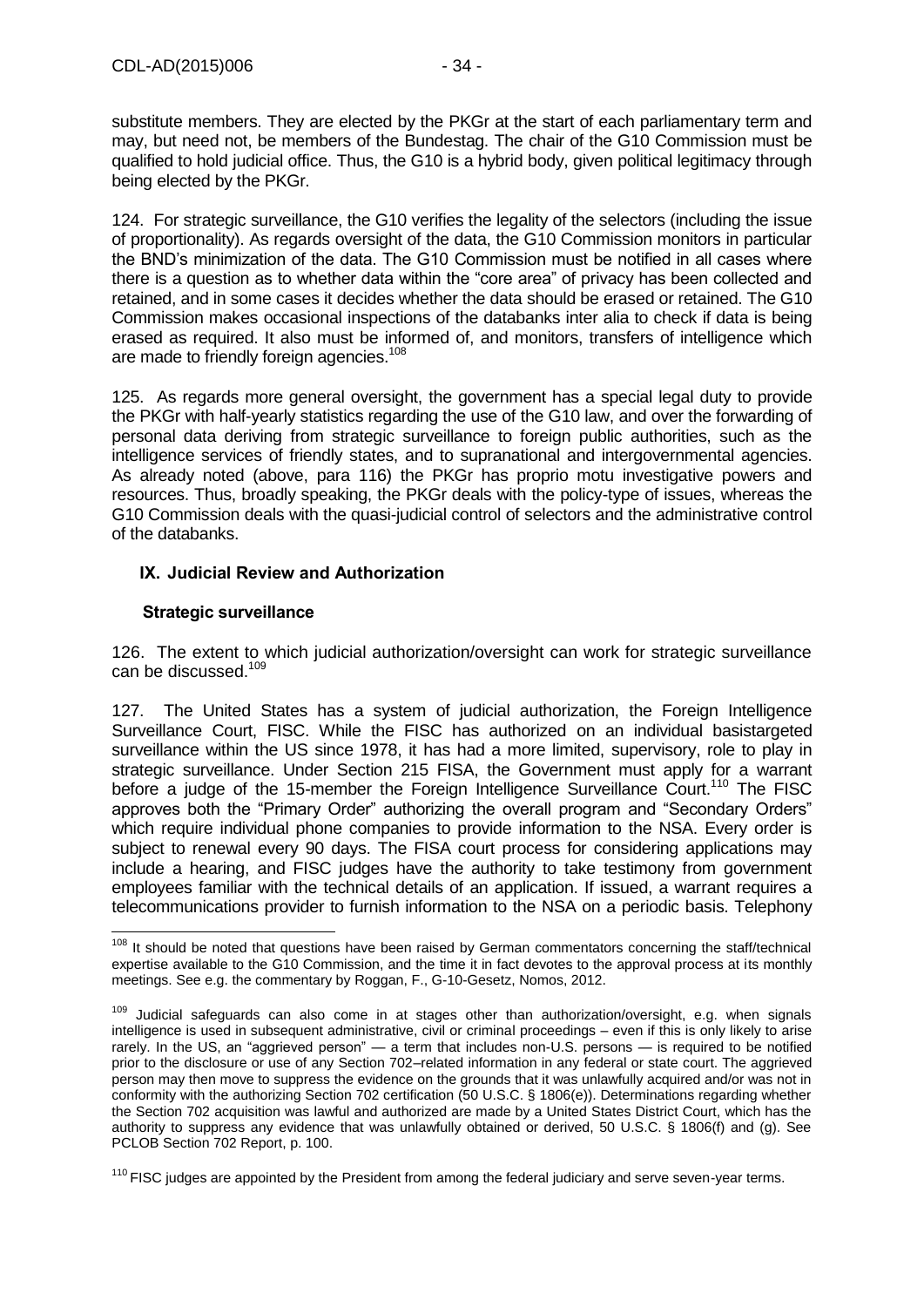substitute members. They are elected by the PKGr at the start of each parliamentary term and may, but need not, be members of the Bundestag. The chair of the G10 Commission must be qualified to hold judicial office. Thus, the G10 is a hybrid body, given political legitimacy through being elected by the PKGr.

124. For strategic surveillance, the G10 verifies the legality of the selectors (including the issue of proportionality). As regards oversight of the data, the G10 Commission monitors in particular the BND's minimization of the data. The G10 Commission must be notified in all cases where there is a question as to whether data within the "core area" of privacy has been collected and retained, and in some cases it decides whether the data should be erased or retained. The G10 Commission makes occasional inspections of the databanks inter alia to check if data is being erased as required. It also must be informed of, and monitors, transfers of intelligence which are made to friendly foreign agencies.<sup>108</sup>

125. As regards more general oversight, the government has a special legal duty to provide the PKGr with half-yearly statistics regarding the use of the G10 law, and over the forwarding of personal data deriving from strategic surveillance to foreign public authorities, such as the intelligence services of friendly states, and to supranational and intergovernmental agencies. As already noted (above, para 116) the PKGr has proprio motu investigative powers and resources. Thus, broadly speaking, the PKGr deals with the policy-type of issues, whereas the G10 Commission deals with the quasi-judicial control of selectors and the administrative control of the databanks.

### <span id="page-33-0"></span>**IX. Judicial Review and Authorization**

### <span id="page-33-1"></span>**Strategic surveillance**

 $\overline{1}$ 

126. The extent to which judicial authorization/oversight can work for strategic surveillance can be discussed.<sup>109</sup>

127. The United States has a system of judicial authorization, the Foreign Intelligence Surveillance Court, FISC. While the FISC has authorized on an individual basistargeted surveillance within the US since 1978, it has had a more limited, supervisory, role to play in strategic surveillance. Under Section 215 FISA, the Government must apply for a warrant before a judge of the 15-member the Foreign Intelligence Surveillance Court.<sup>110</sup> The FISC approves both the "Primary Order" authorizing the overall program and "Secondary Orders" which require individual phone companies to provide information to the NSA. Every order is subject to renewal every 90 days. The FISA court process for considering applications may include a hearing, and FISC judges have the authority to take testimony from government employees familiar with the technical details of an application. If issued, a warrant requires a telecommunications provider to furnish information to the NSA on a periodic basis. Telephony

<sup>&</sup>lt;sup>108</sup> It should be noted that questions have been raised by German commentators concerning the staff/technical expertise available to the G10 Commission, and the time it in fact devotes to the approval process at its monthly meetings. See e.g. the commentary by Roggan, F., G-10-Gesetz, Nomos, 2012.

<sup>&</sup>lt;sup>109</sup> Judicial safeguards can also come in at stages other than authorization/oversight, e.g. when signals intelligence is used in subsequent administrative, civil or criminal proceedings – even if this is only likely to arise rarely. In the US, an "aggrieved person" — a term that includes non-U.S. persons — is required to be notified prior to the disclosure or use of any Section 702–related information in any federal or state court. The aggrieved person may then move to suppress the evidence on the grounds that it was unlawfully acquired and/or was not in conformity with the authorizing Section 702 certification (50 U.S.C. § 1806(e)). Determinations regarding whether the Section 702 acquisition was lawful and authorized are made by a United States District Court, which has the authority to suppress any evidence that was unlawfully obtained or derived, 50 U.S.C. § 1806(f) and (g). See PCLOB Section 702 Report, p. 100.

 $110$  FISC judges are appointed by the President from among the federal judiciary and serve seven-year terms.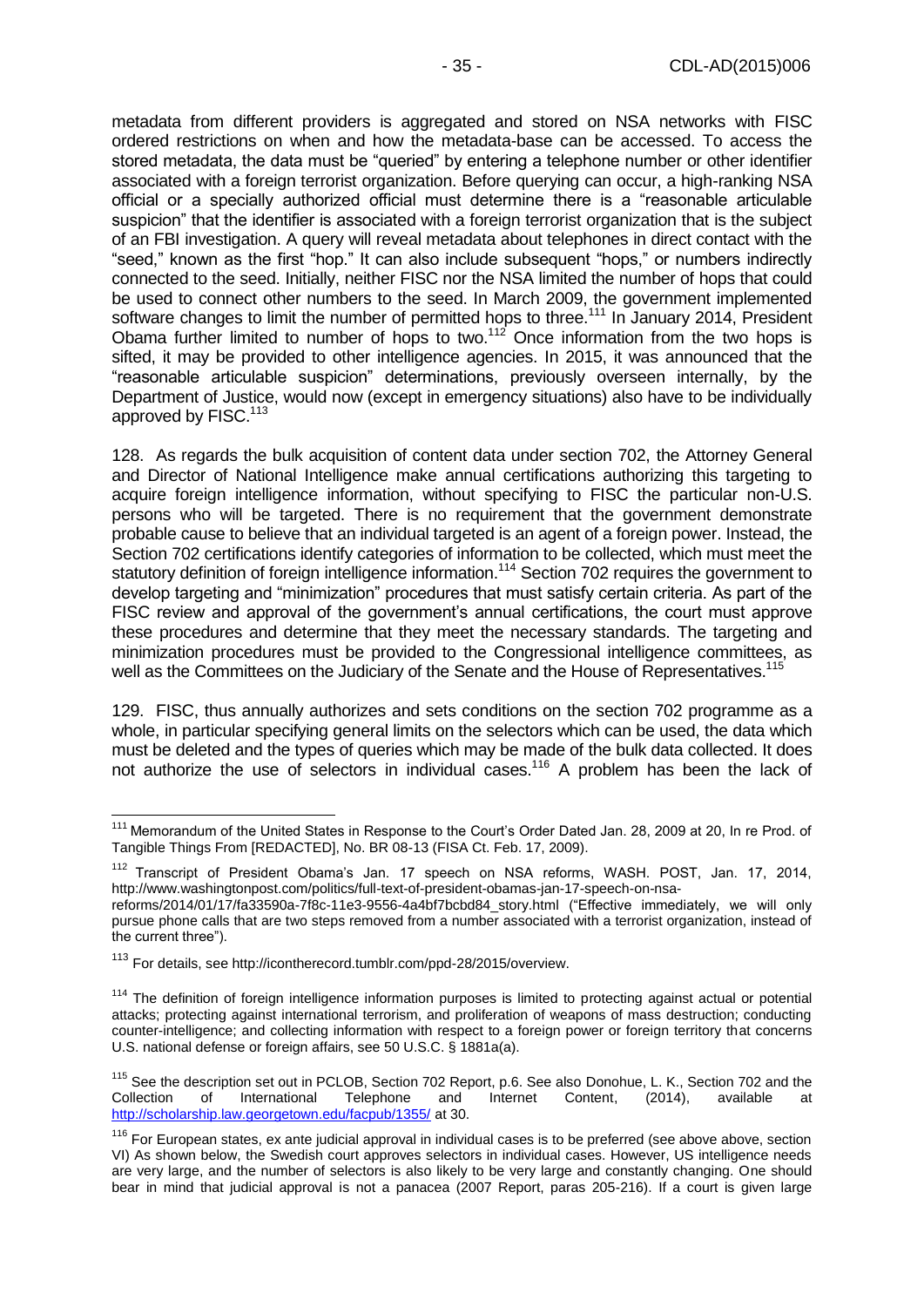metadata from different providers is aggregated and stored on NSA networks with FISC ordered restrictions on when and how the metadata-base can be accessed. To access the stored metadata, the data must be "queried" by entering a telephone number or other identifier associated with a foreign terrorist organization. Before querying can occur, a high-ranking NSA official or a specially authorized official must determine there is a "reasonable articulable suspicion" that the identifier is associated with a foreign terrorist organization that is the subject of an FBI investigation. A query will reveal metadata about telephones in direct contact with the "seed," known as the first "hop." It can also include subsequent "hops," or numbers indirectly connected to the seed. Initially, neither FISC nor the NSA limited the number of hops that could be used to connect other numbers to the seed. In March 2009, the government implemented software changes to limit the number of permitted hops to three.<sup>111</sup> In January 2014, President Obama further limited to number of hops to two.<sup>112</sup> Once information from the two hops is sifted, it may be provided to other intelligence agencies. In 2015, it was announced that the "reasonable articulable suspicion" determinations, previously overseen internally, by the Department of Justice, would now (except in emergency situations) also have to be individually approved by FISC.<sup>113</sup>

128. As regards the bulk acquisition of content data under section 702, the Attorney General and Director of National Intelligence make annual certifications authorizing this targeting to acquire foreign intelligence information, without specifying to FISC the particular non-U.S. persons who will be targeted. There is no requirement that the government demonstrate probable cause to believe that an individual targeted is an agent of a foreign power. Instead, the Section 702 certifications identify categories of information to be collected, which must meet the statutory definition of foreign intelligence information.<sup>114</sup> Section 702 requires the government to develop targeting and "minimization" procedures that must satisfy certain criteria. As part of the FISC review and approval of the government's annual certifications, the court must approve these procedures and determine that they meet the necessary standards. The targeting and minimization procedures must be provided to the Congressional intelligence committees, as well as the Committees on the Judiciary of the Senate and the House of Representatives.<sup>115</sup>

129. FISC, thus annually authorizes and sets conditions on the section 702 programme as a whole, in particular specifying general limits on the selectors which can be used, the data which must be deleted and the types of queries which may be made of the bulk data collected. It does not authorize the use of selectors in individual cases.<sup>116</sup> A problem has been the lack of

<sup>-</sup><sup>111</sup> Memorandum of the United States in Response to the Court's Order Dated Jan. 28, 2009 at 20, In re Prod. of Tangible Things From [REDACTED], No. BR 08-13 (FISA Ct. Feb. 17, 2009).

<sup>&</sup>lt;sup>112</sup> Transcript of President Obama's Jan. 17 speech on NSA reforms, WASH. POST, Jan. 17, 2014, [http://www.washingtonpost.com/politics/full-text-of-president-obamas-jan-17-speech-on-nsa-](http://www.washingtonpost.com/politics/full-text-of-president-obamas-jan-17-speech-on-nsa-reforms/2014/01/17/fa33590a-7f8c-11e3-9556-4a4bf7bcbd84_story.html)

[reforms/2014/01/17/fa33590a-7f8c-11e3-9556-4a4bf7bcbd84\\_story.html](http://www.washingtonpost.com/politics/full-text-of-president-obamas-jan-17-speech-on-nsa-reforms/2014/01/17/fa33590a-7f8c-11e3-9556-4a4bf7bcbd84_story.html) ("Effective immediately, we will only pursue phone calls that are two steps removed from a number associated with a terrorist organization, instead of the current three").

<sup>113</sup> For details, see http://icontherecord.tumblr.com/ppd-28/2015/overview.

<sup>&</sup>lt;sup>114</sup> The definition of foreign intelligence information purposes is limited to protecting against actual or potential attacks; protecting against international terrorism, and proliferation of weapons of mass destruction; conducting counter-intelligence; and collecting information with respect to a foreign power or foreign territory that concerns U.S. national defense or foreign affairs, see 50 U.S.C. § 1881a(a).

<sup>&</sup>lt;sup>115</sup> See the description set out in PCLOB, Section 702 Report, p.6. See also Donohue, L. K., Section 702 and the Collection of International Telephone and Internet Content, (2014), available at <http://scholarship.law.georgetown.edu/facpub/1355/> at 30.

<sup>&</sup>lt;sup>116</sup> For European states, ex ante judicial approval in individual cases is to be preferred (see above above, section VI) As shown below, the Swedish court approves selectors in individual cases. However, US intelligence needs are very large, and the number of selectors is also likely to be very large and constantly changing. One should bear in mind that judicial approval is not a panacea (2007 Report, paras 205-216). If a court is given large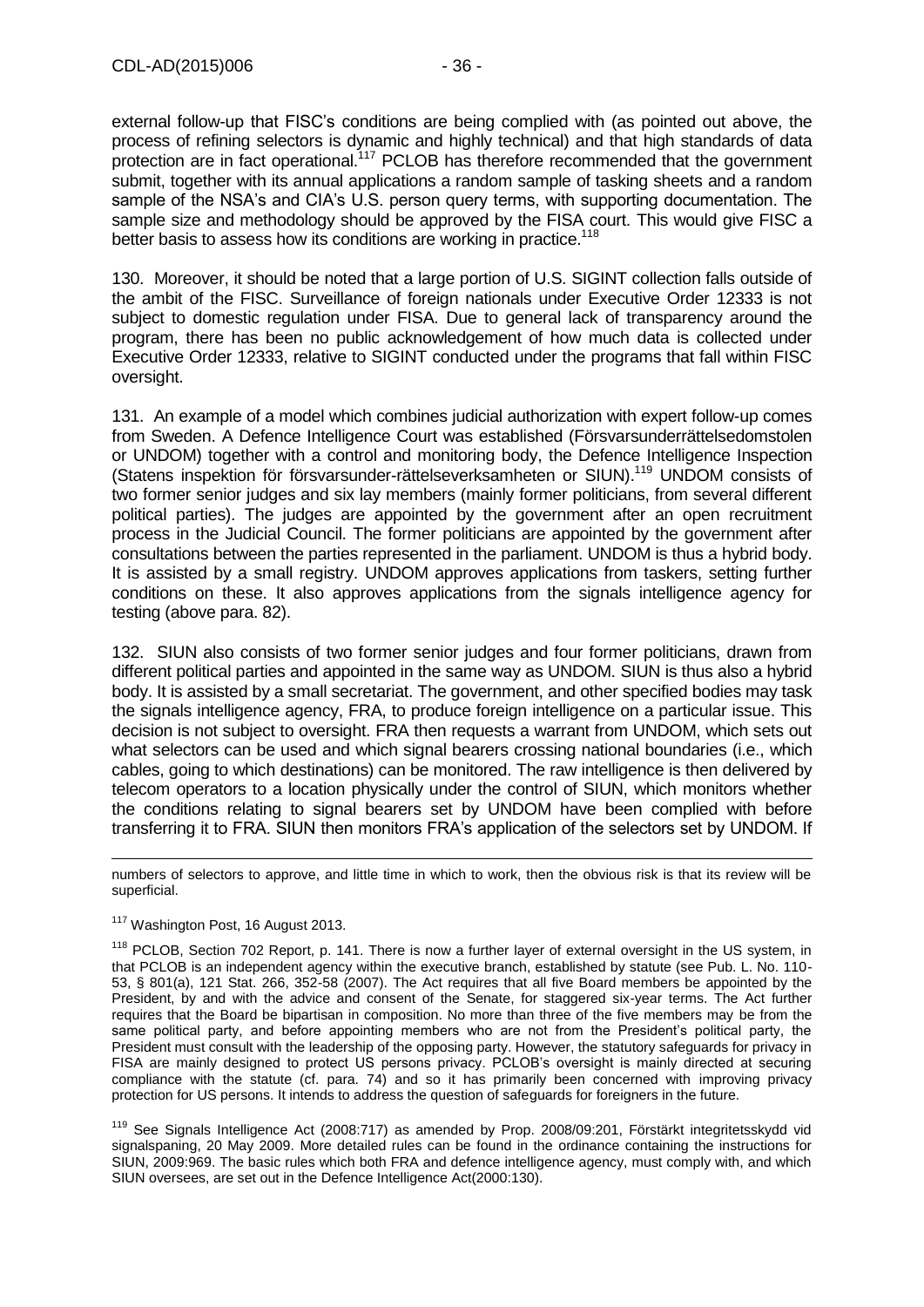external follow-up that FISC's conditions are being complied with (as pointed out above, the process of refining selectors is dynamic and highly technical) and that high standards of data protection are in fact operational.<sup>117</sup> PCLOB has therefore recommended that the government submit, together with its annual applications a random sample of tasking sheets and a random sample of the NSA's and CIA's U.S. person query terms, with supporting documentation. The sample size and methodology should be approved by the FISA court. This would give FISC a better basis to assess how its conditions are working in practice.<sup>118</sup>

130. Moreover, it should be noted that a large portion of U.S. SIGINT collection falls outside of the ambit of the FISC. Surveillance of foreign nationals under Executive Order 12333 is not subject to domestic regulation under FISA. Due to general lack of transparency around the program, there has been no public acknowledgement of how much data is collected under Executive Order 12333, relative to SIGINT conducted under the programs that fall within FISC oversight.

131. An example of a model which combines judicial authorization with expert follow-up comes from Sweden. A Defence Intelligence Court was established (Försvarsunderrättelsedomstolen or UNDOM) together with a control and monitoring body, the Defence Intelligence Inspection (Statens inspektion för försvarsunder-rättelseverksamheten or SIUN).<sup>119</sup> UNDOM consists of two former senior judges and six lay members (mainly former politicians, from several different political parties). The judges are appointed by the government after an open recruitment process in the Judicial Council. The former politicians are appointed by the government after consultations between the parties represented in the parliament. UNDOM is thus a hybrid body. It is assisted by a small registry. UNDOM approves applications from taskers, setting further conditions on these. It also approves applications from the signals intelligence agency for testing (above para. 82).

132. SIUN also consists of two former senior judges and four former politicians, drawn from different political parties and appointed in the same way as UNDOM. SIUN is thus also a hybrid body. It is assisted by a small secretariat. The government, and other specified bodies may task the signals intelligence agency, FRA, to produce foreign intelligence on a particular issue. This decision is not subject to oversight. FRA then requests a warrant from UNDOM, which sets out what selectors can be used and which signal bearers crossing national boundaries (i.e., which cables, going to which destinations) can be monitored. The raw intelligence is then delivered by telecom operators to a location physically under the control of SIUN, which monitors whether the conditions relating to signal bearers set by UNDOM have been complied with before transferring it to FRA. SIUN then monitors FRA's application of the selectors set by UNDOM. If

numbers of selectors to approve, and little time in which to work, then the obvious risk is that its review will be superficial.

#### <sup>117</sup> Washington Post, 16 August 2013.

-

<sup>119</sup> See Signals Intelligence Act (2008:717) as amended by Prop. 2008/09:201, Förstärkt integritetsskydd vid signalspaning, 20 May 2009. More detailed rules can be found in the ordinance containing the instructions for SIUN, 2009:969. The basic rules which both FRA and defence intelligence agency, must comply with, and which SIUN oversees, are set out in the Defence Intelligence Act(2000:130).

<sup>&</sup>lt;sup>118</sup> PCLOB, Section 702 Report, p. 141. There is now a further layer of external oversight in the US system, in that PCLOB is an independent agency within the executive branch, established by statute (see Pub. L. No. 110- 53, § 801(a), 121 Stat. 266, 352-58 (2007). The Act requires that all five Board members be appointed by the President, by and with the advice and consent of the Senate, for staggered six-year terms. The Act further requires that the Board be bipartisan in composition. No more than three of the five members may be from the same political party, and before appointing members who are not from the President's political party, the President must consult with the leadership of the opposing party. However, the statutory safeguards for privacy in FISA are mainly designed to protect US persons privacy. PCLOB's oversight is mainly directed at securing compliance with the statute (cf. para. 74) and so it has primarily been concerned with improving privacy protection for US persons. It intends to address the question of safeguards for foreigners in the future.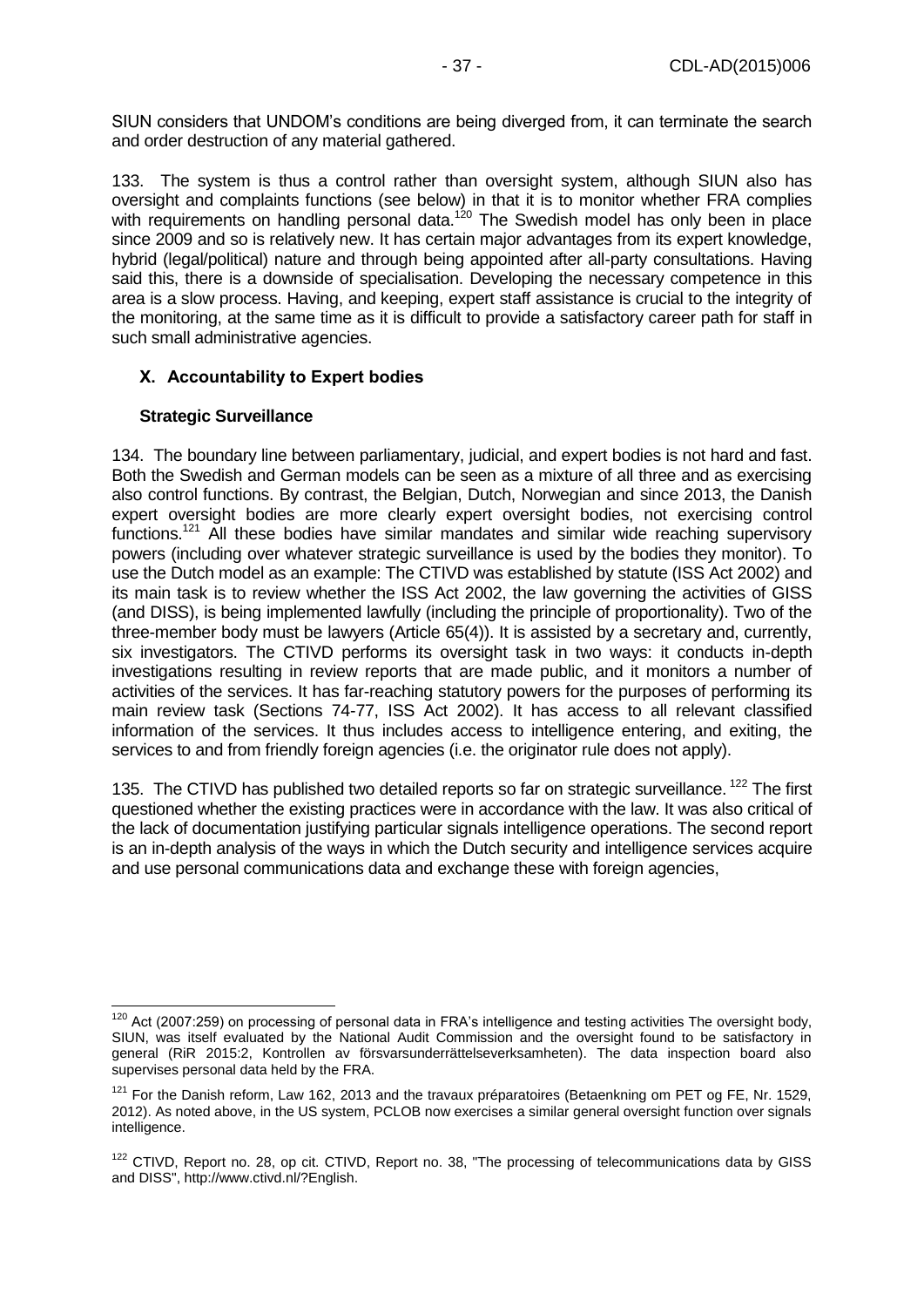SIUN considers that UNDOM's conditions are being diverged from, it can terminate the search and order destruction of any material gathered.

133. The system is thus a control rather than oversight system, although SIUN also has oversight and complaints functions (see below) in that it is to monitor whether FRA complies with requirements on handling personal data.<sup>120</sup> The Swedish model has only been in place since 2009 and so is relatively new. It has certain major advantages from its expert knowledge, hybrid (legal/political) nature and through being appointed after all-party consultations. Having said this, there is a downside of specialisation. Developing the necessary competence in this area is a slow process. Having, and keeping, expert staff assistance is crucial to the integrity of the monitoring, at the same time as it is difficult to provide a satisfactory career path for staff in such small administrative agencies.

#### <span id="page-36-0"></span>**X. Accountability to Expert bodies**

#### **Strategic Surveillance**

134. The boundary line between parliamentary, judicial, and expert bodies is not hard and fast. Both the Swedish and German models can be seen as a mixture of all three and as exercising also control functions. By contrast, the Belgian, Dutch, Norwegian and since 2013, the Danish expert oversight bodies are more clearly expert oversight bodies, not exercising control functions.<sup>121</sup> All these bodies have similar mandates and similar wide reaching supervisory powers (including over whatever strategic surveillance is used by the bodies they monitor). To use the Dutch model as an example: The CTIVD was established by statute (ISS Act 2002) and its main task is to review whether the ISS Act 2002, the law governing the activities of GISS (and DISS), is being implemented lawfully (including the principle of proportionality). Two of the three-member body must be lawyers (Article 65(4)). It is assisted by a secretary and, currently, six investigators. The CTIVD performs its oversight task in two ways: it conducts in-depth investigations resulting in review reports that are made public, and it monitors a number of activities of the services. It has far-reaching statutory powers for the purposes of performing its main review task (Sections 74-77, ISS Act 2002). It has access to all relevant classified information of the services. It thus includes access to intelligence entering, and exiting, the services to and from friendly foreign agencies (i.e. the originator rule does not apply).

135. The CTIVD has published two detailed reports so far on strategic surveillance.<sup>122</sup> The first questioned whether the existing practices were in accordance with the law. It was also critical of the lack of documentation justifying particular signals intelligence operations. The second report is an in-depth analysis of the ways in which the Dutch security and intelligence services acquire and use personal communications data and exchange these with foreign agencies,

<sup>-</sup> $120$  Act (2007:259) on processing of personal data in FRA's intelligence and testing activities The oversight body, SIUN, was itself evaluated by the National Audit Commission and the oversight found to be satisfactory in general (RiR 2015:2, Kontrollen av försvarsunderrättelseverksamheten). The data inspection board also supervises personal data held by the FRA.

<sup>&</sup>lt;sup>121</sup> For the Danish reform. Law 162, 2013 and the travaux préparatoires (Betaenkning om PET og FE, Nr. 1529, 2012). As noted above, in the US system, PCLOB now exercises a similar general oversight function over signals intelligence.

<sup>122</sup> CTIVD, Report no. 28, op cit. CTIVD, Report no. 38, "The processing of telecommunications data by GISS and DISS", http://www.ctivd.nl/?English.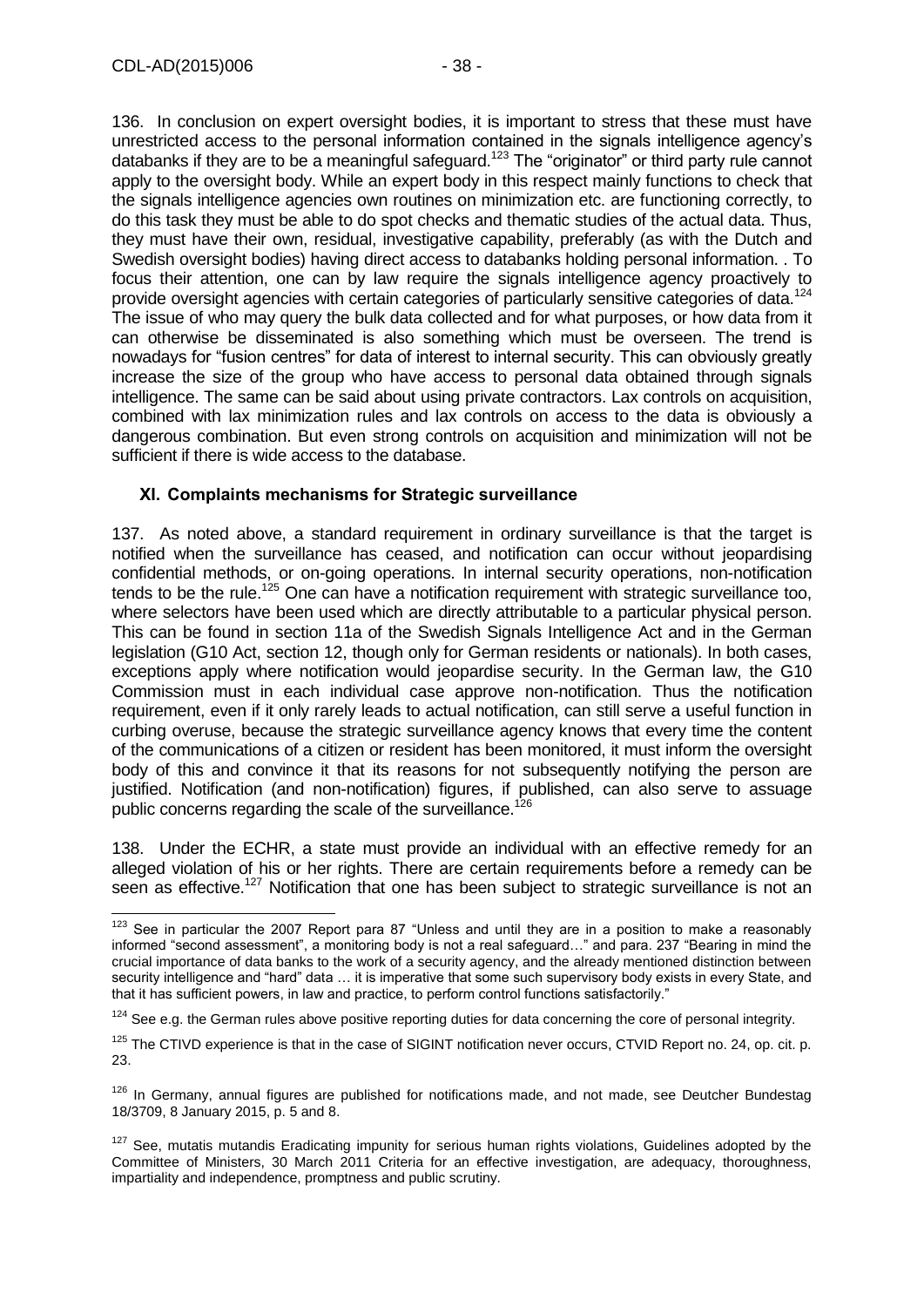136. In conclusion on expert oversight bodies, it is important to stress that these must have unrestricted access to the personal information contained in the signals intelligence agency's databanks if they are to be a meaningful safeguard.<sup>123</sup> The "originator" or third party rule cannot apply to the oversight body. While an expert body in this respect mainly functions to check that the signals intelligence agencies own routines on minimization etc. are functioning correctly, to do this task they must be able to do spot checks and thematic studies of the actual data. Thus, they must have their own, residual, investigative capability, preferably (as with the Dutch and Swedish oversight bodies) having direct access to databanks holding personal information. . To focus their attention, one can by law require the signals intelligence agency proactively to provide oversight agencies with certain categories of particularly sensitive categories of data.<sup>124</sup> The issue of who may query the bulk data collected and for what purposes, or how data from it can otherwise be disseminated is also something which must be overseen. The trend is nowadays for "fusion centres" for data of interest to internal security. This can obviously greatly increase the size of the group who have access to personal data obtained through signals intelligence. The same can be said about using private contractors. Lax controls on acquisition, combined with lax minimization rules and lax controls on access to the data is obviously a dangerous combination. But even strong controls on acquisition and minimization will not be sufficient if there is wide access to the database.

### <span id="page-37-0"></span>**XI. Complaints mechanisms for Strategic surveillance**

137. As noted above, a standard requirement in ordinary surveillance is that the target is notified when the surveillance has ceased, and notification can occur without jeopardising confidential methods, or on-going operations. In internal security operations, non-notification tends to be the rule.<sup>125</sup> One can have a notification requirement with strategic surveillance too, where selectors have been used which are directly attributable to a particular physical person. This can be found in section 11a of the Swedish Signals Intelligence Act and in the German legislation (G10 Act, section 12, though only for German residents or nationals). In both cases, exceptions apply where notification would jeopardise security. In the German law, the G10 Commission must in each individual case approve non-notification. Thus the notification requirement, even if it only rarely leads to actual notification, can still serve a useful function in curbing overuse, because the strategic surveillance agency knows that every time the content of the communications of a citizen or resident has been monitored, it must inform the oversight body of this and convince it that its reasons for not subsequently notifying the person are justified. Notification (and non-notification) figures, if published, can also serve to assuage public concerns regarding the scale of the surveillance.<sup>126</sup>

138. Under the ECHR, a state must provide an individual with an effective remedy for an alleged violation of his or her rights. There are certain requirements before a remedy can be seen as effective.<sup>127</sup> Notification that one has been subject to strategic surveillance is not an

 $\overline{1}$  $123$  See in particular the 2007 Report para 87 "Unless and until they are in a position to make a reasonably informed "second assessment", a monitoring body is not a real safeguard…" and para. 237 "Bearing in mind the crucial importance of data banks to the work of a security agency, and the already mentioned distinction between security intelligence and "hard" data … it is imperative that some such supervisory body exists in every State, and that it has sufficient powers, in law and practice, to perform control functions satisfactorily."

 $124$  See e.g. the German rules above positive reporting duties for data concerning the core of personal integrity.

<sup>&</sup>lt;sup>125</sup> The CTIVD experience is that in the case of SIGINT notification never occurs, CTVID Report no. 24, op. cit. p. 23.

 $126$  In Germany, annual figures are published for notifications made, and not made, see Deutcher Bundestag 18/3709, 8 January 2015, p. 5 and 8.

<sup>&</sup>lt;sup>127</sup> See. mutatis mutandis Eradicating impunity for serious human rights violations, Guidelines adopted by the Committee of Ministers, 30 March 2011 Criteria for an effective investigation, are adequacy, thoroughness, impartiality and independence, promptness and public scrutiny.